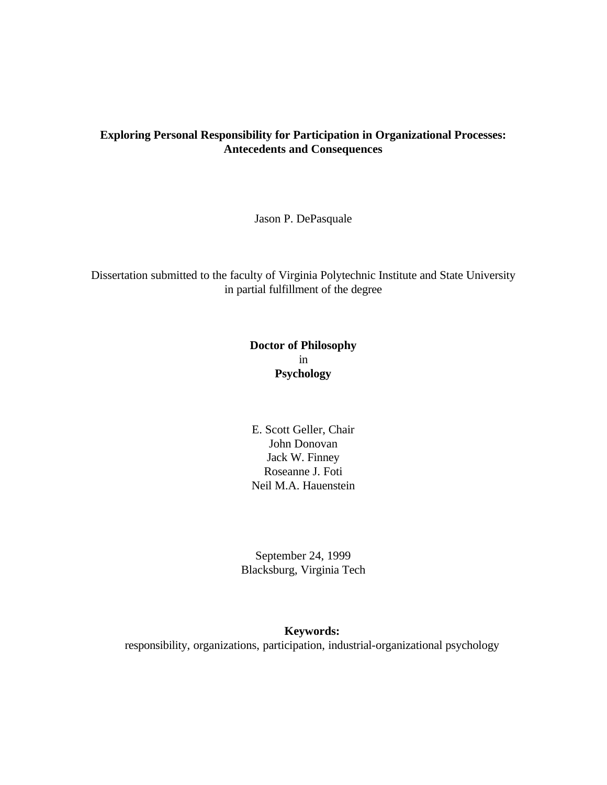# **Exploring Personal Responsibility for Participation in Organizational Processes: Antecedents and Consequences**

Jason P. DePasquale

Dissertation submitted to the faculty of Virginia Polytechnic Institute and State University in partial fulfillment of the degree

# **Doctor of Philosophy** in **Psychology**

E. Scott Geller, Chair John Donovan Jack W. Finney Roseanne J. Foti Neil M.A. Hauenstein

September 24, 1999 Blacksburg, Virginia Tech

### **Keywords:**

responsibility, organizations, participation, industrial-organizational psychology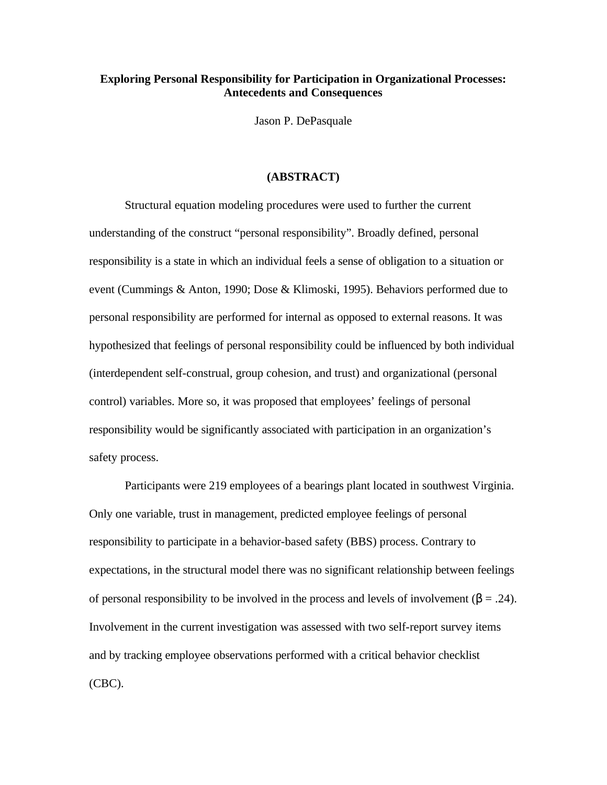# **Exploring Personal Responsibility for Participation in Organizational Processes: Antecedents and Consequences**

Jason P. DePasquale

#### **(ABSTRACT)**

Structural equation modeling procedures were used to further the current understanding of the construct "personal responsibility". Broadly defined, personal responsibility is a state in which an individual feels a sense of obligation to a situation or event (Cummings & Anton, 1990; Dose & Klimoski, 1995). Behaviors performed due to personal responsibility are performed for internal as opposed to external reasons. It was hypothesized that feelings of personal responsibility could be influenced by both individual (interdependent self-construal, group cohesion, and trust) and organizational (personal control) variables. More so, it was proposed that employees' feelings of personal responsibility would be significantly associated with participation in an organization's safety process.

Participants were 219 employees of a bearings plant located in southwest Virginia. Only one variable, trust in management, predicted employee feelings of personal responsibility to participate in a behavior-based safety (BBS) process. Contrary to expectations, in the structural model there was no significant relationship between feelings of personal responsibility to be involved in the process and levels of involvement ( $\beta = .24$ ). Involvement in the current investigation was assessed with two self-report survey items and by tracking employee observations performed with a critical behavior checklist (CBC).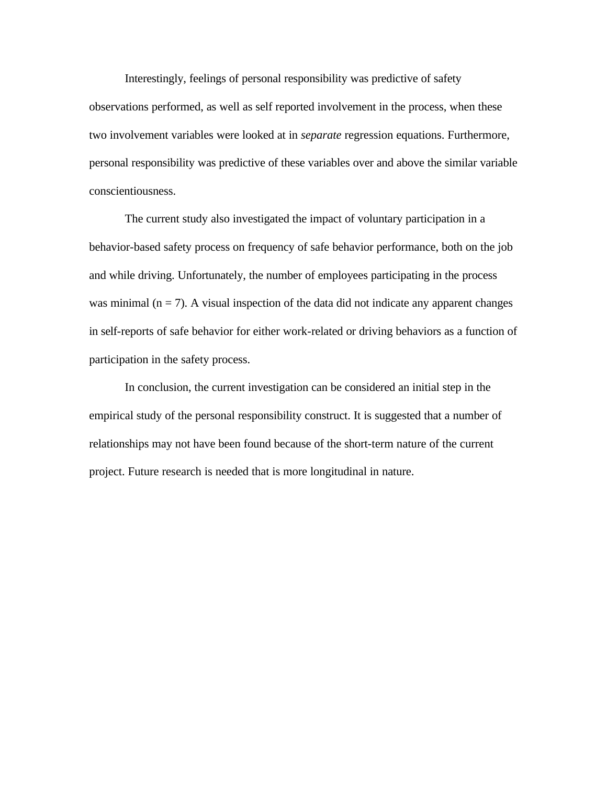Interestingly, feelings of personal responsibility was predictive of safety observations performed, as well as self reported involvement in the process, when these two involvement variables were looked at in *separate* regression equations. Furthermore, personal responsibility was predictive of these variables over and above the similar variable conscientiousness.

The current study also investigated the impact of voluntary participation in a behavior-based safety process on frequency of safe behavior performance, both on the job and while driving. Unfortunately, the number of employees participating in the process was minimal  $(n = 7)$ . A visual inspection of the data did not indicate any apparent changes in self-reports of safe behavior for either work-related or driving behaviors as a function of participation in the safety process.

In conclusion, the current investigation can be considered an initial step in the empirical study of the personal responsibility construct. It is suggested that a number of relationships may not have been found because of the short-term nature of the current project. Future research is needed that is more longitudinal in nature.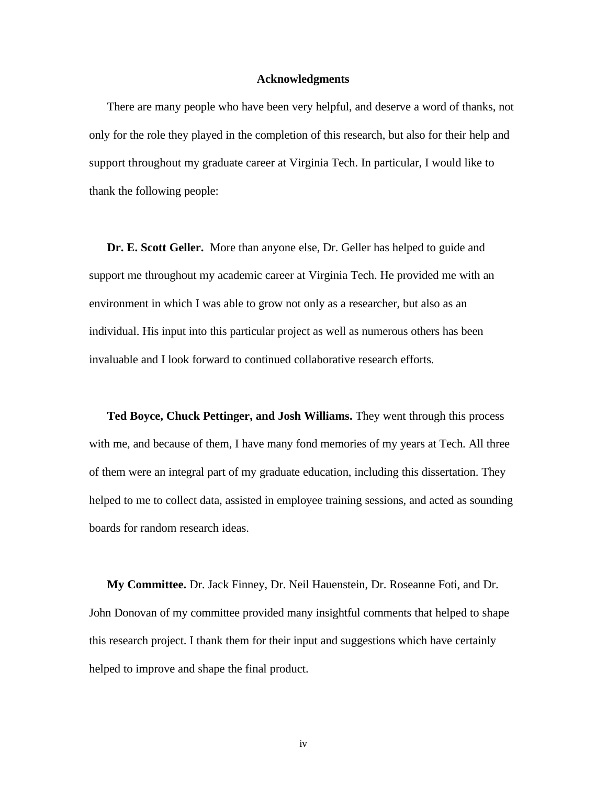#### **Acknowledgments**

There are many people who have been very helpful, and deserve a word of thanks, not only for the role they played in the completion of this research, but also for their help and support throughout my graduate career at Virginia Tech. In particular, I would like to thank the following people:

**Dr. E. Scott Geller.** More than anyone else, Dr. Geller has helped to guide and support me throughout my academic career at Virginia Tech. He provided me with an environment in which I was able to grow not only as a researcher, but also as an individual. His input into this particular project as well as numerous others has been invaluable and I look forward to continued collaborative research efforts.

**Ted Boyce, Chuck Pettinger, and Josh Williams.** They went through this process with me, and because of them, I have many fond memories of my years at Tech. All three of them were an integral part of my graduate education, including this dissertation. They helped to me to collect data, assisted in employee training sessions, and acted as sounding boards for random research ideas.

**My Committee.** Dr. Jack Finney, Dr. Neil Hauenstein, Dr. Roseanne Foti, and Dr. John Donovan of my committee provided many insightful comments that helped to shape this research project. I thank them for their input and suggestions which have certainly helped to improve and shape the final product.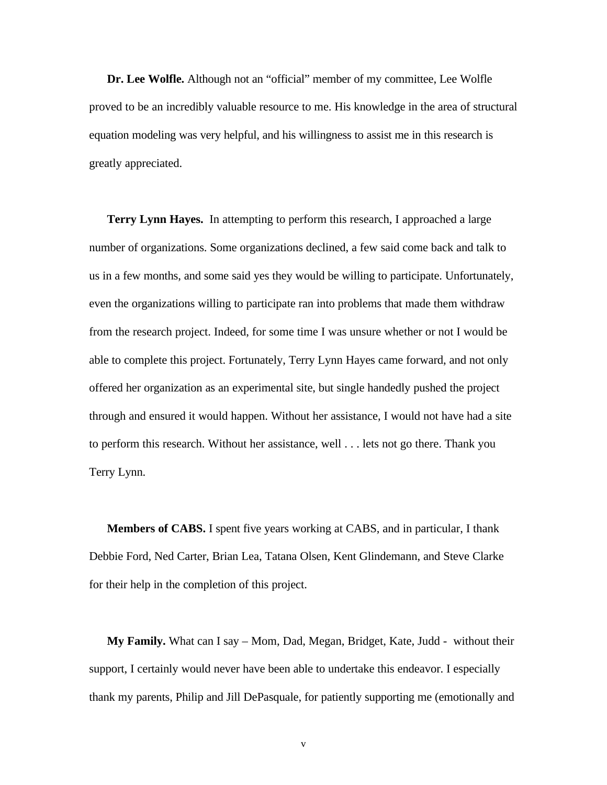**Dr. Lee Wolfle.** Although not an "official" member of my committee, Lee Wolfle proved to be an incredibly valuable resource to me. His knowledge in the area of structural equation modeling was very helpful, and his willingness to assist me in this research is greatly appreciated.

**Terry Lynn Hayes.** In attempting to perform this research, I approached a large number of organizations. Some organizations declined, a few said come back and talk to us in a few months, and some said yes they would be willing to participate. Unfortunately, even the organizations willing to participate ran into problems that made them withdraw from the research project. Indeed, for some time I was unsure whether or not I would be able to complete this project. Fortunately, Terry Lynn Hayes came forward, and not only offered her organization as an experimental site, but single handedly pushed the project through and ensured it would happen. Without her assistance, I would not have had a site to perform this research. Without her assistance, well . . . lets not go there. Thank you Terry Lynn.

**Members of CABS.** I spent five years working at CABS, and in particular, I thank Debbie Ford, Ned Carter, Brian Lea, Tatana Olsen, Kent Glindemann, and Steve Clarke for their help in the completion of this project.

**My Family.** What can I say – Mom, Dad, Megan, Bridget, Kate, Judd - without their support, I certainly would never have been able to undertake this endeavor. I especially thank my parents, Philip and Jill DePasquale, for patiently supporting me (emotionally and

v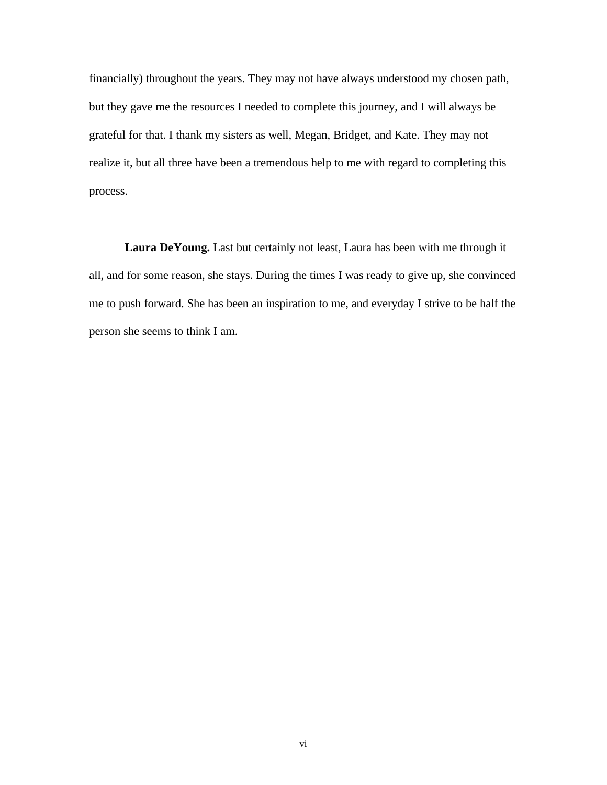financially) throughout the years. They may not have always understood my chosen path, but they gave me the resources I needed to complete this journey, and I will always be grateful for that. I thank my sisters as well, Megan, Bridget, and Kate. They may not realize it, but all three have been a tremendous help to me with regard to completing this process.

**Laura DeYoung.** Last but certainly not least, Laura has been with me through it all, and for some reason, she stays. During the times I was ready to give up, she convinced me to push forward. She has been an inspiration to me, and everyday I strive to be half the person she seems to think I am.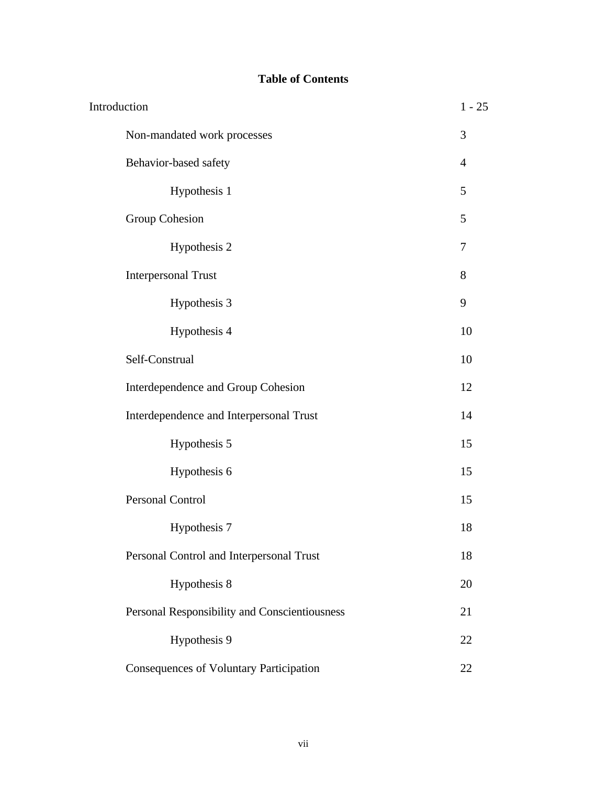# **Table of Contents**

| Introduction |                                                | $1 - 25$       |
|--------------|------------------------------------------------|----------------|
|              | Non-mandated work processes                    | 3              |
|              | Behavior-based safety                          | $\overline{4}$ |
|              | Hypothesis 1                                   | 5              |
|              | Group Cohesion                                 | 5              |
|              | Hypothesis 2                                   | 7              |
|              | <b>Interpersonal Trust</b>                     | 8              |
|              | Hypothesis 3                                   | 9              |
|              | Hypothesis 4                                   | 10             |
|              | Self-Construal                                 | 10             |
|              | Interdependence and Group Cohesion             | 12             |
|              | Interdependence and Interpersonal Trust        | 14             |
|              | Hypothesis 5                                   | 15             |
|              | Hypothesis 6                                   | 15             |
|              | <b>Personal Control</b>                        | 15             |
|              | Hypothesis 7                                   | 18             |
|              | Personal Control and Interpersonal Trust       | 18             |
|              | Hypothesis 8                                   | 20             |
|              | Personal Responsibility and Conscientiousness  | 21             |
|              | Hypothesis 9                                   | 22             |
|              | <b>Consequences of Voluntary Participation</b> | 22             |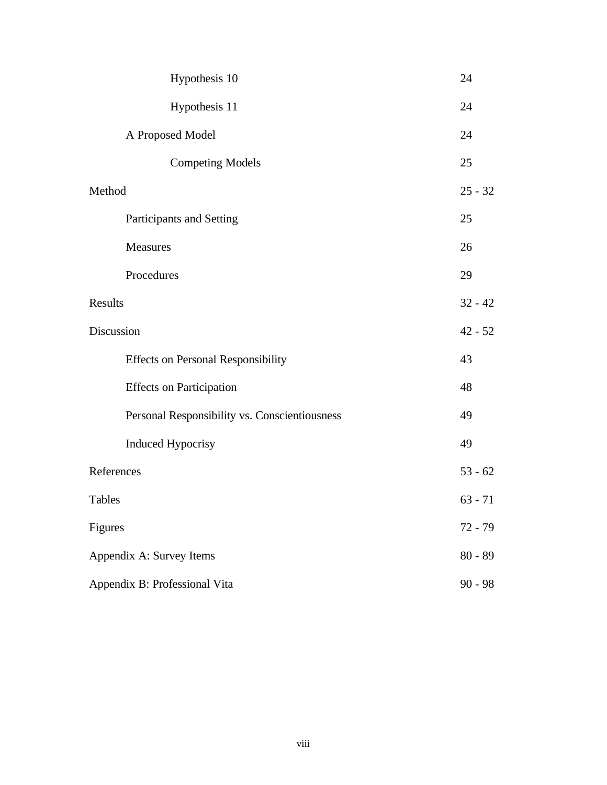|                               | Hypothesis 10                                 |           | 24        |
|-------------------------------|-----------------------------------------------|-----------|-----------|
|                               | Hypothesis 11                                 |           | 24        |
|                               | A Proposed Model                              |           | 24        |
|                               | <b>Competing Models</b>                       |           | 25        |
| Method                        |                                               |           | $25 - 32$ |
|                               | Participants and Setting                      |           | 25        |
|                               | Measures                                      |           | 26        |
|                               | Procedures                                    |           | 29        |
| Results                       |                                               |           | $32 - 42$ |
| Discussion                    |                                               | $42 - 52$ |           |
|                               | <b>Effects on Personal Responsibility</b>     |           | 43        |
|                               | <b>Effects</b> on Participation               |           | 48        |
|                               | Personal Responsibility vs. Conscientiousness |           | 49        |
|                               | <b>Induced Hypocrisy</b>                      |           | 49        |
| References                    |                                               | $53 - 62$ |           |
| <b>Tables</b>                 |                                               |           | $63 - 71$ |
| Figures                       |                                               | $72 - 79$ |           |
| Appendix A: Survey Items      |                                               | $80 - 89$ |           |
| Appendix B: Professional Vita |                                               | $90 - 98$ |           |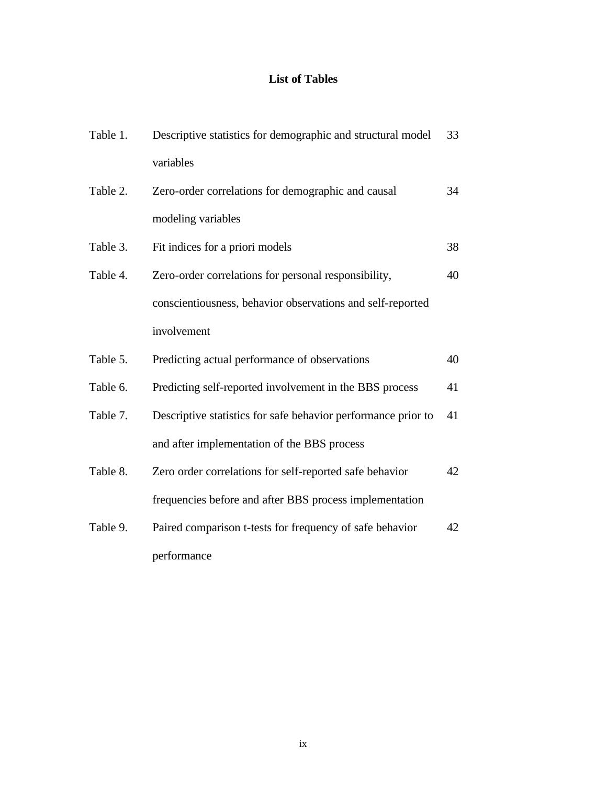# **List of Tables**

| Table 1. | Descriptive statistics for demographic and structural model   | 33 |
|----------|---------------------------------------------------------------|----|
|          | variables                                                     |    |
| Table 2. | Zero-order correlations for demographic and causal            | 34 |
|          | modeling variables                                            |    |
| Table 3. | Fit indices for a priori models                               | 38 |
| Table 4. | Zero-order correlations for personal responsibility,          | 40 |
|          | conscientiousness, behavior observations and self-reported    |    |
|          | involvement                                                   |    |
| Table 5. | Predicting actual performance of observations                 | 40 |
| Table 6. | Predicting self-reported involvement in the BBS process       | 41 |
| Table 7. | Descriptive statistics for safe behavior performance prior to | 41 |
|          | and after implementation of the BBS process                   |    |
| Table 8. | Zero order correlations for self-reported safe behavior       | 42 |
|          | frequencies before and after BBS process implementation       |    |
| Table 9. | Paired comparison t-tests for frequency of safe behavior      | 42 |
|          | performance                                                   |    |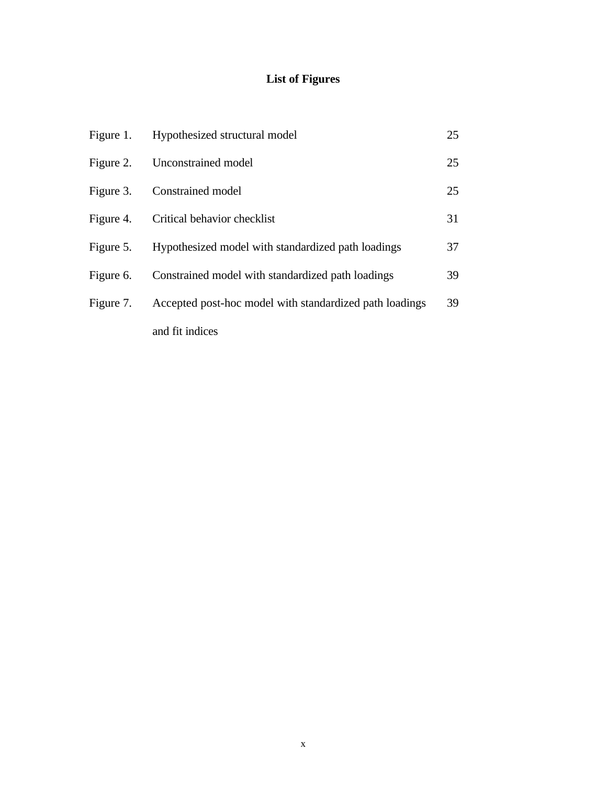# **List of Figures**

|           | Figure 1. Hypothesized structural model                 | 25 |
|-----------|---------------------------------------------------------|----|
|           | Figure 2. Unconstrained model                           | 25 |
| Figure 3. | Constrained model                                       | 25 |
|           | Figure 4. Critical behavior checklist                   | 31 |
| Figure 5. | Hypothesized model with standardized path loadings      | 37 |
| Figure 6. | Constrained model with standardized path loadings       | 39 |
| Figure 7. | Accepted post-hoc model with standardized path loadings | 39 |
|           | and fit indices                                         |    |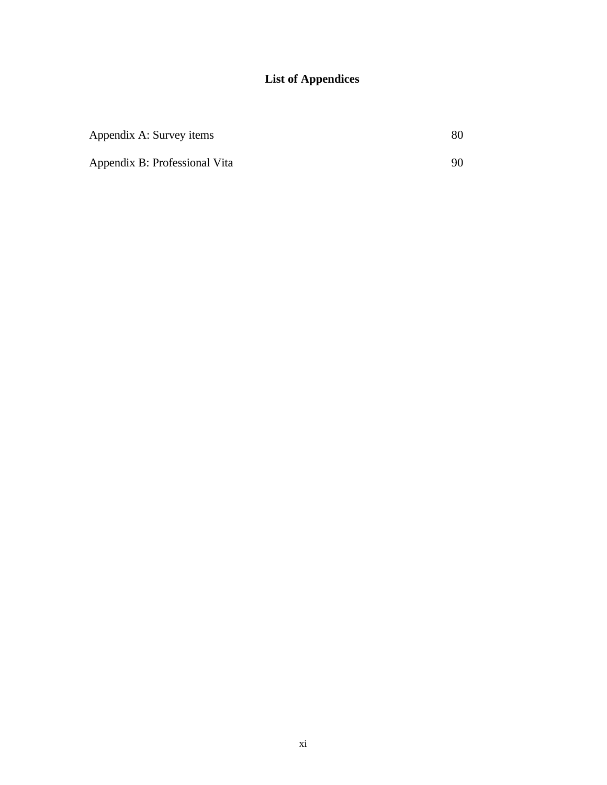# **List of Appendices**

| Appendix A: Survey items      |    |
|-------------------------------|----|
| Appendix B: Professional Vita | 90 |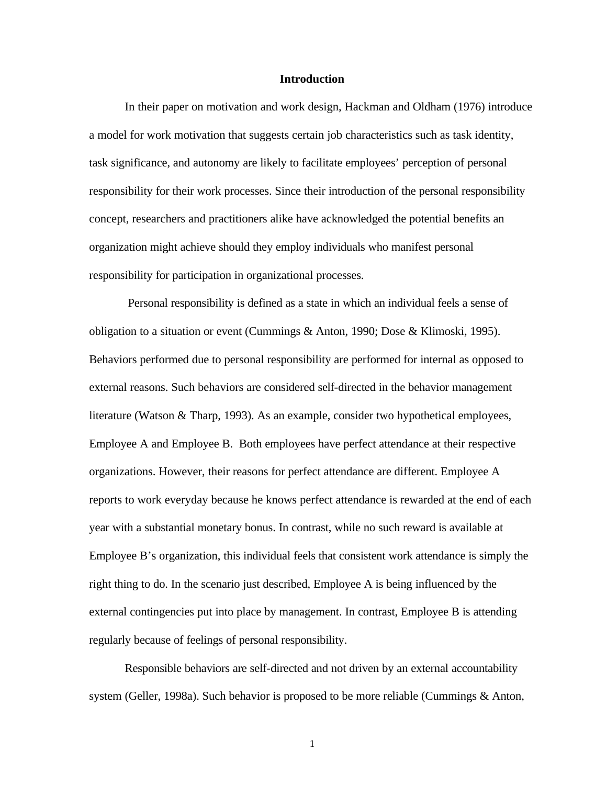#### **Introduction**

In their paper on motivation and work design, Hackman and Oldham (1976) introduce a model for work motivation that suggests certain job characteristics such as task identity, task significance, and autonomy are likely to facilitate employees' perception of personal responsibility for their work processes. Since their introduction of the personal responsibility concept, researchers and practitioners alike have acknowledged the potential benefits an organization might achieve should they employ individuals who manifest personal responsibility for participation in organizational processes.

 Personal responsibility is defined as a state in which an individual feels a sense of obligation to a situation or event (Cummings & Anton, 1990; Dose & Klimoski, 1995). Behaviors performed due to personal responsibility are performed for internal as opposed to external reasons. Such behaviors are considered self-directed in the behavior management literature (Watson & Tharp, 1993). As an example, consider two hypothetical employees, Employee A and Employee B. Both employees have perfect attendance at their respective organizations. However, their reasons for perfect attendance are different. Employee A reports to work everyday because he knows perfect attendance is rewarded at the end of each year with a substantial monetary bonus. In contrast, while no such reward is available at Employee B's organization, this individual feels that consistent work attendance is simply the right thing to do. In the scenario just described, Employee A is being influenced by the external contingencies put into place by management. In contrast, Employee B is attending regularly because of feelings of personal responsibility.

Responsible behaviors are self-directed and not driven by an external accountability system (Geller, 1998a). Such behavior is proposed to be more reliable (Cummings & Anton,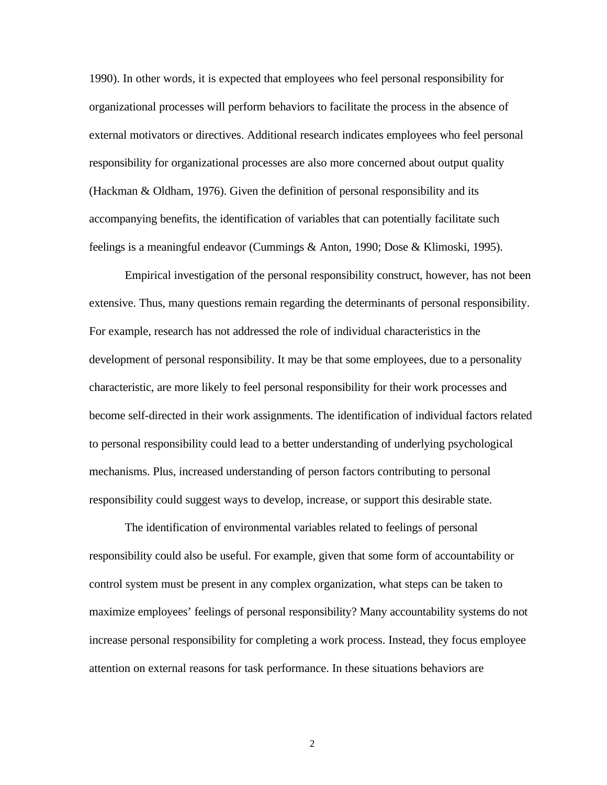1990). In other words, it is expected that employees who feel personal responsibility for organizational processes will perform behaviors to facilitate the process in the absence of external motivators or directives. Additional research indicates employees who feel personal responsibility for organizational processes are also more concerned about output quality (Hackman & Oldham, 1976). Given the definition of personal responsibility and its accompanying benefits, the identification of variables that can potentially facilitate such feelings is a meaningful endeavor (Cummings & Anton, 1990; Dose & Klimoski, 1995).

Empirical investigation of the personal responsibility construct, however, has not been extensive. Thus, many questions remain regarding the determinants of personal responsibility. For example, research has not addressed the role of individual characteristics in the development of personal responsibility. It may be that some employees, due to a personality characteristic, are more likely to feel personal responsibility for their work processes and become self-directed in their work assignments. The identification of individual factors related to personal responsibility could lead to a better understanding of underlying psychological mechanisms. Plus, increased understanding of person factors contributing to personal responsibility could suggest ways to develop, increase, or support this desirable state.

The identification of environmental variables related to feelings of personal responsibility could also be useful. For example, given that some form of accountability or control system must be present in any complex organization, what steps can be taken to maximize employees' feelings of personal responsibility? Many accountability systems do not increase personal responsibility for completing a work process. Instead, they focus employee attention on external reasons for task performance. In these situations behaviors are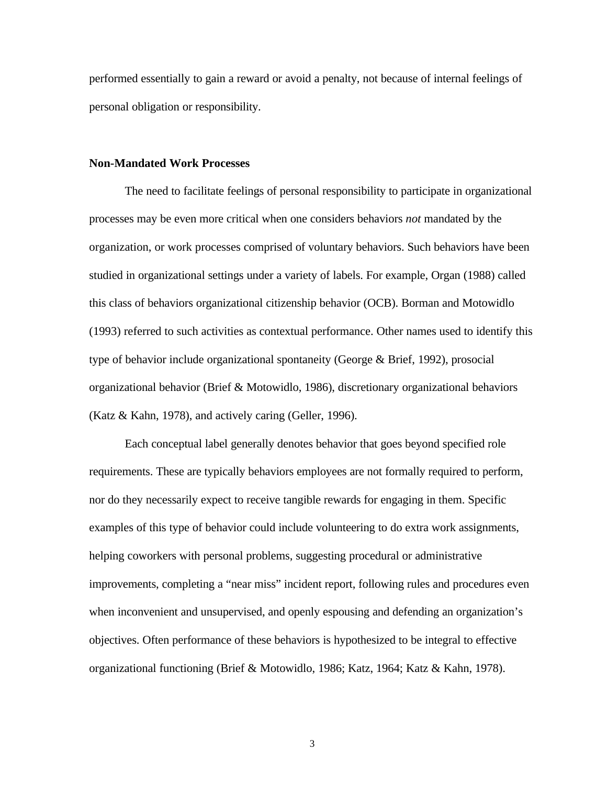performed essentially to gain a reward or avoid a penalty, not because of internal feelings of personal obligation or responsibility.

# **Non-Mandated Work Processes**

The need to facilitate feelings of personal responsibility to participate in organizational processes may be even more critical when one considers behaviors *not* mandated by the organization, or work processes comprised of voluntary behaviors. Such behaviors have been studied in organizational settings under a variety of labels. For example, Organ (1988) called this class of behaviors organizational citizenship behavior (OCB). Borman and Motowidlo (1993) referred to such activities as contextual performance. Other names used to identify this type of behavior include organizational spontaneity (George & Brief, 1992), prosocial organizational behavior (Brief & Motowidlo, 1986), discretionary organizational behaviors (Katz & Kahn, 1978), and actively caring (Geller, 1996).

Each conceptual label generally denotes behavior that goes beyond specified role requirements. These are typically behaviors employees are not formally required to perform, nor do they necessarily expect to receive tangible rewards for engaging in them. Specific examples of this type of behavior could include volunteering to do extra work assignments, helping coworkers with personal problems, suggesting procedural or administrative improvements, completing a "near miss" incident report, following rules and procedures even when inconvenient and unsupervised, and openly espousing and defending an organization's objectives. Often performance of these behaviors is hypothesized to be integral to effective organizational functioning (Brief & Motowidlo, 1986; Katz, 1964; Katz & Kahn, 1978).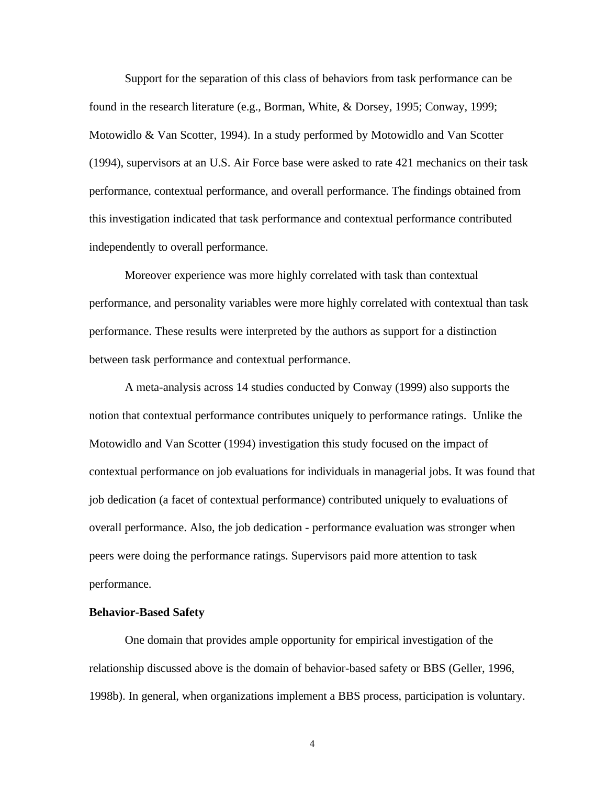Support for the separation of this class of behaviors from task performance can be found in the research literature (e.g., Borman, White, & Dorsey, 1995; Conway, 1999; Motowidlo & Van Scotter, 1994). In a study performed by Motowidlo and Van Scotter (1994), supervisors at an U.S. Air Force base were asked to rate 421 mechanics on their task performance, contextual performance, and overall performance. The findings obtained from this investigation indicated that task performance and contextual performance contributed independently to overall performance.

Moreover experience was more highly correlated with task than contextual performance, and personality variables were more highly correlated with contextual than task performance. These results were interpreted by the authors as support for a distinction between task performance and contextual performance.

A meta-analysis across 14 studies conducted by Conway (1999) also supports the notion that contextual performance contributes uniquely to performance ratings. Unlike the Motowidlo and Van Scotter (1994) investigation this study focused on the impact of contextual performance on job evaluations for individuals in managerial jobs. It was found that job dedication (a facet of contextual performance) contributed uniquely to evaluations of overall performance. Also, the job dedication - performance evaluation was stronger when peers were doing the performance ratings. Supervisors paid more attention to task performance.

## **Behavior-Based Safety**

One domain that provides ample opportunity for empirical investigation of the relationship discussed above is the domain of behavior-based safety or BBS (Geller, 1996, 1998b). In general, when organizations implement a BBS process, participation is voluntary.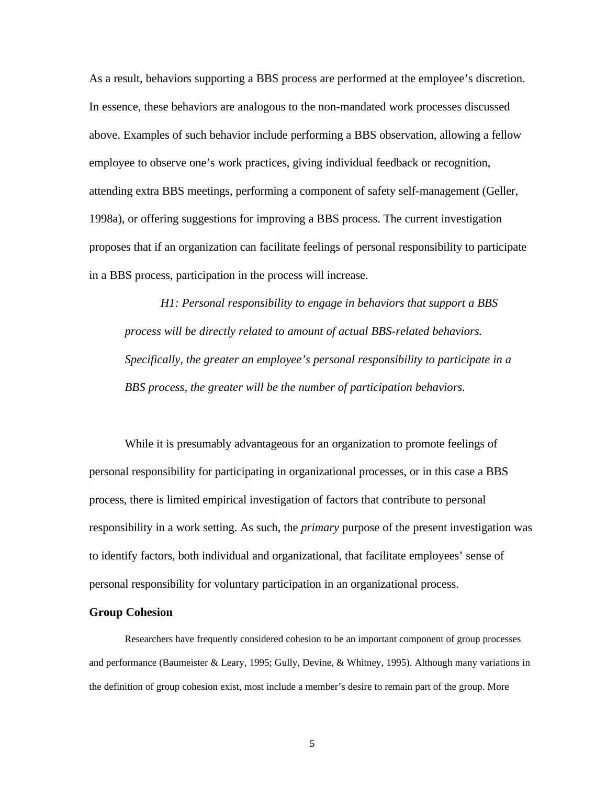As a result, behaviors supporting a BBS process are performed at the employee's discretion. In essence, these behaviors are analogous to the non-mandated work processes discussed above. Examples of such behavior include performing a BBS observation, allowing a fellow employee to observe one's work practices, giving individual feedback or recognition, attending extra BBS meetings, performing a component of safety self-management (Geller, 1998a), or offering suggestions for improving a BBS process. The current investigation proposes that if an organization can facilitate feelings of personal responsibility to participate in a BBS process, participation in the process will increase.

*H1: Personal responsibility to engage in behaviors that support a BBS process will be directly related to amount of actual BBS-related behaviors. Specifically, the greater an employee's personal responsibility to participate in a BBS process, the greater will be the number of participation behaviors.* 

While it is presumably advantageous for an organization to promote feelings of personal responsibility for participating in organizational processes, or in this case a BBS process, there is limited empirical investigation of factors that contribute to personal responsibility in a work setting. As such, the *primary* purpose of the present investigation was to identify factors, both individual and organizational, that facilitate employees' sense of personal responsibility for voluntary participation in an organizational process.

#### **Group Cohesion**

Researchers have frequently considered cohesion to be an important component of group processes and performance (Baumeister & Leary, 1995; Gully, Devine, & Whitney, 1995). Although many variations in the definition of group cohesion exist, most include a member's desire to remain part of the group. More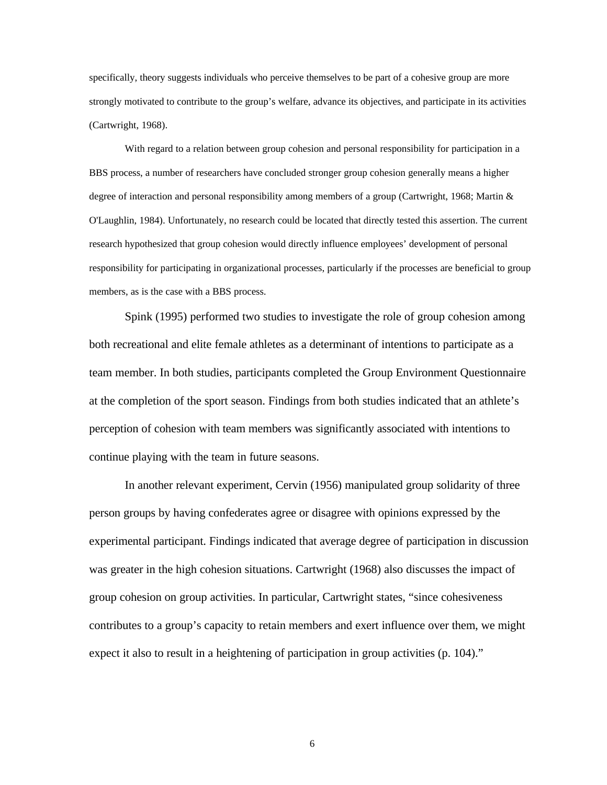specifically, theory suggests individuals who perceive themselves to be part of a cohesive group are more strongly motivated to contribute to the group's welfare, advance its objectives, and participate in its activities (Cartwright, 1968).

With regard to a relation between group cohesion and personal responsibility for participation in a BBS process, a number of researchers have concluded stronger group cohesion generally means a higher degree of interaction and personal responsibility among members of a group (Cartwright, 1968; Martin & O'Laughlin, 1984). Unfortunately, no research could be located that directly tested this assertion. The current research hypothesized that group cohesion would directly influence employees' development of personal responsibility for participating in organizational processes, particularly if the processes are beneficial to group members, as is the case with a BBS process.

Spink (1995) performed two studies to investigate the role of group cohesion among both recreational and elite female athletes as a determinant of intentions to participate as a team member. In both studies, participants completed the Group Environment Questionnaire at the completion of the sport season. Findings from both studies indicated that an athlete's perception of cohesion with team members was significantly associated with intentions to continue playing with the team in future seasons.

In another relevant experiment, Cervin (1956) manipulated group solidarity of three person groups by having confederates agree or disagree with opinions expressed by the experimental participant. Findings indicated that average degree of participation in discussion was greater in the high cohesion situations. Cartwright (1968) also discusses the impact of group cohesion on group activities. In particular, Cartwright states, "since cohesiveness contributes to a group's capacity to retain members and exert influence over them, we might expect it also to result in a heightening of participation in group activities (p. 104)."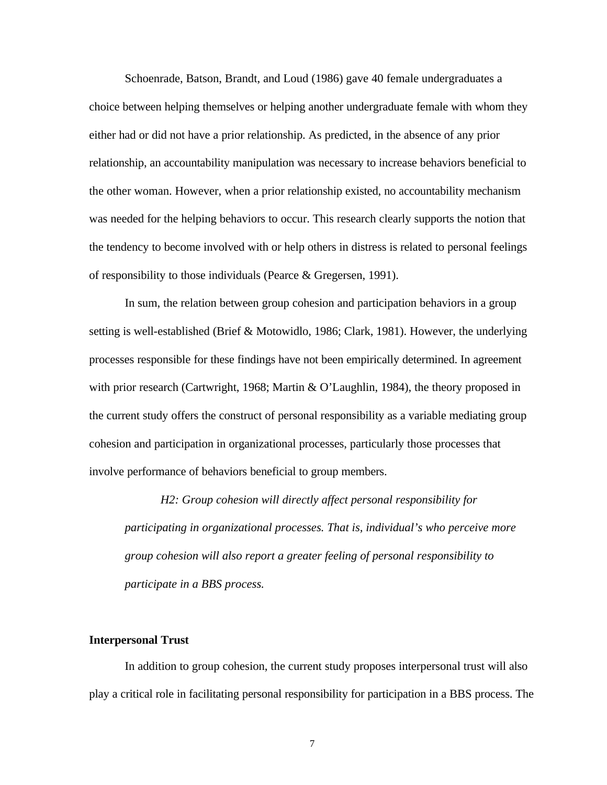Schoenrade, Batson, Brandt, and Loud (1986) gave 40 female undergraduates a choice between helping themselves or helping another undergraduate female with whom they either had or did not have a prior relationship. As predicted, in the absence of any prior relationship, an accountability manipulation was necessary to increase behaviors beneficial to the other woman. However, when a prior relationship existed, no accountability mechanism was needed for the helping behaviors to occur. This research clearly supports the notion that the tendency to become involved with or help others in distress is related to personal feelings of responsibility to those individuals (Pearce & Gregersen, 1991).

In sum, the relation between group cohesion and participation behaviors in a group setting is well-established (Brief & Motowidlo, 1986; Clark, 1981). However, the underlying processes responsible for these findings have not been empirically determined. In agreement with prior research (Cartwright, 1968; Martin & O'Laughlin, 1984), the theory proposed in the current study offers the construct of personal responsibility as a variable mediating group cohesion and participation in organizational processes, particularly those processes that involve performance of behaviors beneficial to group members.

*H2: Group cohesion will directly affect personal responsibility for participating in organizational processes. That is, individual's who perceive more group cohesion will also report a greater feeling of personal responsibility to participate in a BBS process.*

# **Interpersonal Trust**

In addition to group cohesion, the current study proposes interpersonal trust will also play a critical role in facilitating personal responsibility for participation in a BBS process. The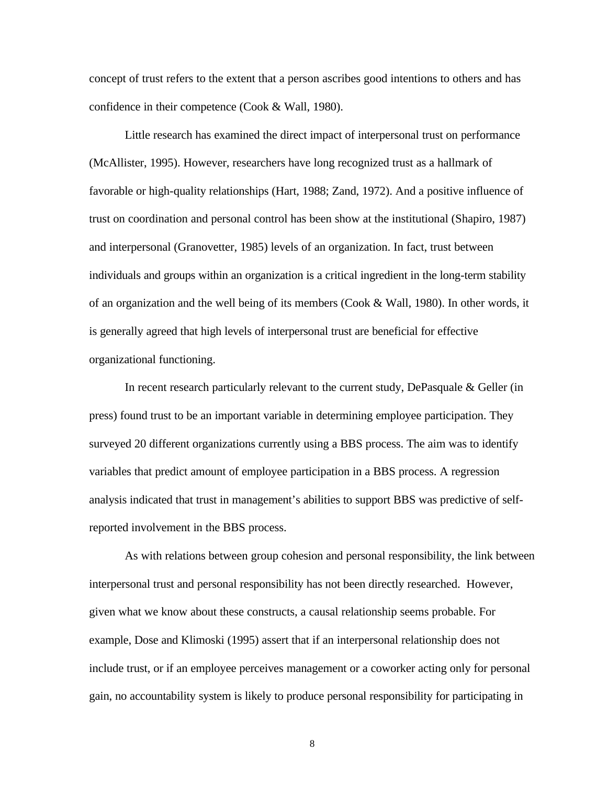concept of trust refers to the extent that a person ascribes good intentions to others and has confidence in their competence (Cook & Wall, 1980).

Little research has examined the direct impact of interpersonal trust on performance (McAllister, 1995). However, researchers have long recognized trust as a hallmark of favorable or high-quality relationships (Hart, 1988; Zand, 1972). And a positive influence of trust on coordination and personal control has been show at the institutional (Shapiro, 1987) and interpersonal (Granovetter, 1985) levels of an organization. In fact, trust between individuals and groups within an organization is a critical ingredient in the long-term stability of an organization and the well being of its members (Cook & Wall, 1980). In other words, it is generally agreed that high levels of interpersonal trust are beneficial for effective organizational functioning.

In recent research particularly relevant to the current study, DePasquale & Geller (in press) found trust to be an important variable in determining employee participation. They surveyed 20 different organizations currently using a BBS process. The aim was to identify variables that predict amount of employee participation in a BBS process. A regression analysis indicated that trust in management's abilities to support BBS was predictive of selfreported involvement in the BBS process.

As with relations between group cohesion and personal responsibility, the link between interpersonal trust and personal responsibility has not been directly researched.However, given what we know about these constructs, a causal relationship seems probable. For example, Dose and Klimoski (1995) assert that if an interpersonal relationship does not include trust, or if an employee perceives management or a coworker acting only for personal gain, no accountability system is likely to produce personal responsibility for participating in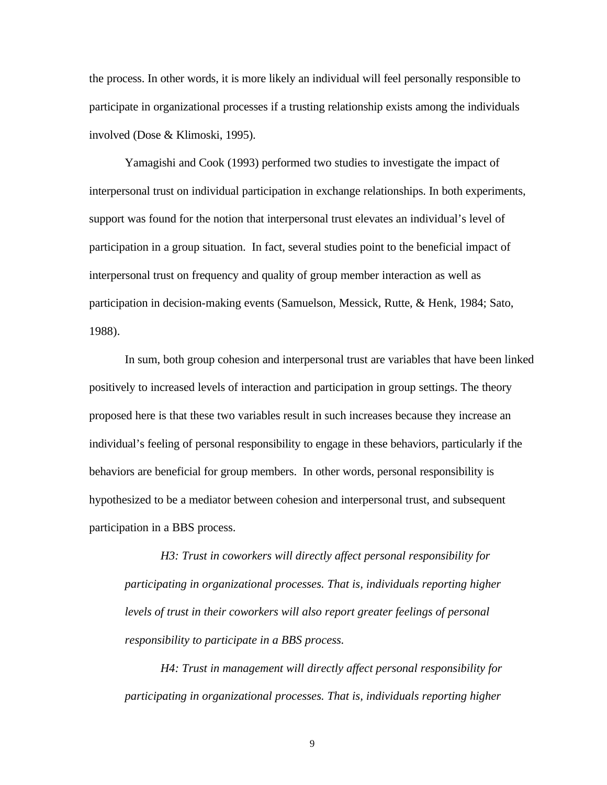the process. In other words, it is more likely an individual will feel personally responsible to participate in organizational processes if a trusting relationship exists among the individuals involved (Dose & Klimoski, 1995).

Yamagishi and Cook (1993) performed two studies to investigate the impact of interpersonal trust on individual participation in exchange relationships. In both experiments, support was found for the notion that interpersonal trust elevates an individual's level of participation in a group situation. In fact, several studies point to the beneficial impact of interpersonal trust on frequency and quality of group member interaction as well as participation in decision-making events (Samuelson, Messick, Rutte, & Henk, 1984; Sato, 1988).

In sum, both group cohesion and interpersonal trust are variables that have been linked positively to increased levels of interaction and participation in group settings. The theory proposed here is that these two variables result in such increases because they increase an individual's feeling of personal responsibility to engage in these behaviors, particularly if the behaviors are beneficial for group members. In other words, personal responsibility is hypothesized to be a mediator between cohesion and interpersonal trust, and subsequent participation in a BBS process.

*H3: Trust in coworkers will directly affect personal responsibility for participating in organizational processes. That is, individuals reporting higher levels of trust in their coworkers will also report greater feelings of personal responsibility to participate in a BBS process.*

*H4: Trust in management will directly affect personal responsibility for participating in organizational processes. That is, individuals reporting higher*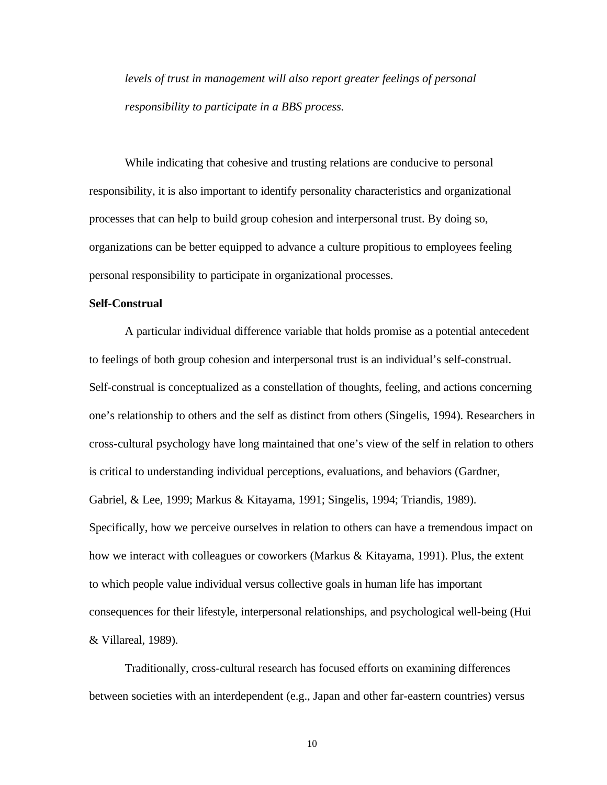*levels of trust in management will also report greater feelings of personal responsibility to participate in a BBS process.*

While indicating that cohesive and trusting relations are conducive to personal responsibility, it is also important to identify personality characteristics and organizational processes that can help to build group cohesion and interpersonal trust. By doing so, organizations can be better equipped to advance a culture propitious to employees feeling personal responsibility to participate in organizational processes.

#### **Self-Construal**

A particular individual difference variable that holds promise as a potential antecedent to feelings of both group cohesion and interpersonal trust is an individual's self-construal. Self-construal is conceptualized as a constellation of thoughts, feeling, and actions concerning one's relationship to others and the self as distinct from others (Singelis, 1994). Researchers in cross-cultural psychology have long maintained that one's view of the self in relation to others is critical to understanding individual perceptions, evaluations, and behaviors (Gardner, Gabriel, & Lee, 1999; Markus & Kitayama, 1991; Singelis, 1994; Triandis, 1989). Specifically, how we perceive ourselves in relation to others can have a tremendous impact on how we interact with colleagues or coworkers (Markus & Kitayama, 1991). Plus, the extent to which people value individual versus collective goals in human life has important consequences for their lifestyle, interpersonal relationships, and psychological well-being (Hui & Villareal, 1989).

Traditionally, cross-cultural research has focused efforts on examining differences between societies with an interdependent (e.g., Japan and other far-eastern countries) versus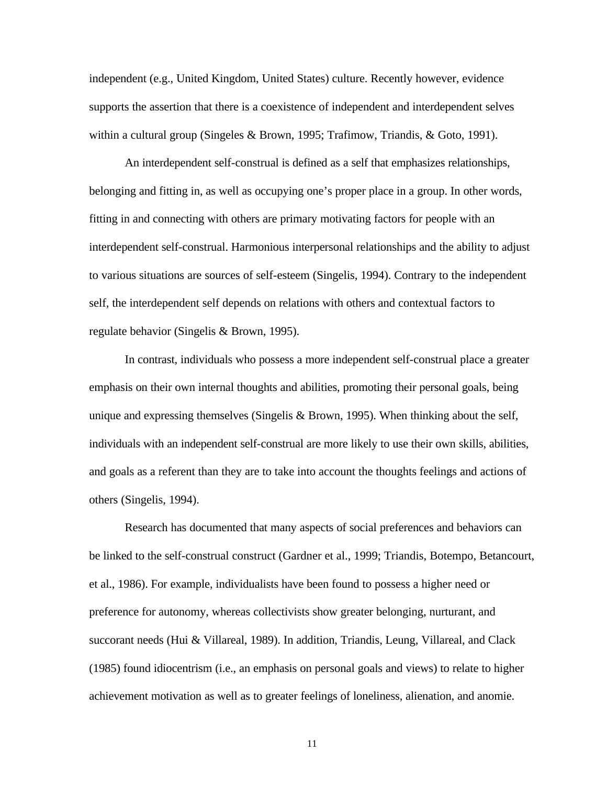independent (e.g., United Kingdom, United States) culture. Recently however, evidence supports the assertion that there is a coexistence of independent and interdependent selves within a cultural group (Singeles & Brown, 1995; Trafimow, Triandis, & Goto, 1991).

An interdependent self-construal is defined as a self that emphasizes relationships, belonging and fitting in, as well as occupying one's proper place in a group. In other words, fitting in and connecting with others are primary motivating factors for people with an interdependent self-construal. Harmonious interpersonal relationships and the ability to adjust to various situations are sources of self-esteem (Singelis, 1994). Contrary to the independent self, the interdependent self depends on relations with others and contextual factors to regulate behavior (Singelis & Brown, 1995).

In contrast, individuals who possess a more independent self-construal place a greater emphasis on their own internal thoughts and abilities, promoting their personal goals, being unique and expressing themselves (Singelis & Brown, 1995). When thinking about the self, individuals with an independent self-construal are more likely to use their own skills, abilities, and goals as a referent than they are to take into account the thoughts feelings and actions of others (Singelis, 1994).

Research has documented that many aspects of social preferences and behaviors can be linked to the self-construal construct (Gardner et al., 1999; Triandis, Botempo, Betancourt, et al., 1986). For example, individualists have been found to possess a higher need or preference for autonomy, whereas collectivists show greater belonging, nurturant, and succorant needs (Hui & Villareal, 1989). In addition, Triandis, Leung, Villareal, and Clack (1985) found idiocentrism (i.e., an emphasis on personal goals and views) to relate to higher achievement motivation as well as to greater feelings of loneliness, alienation, and anomie.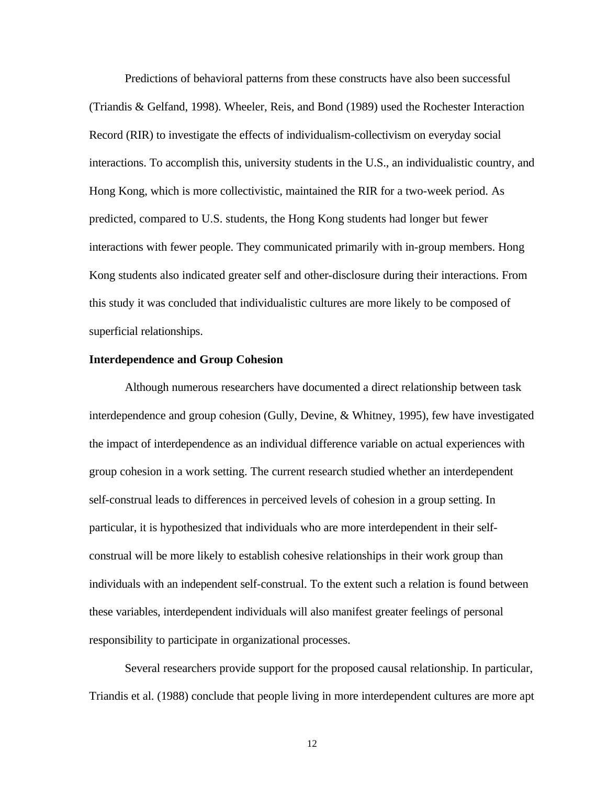Predictions of behavioral patterns from these constructs have also been successful (Triandis & Gelfand, 1998). Wheeler, Reis, and Bond (1989) used the Rochester Interaction Record (RIR) to investigate the effects of individualism-collectivism on everyday social interactions. To accomplish this, university students in the U.S., an individualistic country, and Hong Kong, which is more collectivistic, maintained the RIR for a two-week period. As predicted, compared to U.S. students, the Hong Kong students had longer but fewer interactions with fewer people. They communicated primarily with in-group members. Hong Kong students also indicated greater self and other-disclosure during their interactions. From this study it was concluded that individualistic cultures are more likely to be composed of superficial relationships.

## **Interdependence and Group Cohesion**

Although numerous researchers have documented a direct relationship between task interdependence and group cohesion (Gully, Devine, & Whitney, 1995), few have investigated the impact of interdependence as an individual difference variable on actual experiences with group cohesion in a work setting. The current research studied whether an interdependent self-construal leads to differences in perceived levels of cohesion in a group setting. In particular, it is hypothesized that individuals who are more interdependent in their selfconstrual will be more likely to establish cohesive relationships in their work group than individuals with an independent self-construal. To the extent such a relation is found between these variables, interdependent individuals will also manifest greater feelings of personal responsibility to participate in organizational processes.

Several researchers provide support for the proposed causal relationship. In particular, Triandis et al. (1988) conclude that people living in more interdependent cultures are more apt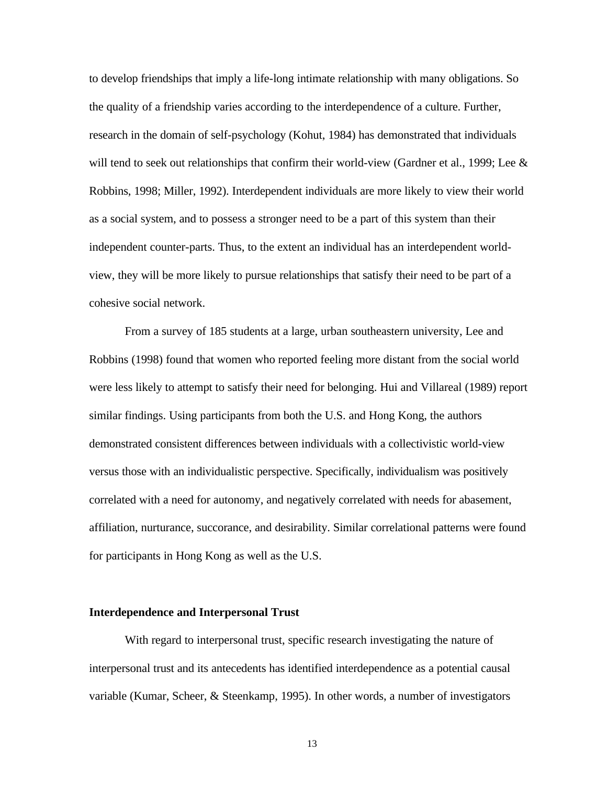to develop friendships that imply a life-long intimate relationship with many obligations. So the quality of a friendship varies according to the interdependence of a culture. Further, research in the domain of self-psychology (Kohut, 1984) has demonstrated that individuals will tend to seek out relationships that confirm their world-view (Gardner et al., 1999; Lee & Robbins, 1998; Miller, 1992). Interdependent individuals are more likely to view their world as a social system, and to possess a stronger need to be a part of this system than their independent counter-parts. Thus, to the extent an individual has an interdependent worldview, they will be more likely to pursue relationships that satisfy their need to be part of a cohesive social network.

From a survey of 185 students at a large, urban southeastern university, Lee and Robbins (1998) found that women who reported feeling more distant from the social world were less likely to attempt to satisfy their need for belonging. Hui and Villareal (1989) report similar findings. Using participants from both the U.S. and Hong Kong, the authors demonstrated consistent differences between individuals with a collectivistic world-view versus those with an individualistic perspective. Specifically, individualism was positively correlated with a need for autonomy, and negatively correlated with needs for abasement, affiliation, nurturance, succorance, and desirability. Similar correlational patterns were found for participants in Hong Kong as well as the U.S.

#### **Interdependence and Interpersonal Trust**

With regard to interpersonal trust, specific research investigating the nature of interpersonal trust and its antecedents has identified interdependence as a potential causal variable (Kumar, Scheer, & Steenkamp, 1995). In other words, a number of investigators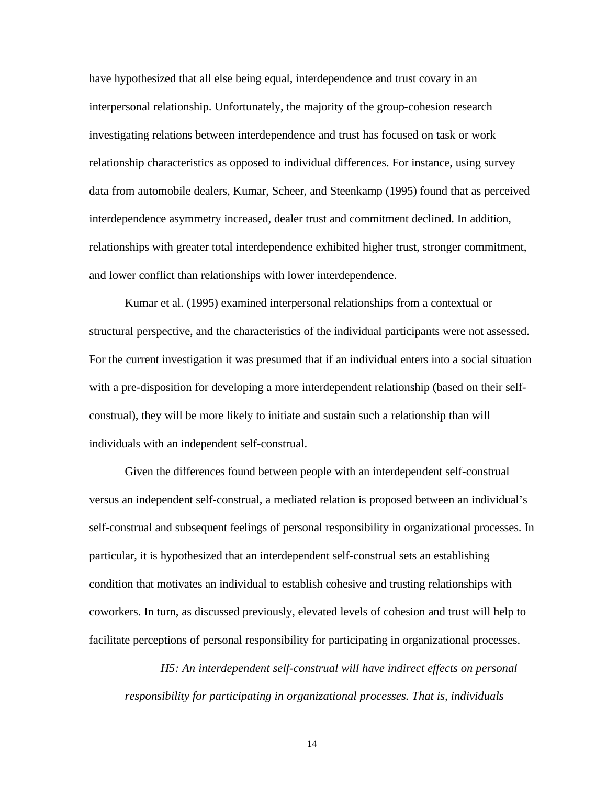have hypothesized that all else being equal, interdependence and trust covary in an interpersonal relationship. Unfortunately, the majority of the group-cohesion research investigating relations between interdependence and trust has focused on task or work relationship characteristics as opposed to individual differences. For instance, using survey data from automobile dealers, Kumar, Scheer, and Steenkamp (1995) found that as perceived interdependence asymmetry increased, dealer trust and commitment declined. In addition, relationships with greater total interdependence exhibited higher trust, stronger commitment, and lower conflict than relationships with lower interdependence.

Kumar et al. (1995) examined interpersonal relationships from a contextual or structural perspective, and the characteristics of the individual participants were not assessed. For the current investigation it was presumed that if an individual enters into a social situation with a pre-disposition for developing a more interdependent relationship (based on their selfconstrual), they will be more likely to initiate and sustain such a relationship than will individuals with an independent self-construal.

Given the differences found between people with an interdependent self-construal versus an independent self-construal, a mediated relation is proposed between an individual's self-construal and subsequent feelings of personal responsibility in organizational processes. In particular, it is hypothesized that an interdependent self-construal sets an establishing condition that motivates an individual to establish cohesive and trusting relationships with coworkers. In turn, as discussed previously, elevated levels of cohesion and trust will help to facilitate perceptions of personal responsibility for participating in organizational processes.

*H5: An interdependent self-construal will have indirect effects on personal responsibility for participating in organizational processes. That is, individuals*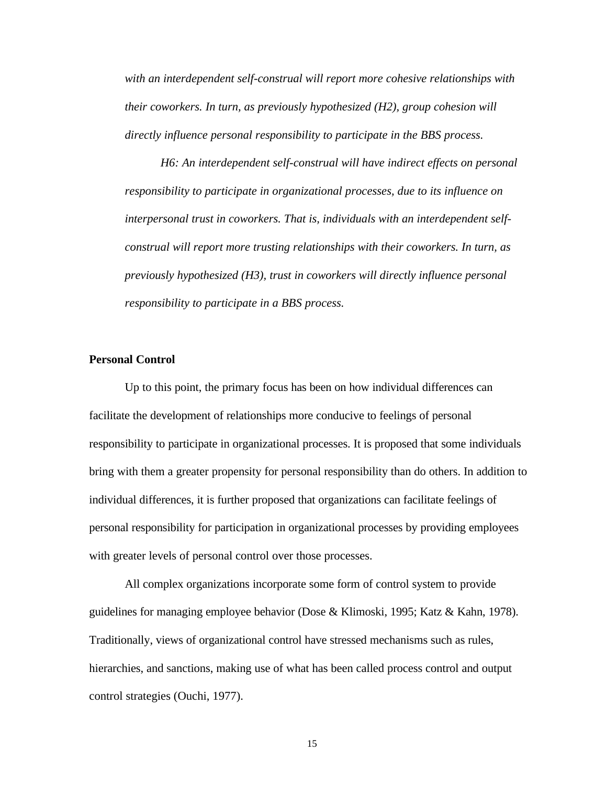*with an interdependent self-construal will report more cohesive relationships with their coworkers. In turn, as previously hypothesized (H2), group cohesion will directly influence personal responsibility to participate in the BBS process.*

*H6: An interdependent self-construal will have indirect effects on personal responsibility to participate in organizational processes, due to its influence on interpersonal trust in coworkers. That is, individuals with an interdependent selfconstrual will report more trusting relationships with their coworkers. In turn, as previously hypothesized (H3), trust in coworkers will directly influence personal responsibility to participate in a BBS process.*

# **Personal Control**

Up to this point, the primary focus has been on how individual differences can facilitate the development of relationships more conducive to feelings of personal responsibility to participate in organizational processes. It is proposed that some individuals bring with them a greater propensity for personal responsibility than do others. In addition to individual differences, it is further proposed that organizations can facilitate feelings of personal responsibility for participation in organizational processes by providing employees with greater levels of personal control over those processes.

All complex organizations incorporate some form of control system to provide guidelines for managing employee behavior (Dose & Klimoski, 1995; Katz & Kahn, 1978). Traditionally, views of organizational control have stressed mechanisms such as rules, hierarchies, and sanctions, making use of what has been called process control and output control strategies (Ouchi, 1977).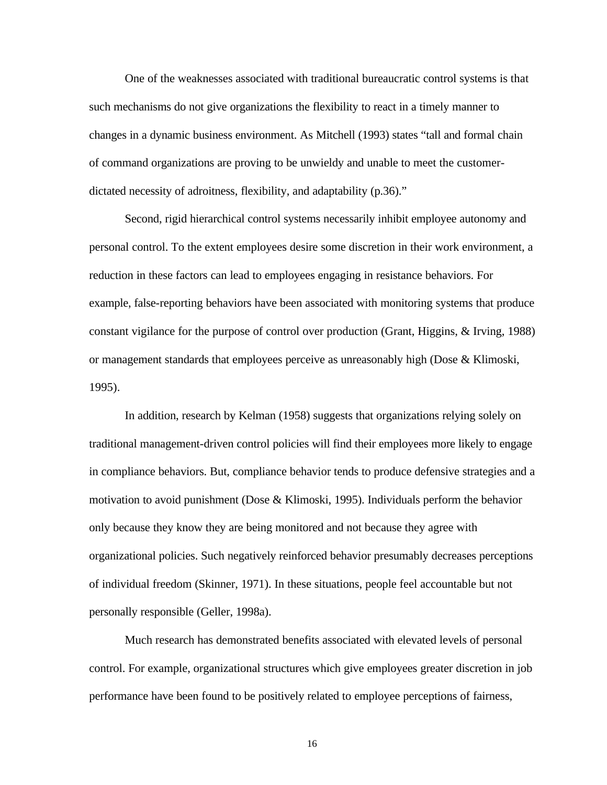One of the weaknesses associated with traditional bureaucratic control systems is that such mechanisms do not give organizations the flexibility to react in a timely manner to changes in a dynamic business environment. As Mitchell (1993) states "tall and formal chain of command organizations are proving to be unwieldy and unable to meet the customerdictated necessity of adroitness, flexibility, and adaptability (p.36)."

Second, rigid hierarchical control systems necessarily inhibit employee autonomy and personal control. To the extent employees desire some discretion in their work environment, a reduction in these factors can lead to employees engaging in resistance behaviors. For example, false-reporting behaviors have been associated with monitoring systems that produce constant vigilance for the purpose of control over production (Grant, Higgins, & Irving, 1988) or management standards that employees perceive as unreasonably high (Dose & Klimoski, 1995).

In addition, research by Kelman (1958) suggests that organizations relying solely on traditional management-driven control policies will find their employees more likely to engage in compliance behaviors. But, compliance behavior tends to produce defensive strategies and a motivation to avoid punishment (Dose & Klimoski, 1995). Individuals perform the behavior only because they know they are being monitored and not because they agree with organizational policies. Such negatively reinforced behavior presumably decreases perceptions of individual freedom (Skinner, 1971). In these situations, people feel accountable but not personally responsible (Geller, 1998a).

Much research has demonstrated benefits associated with elevated levels of personal control. For example, organizational structures which give employees greater discretion in job performance have been found to be positively related to employee perceptions of fairness,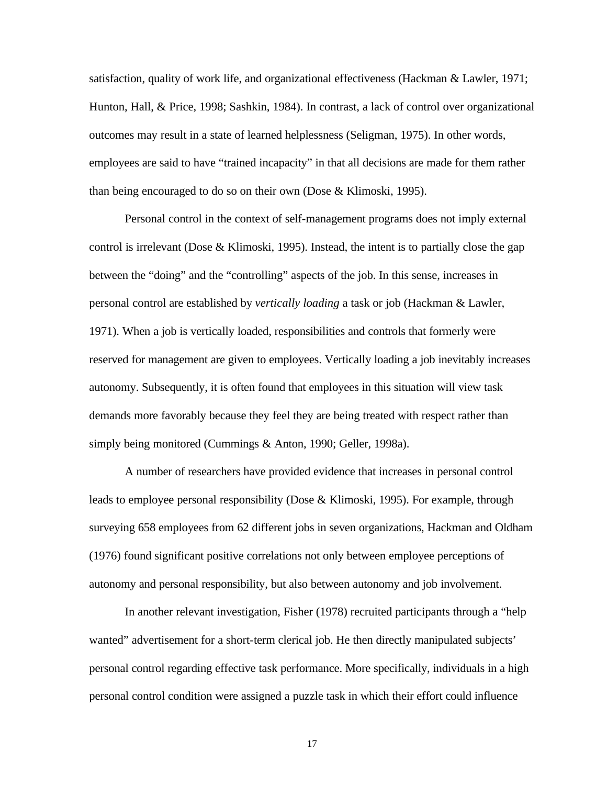satisfaction, quality of work life, and organizational effectiveness (Hackman & Lawler, 1971; Hunton, Hall, & Price, 1998; Sashkin, 1984). In contrast, a lack of control over organizational outcomes may result in a state of learned helplessness (Seligman, 1975). In other words, employees are said to have "trained incapacity" in that all decisions are made for them rather than being encouraged to do so on their own (Dose & Klimoski, 1995).

Personal control in the context of self-management programs does not imply external control is irrelevant (Dose & Klimoski, 1995). Instead, the intent is to partially close the gap between the "doing" and the "controlling" aspects of the job. In this sense, increases in personal control are established by *vertically loading* a task or job (Hackman & Lawler, 1971). When a job is vertically loaded, responsibilities and controls that formerly were reserved for management are given to employees. Vertically loading a job inevitably increases autonomy. Subsequently, it is often found that employees in this situation will view task demands more favorably because they feel they are being treated with respect rather than simply being monitored (Cummings & Anton, 1990; Geller, 1998a).

A number of researchers have provided evidence that increases in personal control leads to employee personal responsibility (Dose & Klimoski, 1995). For example, through surveying 658 employees from 62 different jobs in seven organizations, Hackman and Oldham (1976) found significant positive correlations not only between employee perceptions of autonomy and personal responsibility, but also between autonomy and job involvement.

In another relevant investigation, Fisher (1978) recruited participants through a "help wanted" advertisement for a short-term clerical job. He then directly manipulated subjects' personal control regarding effective task performance. More specifically, individuals in a high personal control condition were assigned a puzzle task in which their effort could influence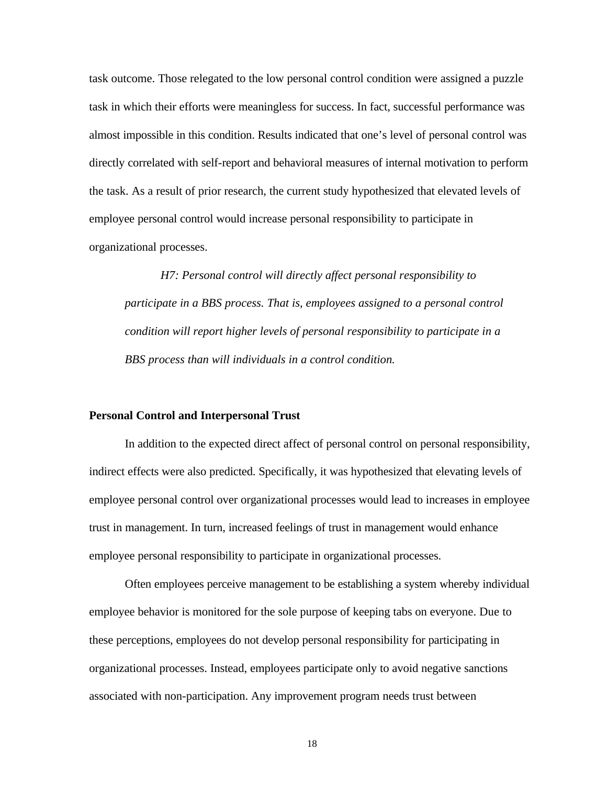task outcome. Those relegated to the low personal control condition were assigned a puzzle task in which their efforts were meaningless for success. In fact, successful performance was almost impossible in this condition. Results indicated that one's level of personal control was directly correlated with self-report and behavioral measures of internal motivation to perform the task. As a result of prior research, the current study hypothesized that elevated levels of employee personal control would increase personal responsibility to participate in organizational processes.

*H7: Personal control will directly affect personal responsibility to participate in a BBS process. That is, employees assigned to a personal control condition will report higher levels of personal responsibility to participate in a BBS process than will individuals in a control condition.*

#### **Personal Control and Interpersonal Trust**

In addition to the expected direct affect of personal control on personal responsibility, indirect effects were also predicted. Specifically, it was hypothesized that elevating levels of employee personal control over organizational processes would lead to increases in employee trust in management. In turn, increased feelings of trust in management would enhance employee personal responsibility to participate in organizational processes.

Often employees perceive management to be establishing a system whereby individual employee behavior is monitored for the sole purpose of keeping tabs on everyone. Due to these perceptions, employees do not develop personal responsibility for participating in organizational processes. Instead, employees participate only to avoid negative sanctions associated with non-participation. Any improvement program needs trust between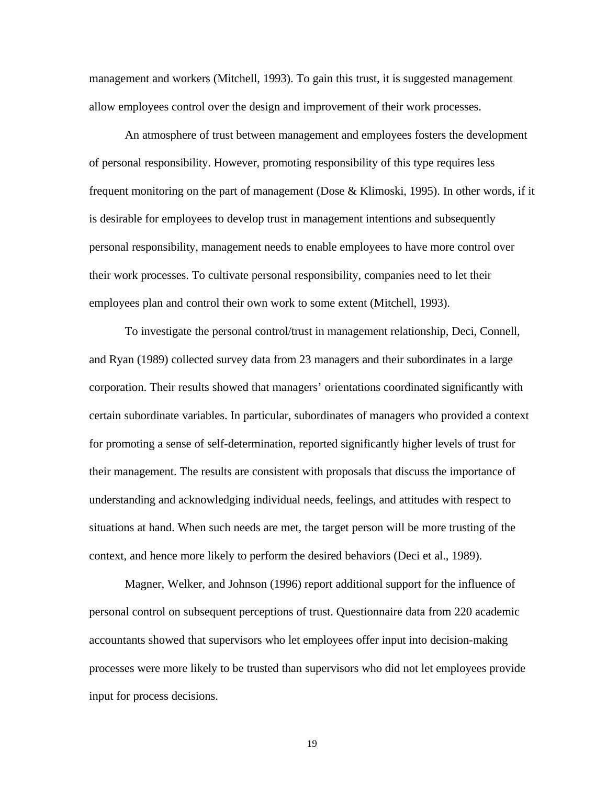management and workers (Mitchell, 1993). To gain this trust, it is suggested management allow employees control over the design and improvement of their work processes.

An atmosphere of trust between management and employees fosters the development of personal responsibility. However, promoting responsibility of this type requires less frequent monitoring on the part of management (Dose & Klimoski, 1995). In other words, if it is desirable for employees to develop trust in management intentions and subsequently personal responsibility, management needs to enable employees to have more control over their work processes. To cultivate personal responsibility, companies need to let their employees plan and control their own work to some extent (Mitchell, 1993).

To investigate the personal control/trust in management relationship, Deci, Connell, and Ryan (1989) collected survey data from 23 managers and their subordinates in a large corporation. Their results showed that managers' orientations coordinated significantly with certain subordinate variables. In particular, subordinates of managers who provided a context for promoting a sense of self-determination, reported significantly higher levels of trust for their management. The results are consistent with proposals that discuss the importance of understanding and acknowledging individual needs, feelings, and attitudes with respect to situations at hand. When such needs are met, the target person will be more trusting of the context, and hence more likely to perform the desired behaviors (Deci et al., 1989).

Magner, Welker, and Johnson (1996) report additional support for the influence of personal control on subsequent perceptions of trust. Questionnaire data from 220 academic accountants showed that supervisors who let employees offer input into decision-making processes were more likely to be trusted than supervisors who did not let employees provide input for process decisions.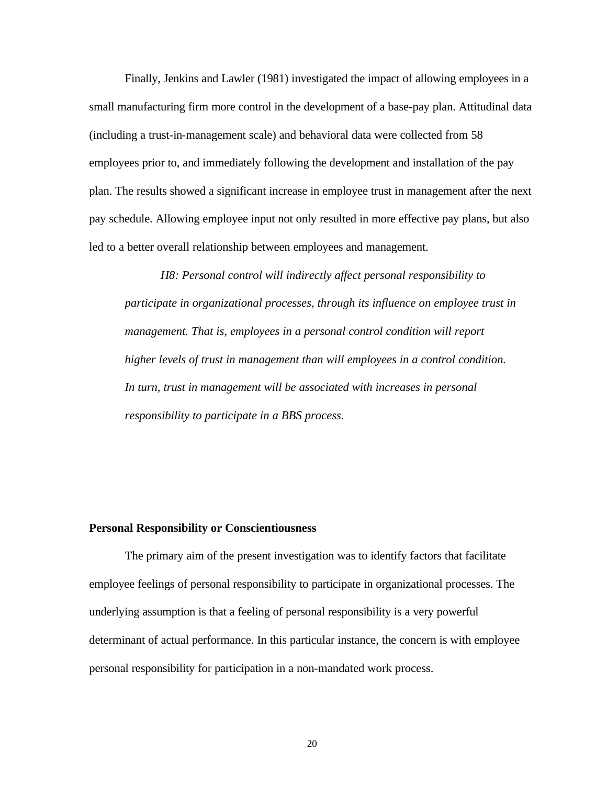Finally, Jenkins and Lawler (1981) investigated the impact of allowing employees in a small manufacturing firm more control in the development of a base-pay plan. Attitudinal data (including a trust-in-management scale) and behavioral data were collected from 58 employees prior to, and immediately following the development and installation of the pay plan. The results showed a significant increase in employee trust in management after the next pay schedule. Allowing employee input not only resulted in more effective pay plans, but also led to a better overall relationship between employees and management.

*H8: Personal control will indirectly affect personal responsibility to participate in organizational processes, through its influence on employee trust in management. That is, employees in a personal control condition will report higher levels of trust in management than will employees in a control condition. In turn, trust in management will be associated with increases in personal responsibility to participate in a BBS process.*

#### **Personal Responsibility or Conscientiousness**

The primary aim of the present investigation was to identify factors that facilitate employee feelings of personal responsibility to participate in organizational processes. The underlying assumption is that a feeling of personal responsibility is a very powerful determinant of actual performance. In this particular instance, the concern is with employee personal responsibility for participation in a non-mandated work process.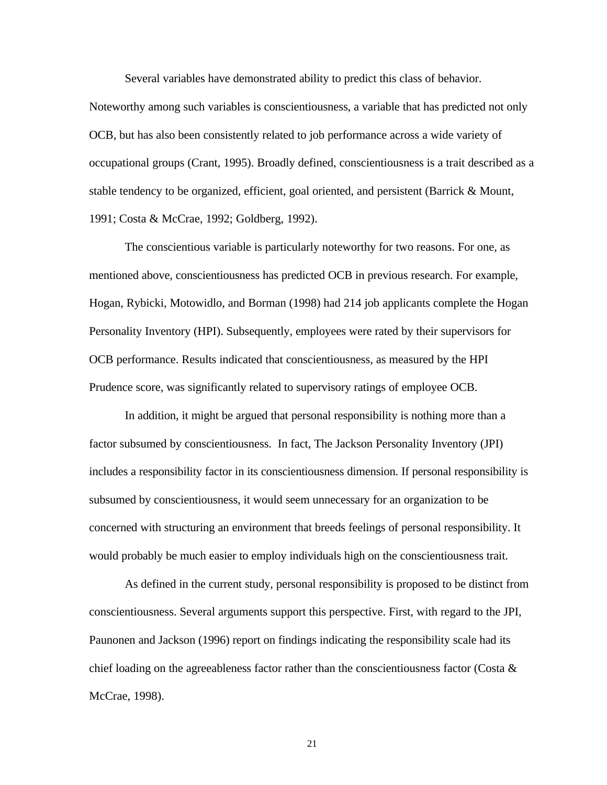Several variables have demonstrated ability to predict this class of behavior.

Noteworthy among such variables is conscientiousness, a variable that has predicted not only OCB, but has also been consistently related to job performance across a wide variety of occupational groups (Crant, 1995). Broadly defined, conscientiousness is a trait described as a stable tendency to be organized, efficient, goal oriented, and persistent (Barrick & Mount, 1991; Costa & McCrae, 1992; Goldberg, 1992).

The conscientious variable is particularly noteworthy for two reasons. For one, as mentioned above, conscientiousness has predicted OCB in previous research. For example, Hogan, Rybicki, Motowidlo, and Borman (1998) had 214 job applicants complete the Hogan Personality Inventory (HPI). Subsequently, employees were rated by their supervisors for OCB performance. Results indicated that conscientiousness, as measured by the HPI Prudence score, was significantly related to supervisory ratings of employee OCB.

In addition, it might be argued that personal responsibility is nothing more than a factor subsumed by conscientiousness. In fact, The Jackson Personality Inventory (JPI) includes a responsibility factor in its conscientiousness dimension. If personal responsibility is subsumed by conscientiousness, it would seem unnecessary for an organization to be concerned with structuring an environment that breeds feelings of personal responsibility. It would probably be much easier to employ individuals high on the conscientiousness trait.

As defined in the current study, personal responsibility is proposed to be distinct from conscientiousness. Several arguments support this perspective. First, with regard to the JPI, Paunonen and Jackson (1996) report on findings indicating the responsibility scale had its chief loading on the agreeableness factor rather than the conscientiousness factor (Costa & McCrae, 1998).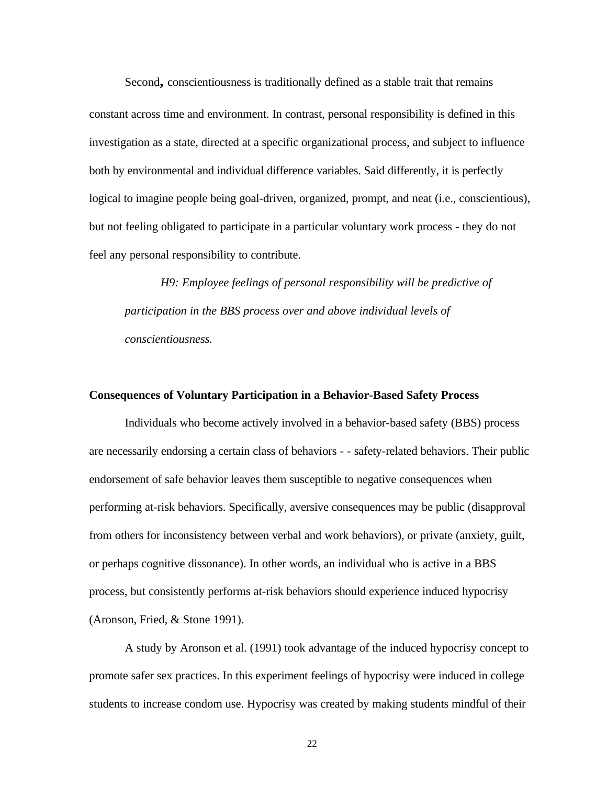Second**,** conscientiousness is traditionally defined as a stable trait that remains constant across time and environment. In contrast, personal responsibility is defined in this investigation as a state, directed at a specific organizational process, and subject to influence both by environmental and individual difference variables. Said differently, it is perfectly logical to imagine people being goal-driven, organized, prompt, and neat (i.e., conscientious), but not feeling obligated to participate in a particular voluntary work process - they do not feel any personal responsibility to contribute.

*H9: Employee feelings of personal responsibility will be predictive of participation in the BBS process over and above individual levels of conscientiousness.*

#### **Consequences of Voluntary Participation in a Behavior-Based Safety Process**

Individuals who become actively involved in a behavior-based safety (BBS) process are necessarily endorsing a certain class of behaviors - - safety-related behaviors. Their public endorsement of safe behavior leaves them susceptible to negative consequences when performing at-risk behaviors. Specifically, aversive consequences may be public (disapproval from others for inconsistency between verbal and work behaviors), or private (anxiety, guilt, or perhaps cognitive dissonance). In other words, an individual who is active in a BBS process, but consistently performs at-risk behaviors should experience induced hypocrisy (Aronson, Fried, & Stone 1991).

A study by Aronson et al. (1991) took advantage of the induced hypocrisy concept to promote safer sex practices. In this experiment feelings of hypocrisy were induced in college students to increase condom use. Hypocrisy was created by making students mindful of their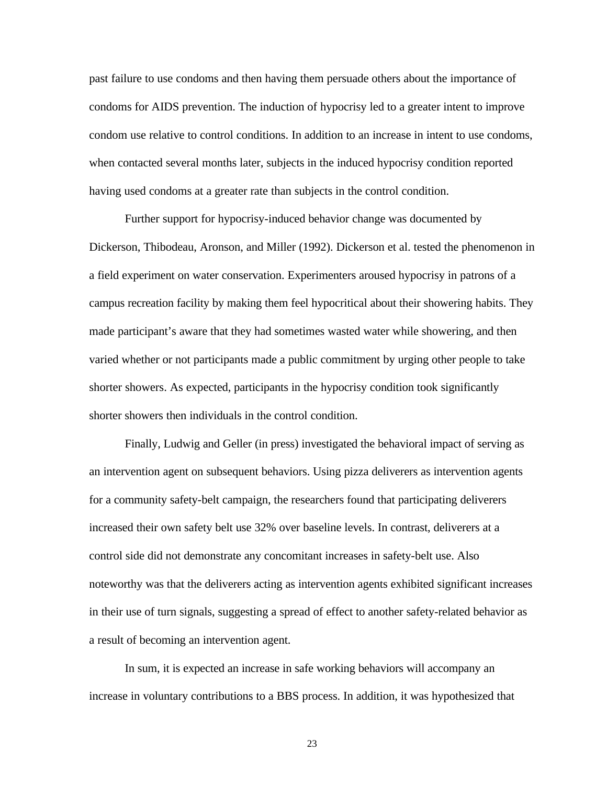past failure to use condoms and then having them persuade others about the importance of condoms for AIDS prevention. The induction of hypocrisy led to a greater intent to improve condom use relative to control conditions. In addition to an increase in intent to use condoms, when contacted several months later, subjects in the induced hypocrisy condition reported having used condoms at a greater rate than subjects in the control condition.

Further support for hypocrisy-induced behavior change was documented by Dickerson, Thibodeau, Aronson, and Miller (1992). Dickerson et al. tested the phenomenon in a field experiment on water conservation. Experimenters aroused hypocrisy in patrons of a campus recreation facility by making them feel hypocritical about their showering habits. They made participant's aware that they had sometimes wasted water while showering, and then varied whether or not participants made a public commitment by urging other people to take shorter showers. As expected, participants in the hypocrisy condition took significantly shorter showers then individuals in the control condition.

Finally, Ludwig and Geller (in press) investigated the behavioral impact of serving as an intervention agent on subsequent behaviors. Using pizza deliverers as intervention agents for a community safety-belt campaign, the researchers found that participating deliverers increased their own safety belt use 32% over baseline levels. In contrast, deliverers at a control side did not demonstrate any concomitant increases in safety-belt use. Also noteworthy was that the deliverers acting as intervention agents exhibited significant increases in their use of turn signals, suggesting a spread of effect to another safety-related behavior as a result of becoming an intervention agent.

In sum, it is expected an increase in safe working behaviors will accompany an increase in voluntary contributions to a BBS process. In addition, it was hypothesized that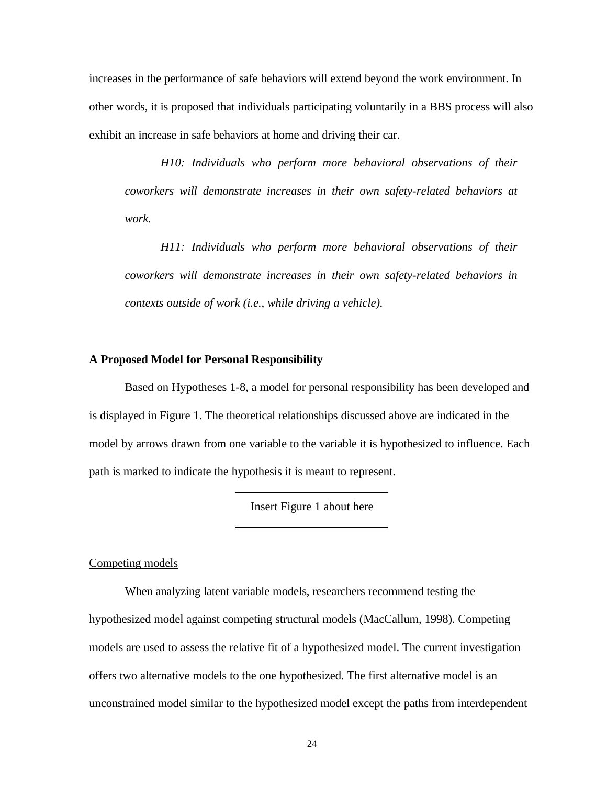increases in the performance of safe behaviors will extend beyond the work environment. In other words, it is proposed that individuals participating voluntarily in a BBS process will also exhibit an increase in safe behaviors at home and driving their car.

*H10: Individuals who perform more behavioral observations of their coworkers will demonstrate increases in their own safety-related behaviors at work.*

*H11: Individuals who perform more behavioral observations of their coworkers will demonstrate increases in their own safety-related behaviors in contexts outside of work (i.e., while driving a vehicle).*

# **A Proposed Model for Personal Responsibility**

Based on Hypotheses 1-8, a model for personal responsibility has been developed and is displayed in Figure 1. The theoretical relationships discussed above are indicated in the model by arrows drawn from one variable to the variable it is hypothesized to influence. Each path is marked to indicate the hypothesis it is meant to represent.

Insert Figure 1 about here

Competing models

When analyzing latent variable models, researchers recommend testing the hypothesized model against competing structural models (MacCallum, 1998). Competing models are used to assess the relative fit of a hypothesized model. The current investigation offers two alternative models to the one hypothesized. The first alternative model is an unconstrained model similar to the hypothesized model except the paths from interdependent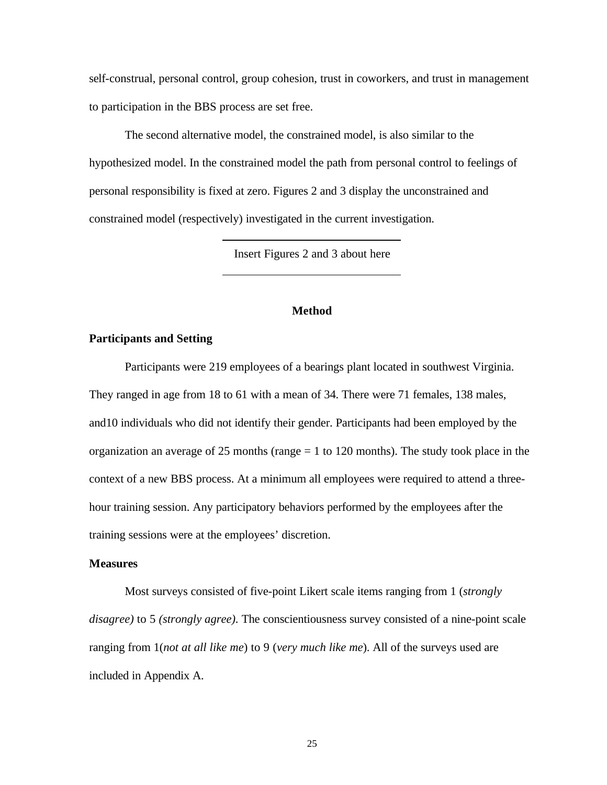self-construal, personal control, group cohesion, trust in coworkers, and trust in management to participation in the BBS process are set free.

The second alternative model, the constrained model, is also similar to the hypothesized model. In the constrained model the path from personal control to feelings of personal responsibility is fixed at zero. Figures 2 and 3 display the unconstrained and constrained model (respectively) investigated in the current investigation.

Insert Figures 2 and 3 about here

# **Method**

## **Participants and Setting**

Participants were 219 employees of a bearings plant located in southwest Virginia. They ranged in age from 18 to 61 with a mean of 34. There were 71 females, 138 males, and10 individuals who did not identify their gender. Participants had been employed by the organization an average of 25 months (range  $= 1$  to 120 months). The study took place in the context of a new BBS process. At a minimum all employees were required to attend a threehour training session. Any participatory behaviors performed by the employees after the training sessions were at the employees' discretion.

#### **Measures**

Most surveys consisted of five-point Likert scale items ranging from 1 (*strongly disagree)* to 5 *(strongly agree).* The conscientiousness survey consisted of a nine-point scale ranging from 1(*not at all like me*) to 9 (*very much like me*). All of the surveys used are included in Appendix A.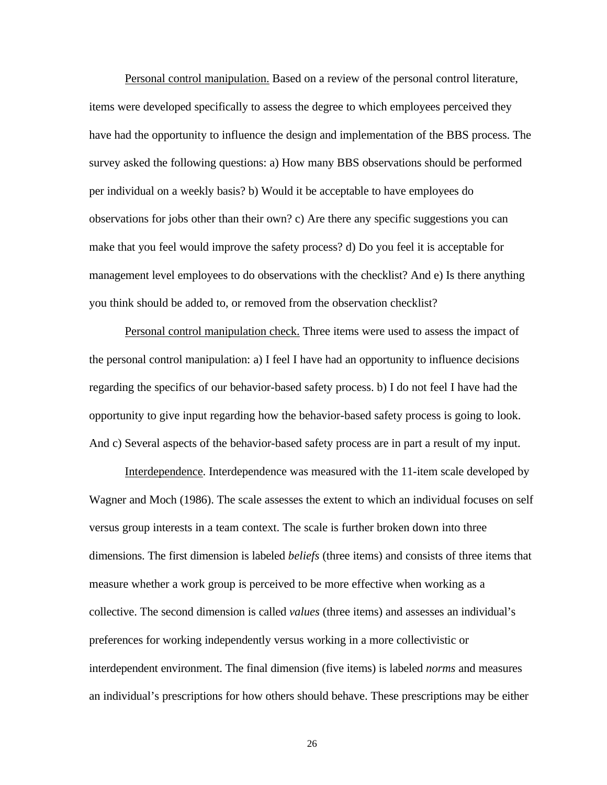Personal control manipulation. Based on a review of the personal control literature, items were developed specifically to assess the degree to which employees perceived they have had the opportunity to influence the design and implementation of the BBS process. The survey asked the following questions: a) How many BBS observations should be performed per individual on a weekly basis? b) Would it be acceptable to have employees do observations for jobs other than their own? c) Are there any specific suggestions you can make that you feel would improve the safety process? d) Do you feel it is acceptable for management level employees to do observations with the checklist? And e) Is there anything you think should be added to, or removed from the observation checklist?

Personal control manipulation check. Three items were used to assess the impact of the personal control manipulation: a) I feel I have had an opportunity to influence decisions regarding the specifics of our behavior-based safety process. b) I do not feel I have had the opportunity to give input regarding how the behavior-based safety process is going to look. And c) Several aspects of the behavior-based safety process are in part a result of my input.

Interdependence. Interdependence was measured with the 11-item scale developed by Wagner and Moch (1986). The scale assesses the extent to which an individual focuses on self versus group interests in a team context. The scale is further broken down into three dimensions. The first dimension is labeled *beliefs* (three items) and consists of three items that measure whether a work group is perceived to be more effective when working as a collective. The second dimension is called *values* (three items) and assesses an individual's preferences for working independently versus working in a more collectivistic or interdependent environment. The final dimension (five items) is labeled *norms* and measures an individual's prescriptions for how others should behave. These prescriptions may be either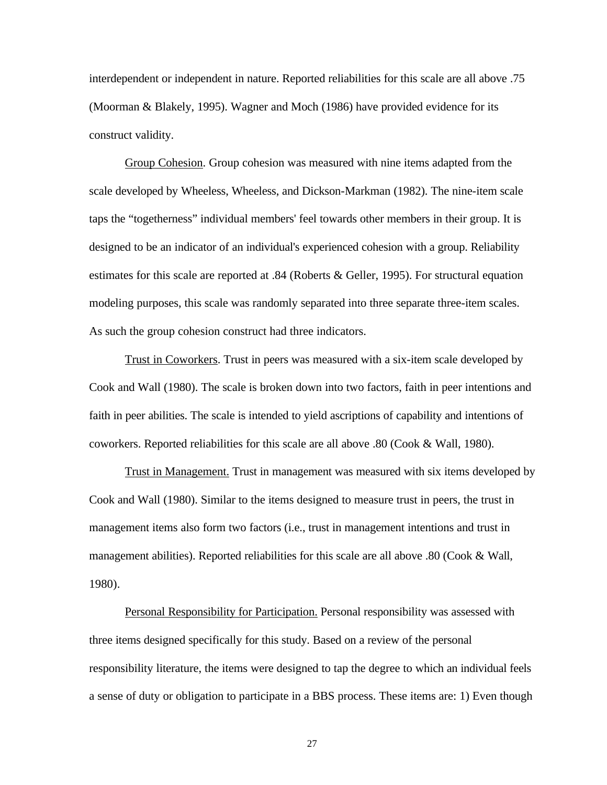interdependent or independent in nature. Reported reliabilities for this scale are all above .75 (Moorman & Blakely, 1995). Wagner and Moch (1986) have provided evidence for its construct validity.

Group Cohesion. Group cohesion was measured with nine items adapted from the scale developed by Wheeless, Wheeless, and Dickson-Markman (1982). The nine-item scale taps the "togetherness" individual members' feel towards other members in their group. It is designed to be an indicator of an individual's experienced cohesion with a group. Reliability estimates for this scale are reported at .84 (Roberts & Geller, 1995). For structural equation modeling purposes, this scale was randomly separated into three separate three-item scales. As such the group cohesion construct had three indicators.

Trust in Coworkers. Trust in peers was measured with a six-item scale developed by Cook and Wall (1980). The scale is broken down into two factors, faith in peer intentions and faith in peer abilities. The scale is intended to yield ascriptions of capability and intentions of coworkers. Reported reliabilities for this scale are all above .80 (Cook & Wall, 1980).

Trust in Management. Trust in management was measured with six items developed by Cook and Wall (1980). Similar to the items designed to measure trust in peers, the trust in management items also form two factors (i.e., trust in management intentions and trust in management abilities). Reported reliabilities for this scale are all above .80 (Cook & Wall, 1980).

Personal Responsibility for Participation. Personal responsibility was assessed with three items designed specifically for this study. Based on a review of the personal responsibility literature, the items were designed to tap the degree to which an individual feels a sense of duty or obligation to participate in a BBS process. These items are: 1) Even though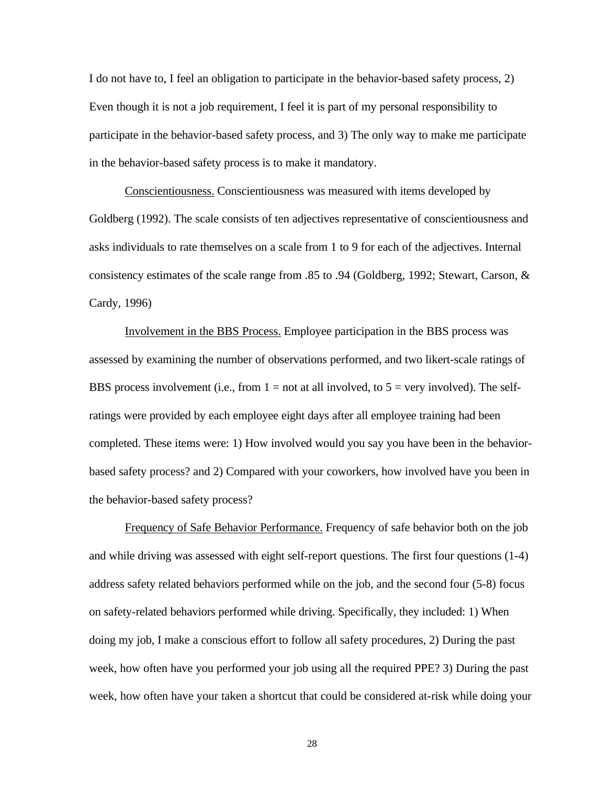I do not have to, I feel an obligation to participate in the behavior-based safety process, 2) Even though it is not a job requirement, I feel it is part of my personal responsibility to participate in the behavior-based safety process, and 3) The only way to make me participate in the behavior-based safety process is to make it mandatory.

Conscientiousness. Conscientiousness was measured with items developed by Goldberg (1992). The scale consists of ten adjectives representative of conscientiousness and asks individuals to rate themselves on a scale from 1 to 9 for each of the adjectives. Internal consistency estimates of the scale range from .85 to .94 (Goldberg, 1992; Stewart, Carson, & Cardy, 1996)

Involvement in the BBS Process. Employee participation in the BBS process was assessed by examining the number of observations performed, and two likert-scale ratings of BBS process involvement (i.e., from  $1 = not$  at all involved, to  $5 = very$  involved). The selfratings were provided by each employee eight days after all employee training had been completed. These items were: 1) How involved would you say you have been in the behaviorbased safety process? and 2) Compared with your coworkers, how involved have you been in the behavior-based safety process?

Frequency of Safe Behavior Performance. Frequency of safe behavior both on the job and while driving was assessed with eight self-report questions. The first four questions (1-4) address safety related behaviors performed while on the job, and the second four (5-8) focus on safety-related behaviors performed while driving. Specifically, they included: 1) When doing my job, I make a conscious effort to follow all safety procedures, 2) During the past week, how often have you performed your job using all the required PPE? 3) During the past week, how often have your taken a shortcut that could be considered at-risk while doing your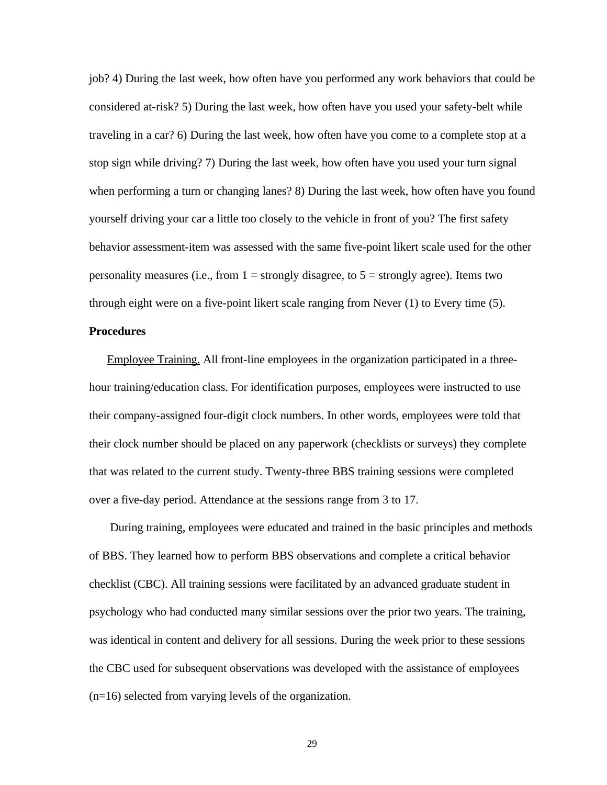job? 4) During the last week, how often have you performed any work behaviors that could be considered at-risk? 5) During the last week, how often have you used your safety-belt while traveling in a car? 6) During the last week, how often have you come to a complete stop at a stop sign while driving? 7) During the last week, how often have you used your turn signal when performing a turn or changing lanes? 8) During the last week, how often have you found yourself driving your car a little too closely to the vehicle in front of you? The first safety behavior assessment-item was assessed with the same five-point likert scale used for the other personality measures (i.e., from  $1 =$  strongly disagree, to  $5 =$  strongly agree). Items two through eight were on a five-point likert scale ranging from Never (1) to Every time (5).

#### **Procedures**

Employee Training. All front-line employees in the organization participated in a threehour training/education class. For identification purposes, employees were instructed to use their company-assigned four-digit clock numbers. In other words, employees were told that their clock number should be placed on any paperwork (checklists or surveys) they complete that was related to the current study. Twenty-three BBS training sessions were completed over a five-day period. Attendance at the sessions range from 3 to 17.

 During training, employees were educated and trained in the basic principles and methods of BBS. They learned how to perform BBS observations and complete a critical behavior checklist (CBC). All training sessions were facilitated by an advanced graduate student in psychology who had conducted many similar sessions over the prior two years. The training, was identical in content and delivery for all sessions. During the week prior to these sessions the CBC used for subsequent observations was developed with the assistance of employees (n=16) selected from varying levels of the organization.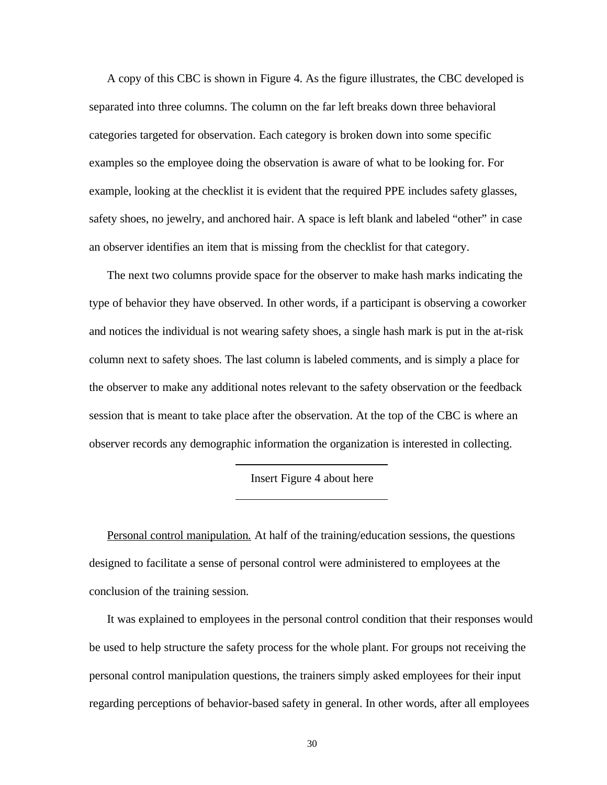A copy of this CBC is shown in Figure 4. As the figure illustrates, the CBC developed is separated into three columns. The column on the far left breaks down three behavioral categories targeted for observation. Each category is broken down into some specific examples so the employee doing the observation is aware of what to be looking for. For example, looking at the checklist it is evident that the required PPE includes safety glasses, safety shoes, no jewelry, and anchored hair. A space is left blank and labeled "other" in case an observer identifies an item that is missing from the checklist for that category.

The next two columns provide space for the observer to make hash marks indicating the type of behavior they have observed. In other words, if a participant is observing a coworker and notices the individual is not wearing safety shoes, a single hash mark is put in the at-risk column next to safety shoes. The last column is labeled comments, and is simply a place for the observer to make any additional notes relevant to the safety observation or the feedback session that is meant to take place after the observation. At the top of the CBC is where an observer records any demographic information the organization is interested in collecting.

Insert Figure 4 about here

Personal control manipulation*.* At half of the training/education sessions, the questions designed to facilitate a sense of personal control were administered to employees at the conclusion of the training session.

It was explained to employees in the personal control condition that their responses would be used to help structure the safety process for the whole plant. For groups not receiving the personal control manipulation questions, the trainers simply asked employees for their input regarding perceptions of behavior-based safety in general. In other words, after all employees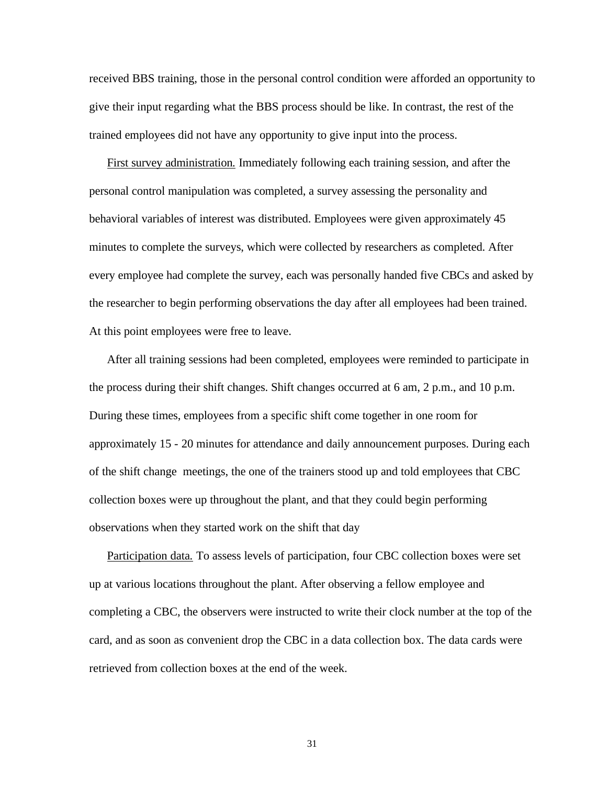received BBS training, those in the personal control condition were afforded an opportunity to give their input regarding what the BBS process should be like. In contrast, the rest of the trained employees did not have any opportunity to give input into the process.

First survey administration*.* Immediately following each training session, and after the personal control manipulation was completed, a survey assessing the personality and behavioral variables of interest was distributed. Employees were given approximately 45 minutes to complete the surveys, which were collected by researchers as completed. After every employee had complete the survey, each was personally handed five CBCs and asked by the researcher to begin performing observations the day after all employees had been trained. At this point employees were free to leave.

After all training sessions had been completed, employees were reminded to participate in the process during their shift changes. Shift changes occurred at 6 am, 2 p.m., and 10 p.m. During these times, employees from a specific shift come together in one room for approximately 15 - 20 minutes for attendance and daily announcement purposes. During each of the shift change meetings, the one of the trainers stood up and told employees that CBC collection boxes were up throughout the plant, and that they could begin performing observations when they started work on the shift that day

Participation data*.* To assess levels of participation, four CBC collection boxes were set up at various locations throughout the plant. After observing a fellow employee and completing a CBC, the observers were instructed to write their clock number at the top of the card, and as soon as convenient drop the CBC in a data collection box. The data cards were retrieved from collection boxes at the end of the week.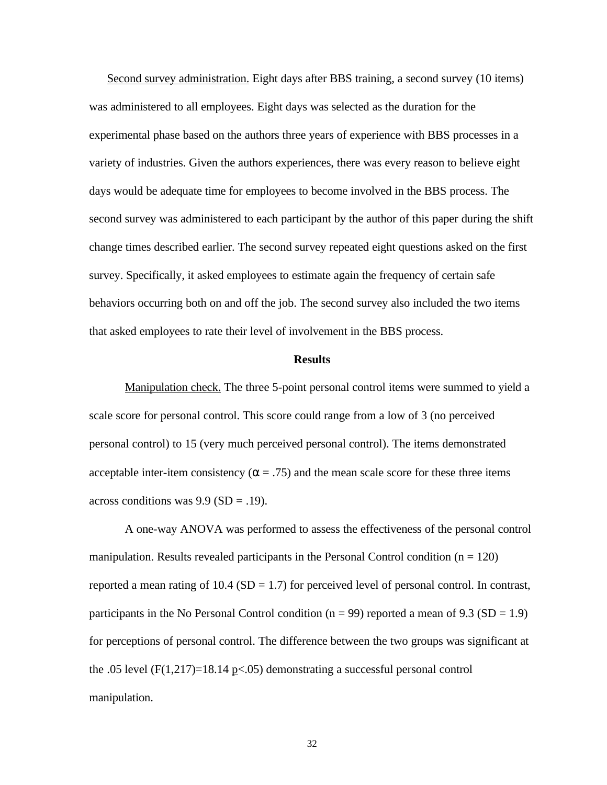Second survey administration. Eight days after BBS training, a second survey (10 items) was administered to all employees. Eight days was selected as the duration for the experimental phase based on the authors three years of experience with BBS processes in a variety of industries. Given the authors experiences, there was every reason to believe eight days would be adequate time for employees to become involved in the BBS process. The second survey was administered to each participant by the author of this paper during the shift change times described earlier. The second survey repeated eight questions asked on the first survey. Specifically, it asked employees to estimate again the frequency of certain safe behaviors occurring both on and off the job. The second survey also included the two items that asked employees to rate their level of involvement in the BBS process.

# **Results**

Manipulation check. The three 5-point personal control items were summed to yield a scale score for personal control. This score could range from a low of 3 (no perceived personal control) to 15 (very much perceived personal control). The items demonstrated acceptable inter-item consistency ( $\alpha$  = .75) and the mean scale score for these three items across conditions was  $9.9$  (SD = .19).

A one-way ANOVA was performed to assess the effectiveness of the personal control manipulation. Results revealed participants in the Personal Control condition  $(n = 120)$ reported a mean rating of  $10.4$  (SD = 1.7) for perceived level of personal control. In contrast, participants in the No Personal Control condition ( $n = 99$ ) reported a mean of 9.3 (SD = 1.9) for perceptions of personal control. The difference between the two groups was significant at the .05 level  $(F(1,217)=18.14 \text{ p} < .05)$  demonstrating a successful personal control manipulation.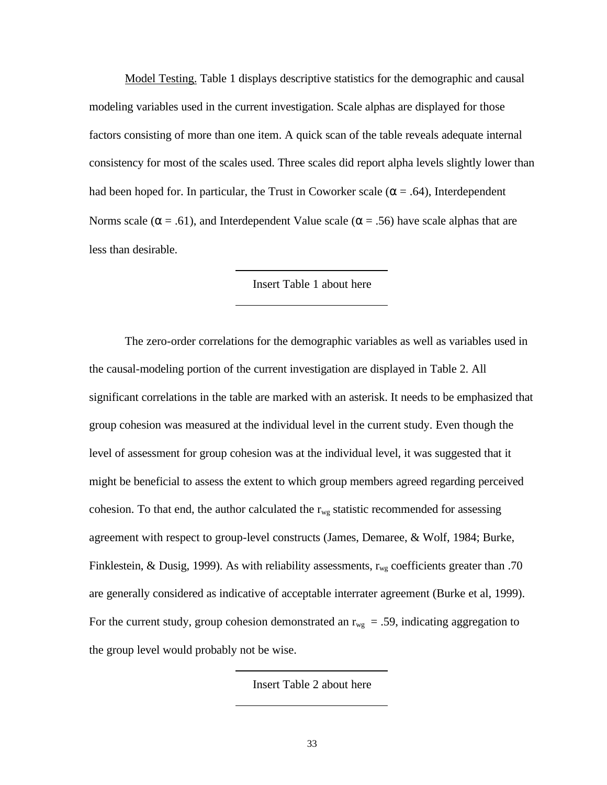Model Testing. Table 1 displays descriptive statistics for the demographic and causal modeling variables used in the current investigation. Scale alphas are displayed for those factors consisting of more than one item. A quick scan of the table reveals adequate internal consistency for most of the scales used. Three scales did report alpha levels slightly lower than had been hoped for. In particular, the Trust in Coworker scale ( $\alpha$  = .64), Interdependent Norms scale ( $\alpha = .61$ ), and Interdependent Value scale ( $\alpha = .56$ ) have scale alphas that are less than desirable.

## Insert Table 1 about here

The zero-order correlations for the demographic variables as well as variables used in the causal-modeling portion of the current investigation are displayed in Table 2. All significant correlations in the table are marked with an asterisk. It needs to be emphasized that group cohesion was measured at the individual level in the current study. Even though the level of assessment for group cohesion was at the individual level, it was suggested that it might be beneficial to assess the extent to which group members agreed regarding perceived cohesion. To that end, the author calculated the  $r_{wg}$  statistic recommended for assessing agreement with respect to group-level constructs (James, Demaree, & Wolf, 1984; Burke, Finklestein, & Dusig, 1999). As with reliability assessments,  $r_{wg}$  coefficients greater than .70 are generally considered as indicative of acceptable interrater agreement (Burke et al, 1999). For the current study, group cohesion demonstrated an  $r_{wg} = .59$ , indicating aggregation to the group level would probably not be wise.

Insert Table 2 about here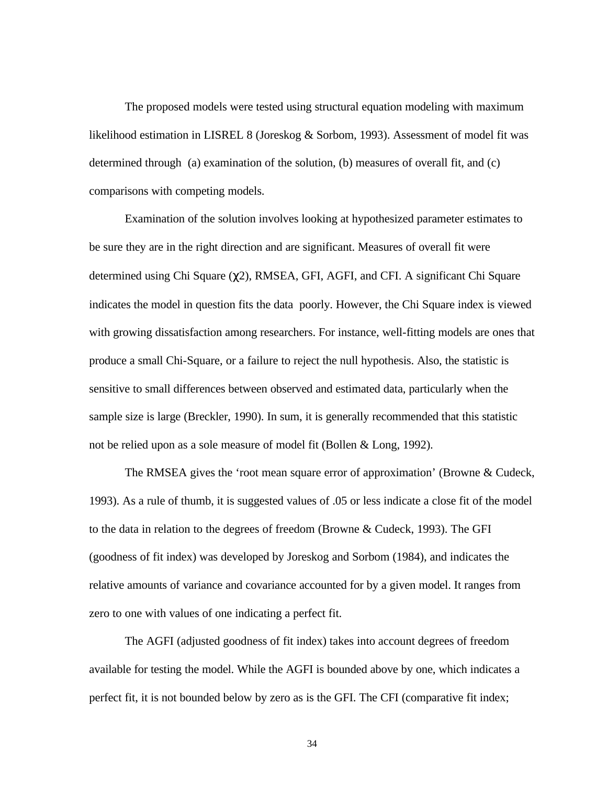The proposed models were tested using structural equation modeling with maximum likelihood estimation in LISREL 8 (Joreskog & Sorbom, 1993). Assessment of model fit was determined through (a) examination of the solution, (b) measures of overall fit, and (c) comparisons with competing models.

Examination of the solution involves looking at hypothesized parameter estimates to be sure they are in the right direction and are significant. Measures of overall fit were determined using Chi Square (χ2), RMSEA, GFI, AGFI, and CFI. A significant Chi Square indicates the model in question fits the data poorly. However, the Chi Square index is viewed with growing dissatisfaction among researchers. For instance, well-fitting models are ones that produce a small Chi-Square, or a failure to reject the null hypothesis. Also, the statistic is sensitive to small differences between observed and estimated data, particularly when the sample size is large (Breckler, 1990). In sum, it is generally recommended that this statistic not be relied upon as a sole measure of model fit (Bollen & Long, 1992).

The RMSEA gives the 'root mean square error of approximation' (Browne & Cudeck, 1993). As a rule of thumb, it is suggested values of .05 or less indicate a close fit of the model to the data in relation to the degrees of freedom (Browne & Cudeck, 1993). The GFI (goodness of fit index) was developed by Joreskog and Sorbom (1984), and indicates the relative amounts of variance and covariance accounted for by a given model. It ranges from zero to one with values of one indicating a perfect fit.

The AGFI (adjusted goodness of fit index) takes into account degrees of freedom available for testing the model. While the AGFI is bounded above by one, which indicates a perfect fit, it is not bounded below by zero as is the GFI. The CFI (comparative fit index;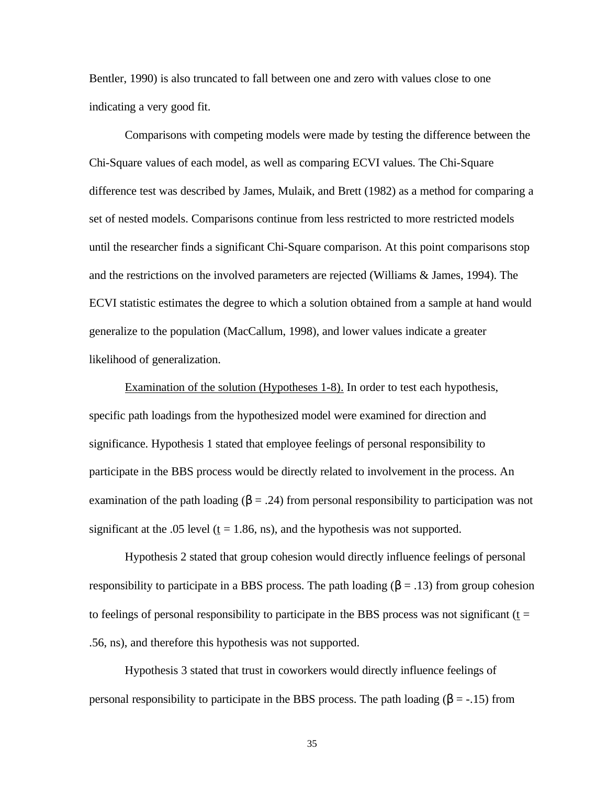Bentler, 1990) is also truncated to fall between one and zero with values close to one indicating a very good fit.

Comparisons with competing models were made by testing the difference between the Chi-Square values of each model, as well as comparing ECVI values. The Chi-Square difference test was described by James, Mulaik, and Brett (1982) as a method for comparing a set of nested models. Comparisons continue from less restricted to more restricted models until the researcher finds a significant Chi-Square comparison. At this point comparisons stop and the restrictions on the involved parameters are rejected (Williams & James, 1994). The ECVI statistic estimates the degree to which a solution obtained from a sample at hand would generalize to the population (MacCallum, 1998), and lower values indicate a greater likelihood of generalization.

Examination of the solution (Hypotheses 1-8). In order to test each hypothesis, specific path loadings from the hypothesized model were examined for direction and significance. Hypothesis 1 stated that employee feelings of personal responsibility to participate in the BBS process would be directly related to involvement in the process. An examination of the path loading  $(\beta = .24)$  from personal responsibility to participation was not significant at the .05 level ( $t = 1.86$ , ns), and the hypothesis was not supported.

Hypothesis 2 stated that group cohesion would directly influence feelings of personal responsibility to participate in a BBS process. The path loading  $(\beta = .13)$  from group cohesion to feelings of personal responsibility to participate in the BBS process was not significant ( $t =$ .56, ns), and therefore this hypothesis was not supported.

Hypothesis 3 stated that trust in coworkers would directly influence feelings of personal responsibility to participate in the BBS process. The path loading (β = -.15) from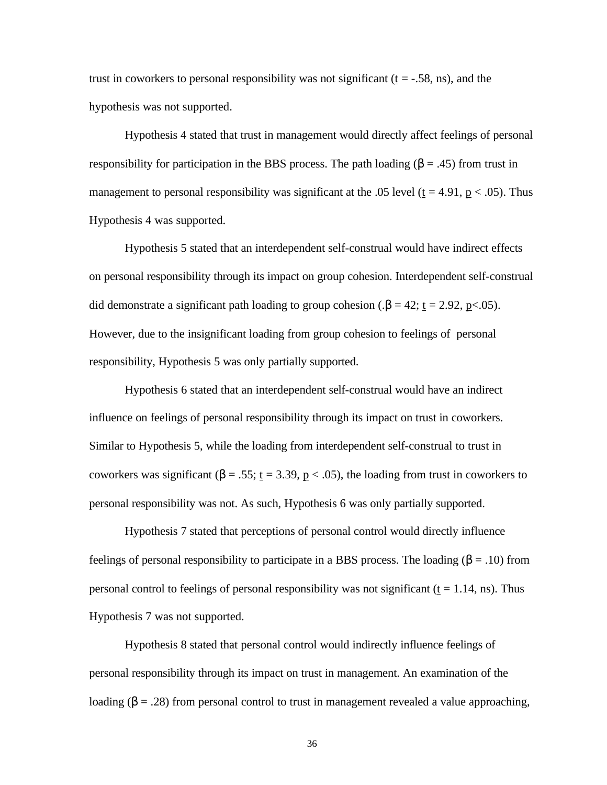trust in coworkers to personal responsibility was not significant  $(t = -0.58, \text{ns})$ , and the hypothesis was not supported.

Hypothesis 4 stated that trust in management would directly affect feelings of personal responsibility for participation in the BBS process. The path loading  $(\beta = .45)$  from trust in management to personal responsibility was significant at the .05 level ( $t = 4.91$ ,  $p < .05$ ). Thus Hypothesis 4 was supported.

Hypothesis 5 stated that an interdependent self-construal would have indirect effects on personal responsibility through its impact on group cohesion. Interdependent self-construal did demonstrate a significant path loading to group cohesion ( $\beta = 42$ ; <u>t</u> = 2.92, p<.05). However, due to the insignificant loading from group cohesion to feelings of personal responsibility, Hypothesis 5 was only partially supported.

Hypothesis 6 stated that an interdependent self-construal would have an indirect influence on feelings of personal responsibility through its impact on trust in coworkers. Similar to Hypothesis 5, while the loading from interdependent self-construal to trust in coworkers was significant ( $\beta = .55$ ;  $t = 3.39$ ,  $p < .05$ ), the loading from trust in coworkers to personal responsibility was not. As such, Hypothesis 6 was only partially supported.

Hypothesis 7 stated that perceptions of personal control would directly influence feelings of personal responsibility to participate in a BBS process. The loading (β = .10) from personal control to feelings of personal responsibility was not significant ( $t = 1.14$ , ns). Thus Hypothesis 7 was not supported.

Hypothesis 8 stated that personal control would indirectly influence feelings of personal responsibility through its impact on trust in management. An examination of the loading (β = .28) from personal control to trust in management revealed a value approaching,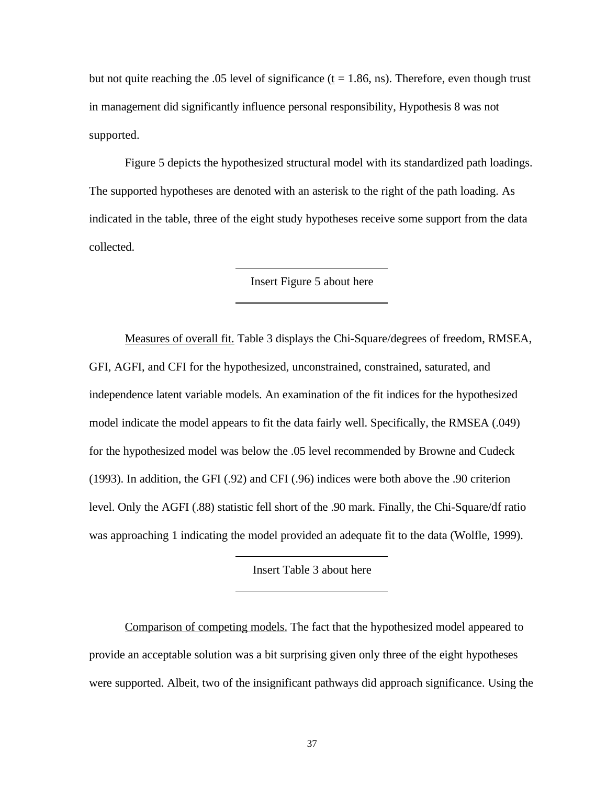but not quite reaching the .05 level of significance  $(t = 1.86, \text{ns})$ . Therefore, even though trust in management did significantly influence personal responsibility, Hypothesis 8 was not supported.

Figure 5 depicts the hypothesized structural model with its standardized path loadings. The supported hypotheses are denoted with an asterisk to the right of the path loading. As indicated in the table, three of the eight study hypotheses receive some support from the data collected.

Insert Figure 5 about here

Measures of overall fit. Table 3 displays the Chi-Square/degrees of freedom, RMSEA, GFI, AGFI, and CFI for the hypothesized, unconstrained, constrained, saturated, and independence latent variable models. An examination of the fit indices for the hypothesized model indicate the model appears to fit the data fairly well. Specifically, the RMSEA (.049) for the hypothesized model was below the .05 level recommended by Browne and Cudeck (1993). In addition, the GFI (.92) and CFI (.96) indices were both above the .90 criterion level. Only the AGFI (.88) statistic fell short of the .90 mark. Finally, the Chi-Square/df ratio was approaching 1 indicating the model provided an adequate fit to the data (Wolfle, 1999).

Insert Table 3 about here

Comparison of competing models. The fact that the hypothesized model appeared to provide an acceptable solution was a bit surprising given only three of the eight hypotheses were supported. Albeit, two of the insignificant pathways did approach significance. Using the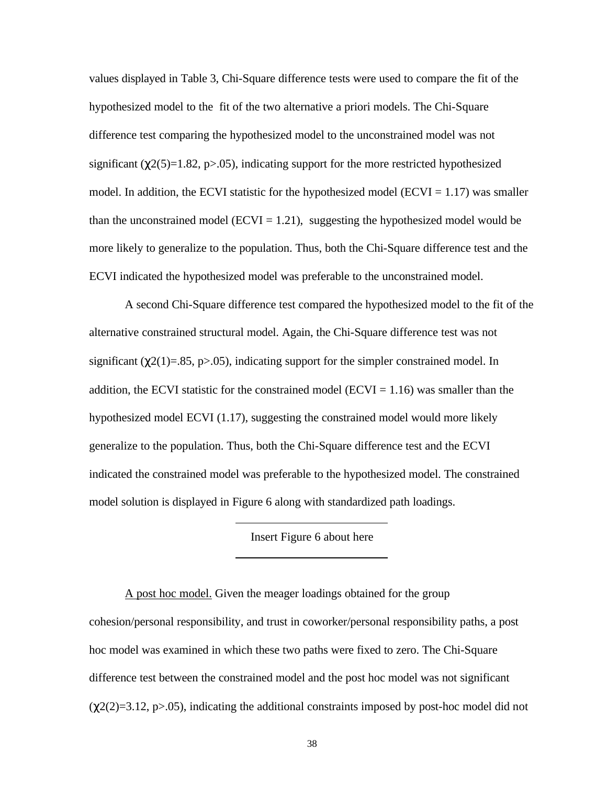values displayed in Table 3, Chi-Square difference tests were used to compare the fit of the hypothesized model to the fit of the two alternative a priori models. The Chi-Square difference test comparing the hypothesized model to the unconstrained model was not significant ( $\chi$ 2(5)=1.82, p>.05), indicating support for the more restricted hypothesized model. In addition, the ECVI statistic for the hypothesized model ( $ECVI = 1.17$ ) was smaller than the unconstrained model (ECVI = 1.21), suggesting the hypothesized model would be more likely to generalize to the population. Thus, both the Chi-Square difference test and the ECVI indicated the hypothesized model was preferable to the unconstrained model.

A second Chi-Square difference test compared the hypothesized model to the fit of the alternative constrained structural model. Again, the Chi-Square difference test was not significant ( $\chi$ 2(1)=.85, p>.05), indicating support for the simpler constrained model. In addition, the ECVI statistic for the constrained model ( $ECVI = 1.16$ ) was smaller than the hypothesized model ECVI (1.17), suggesting the constrained model would more likely generalize to the population. Thus, both the Chi-Square difference test and the ECVI indicated the constrained model was preferable to the hypothesized model. The constrained model solution is displayed in Figure 6 along with standardized path loadings.

Insert Figure 6 about here

A post hoc model. Given the meager loadings obtained for the group cohesion/personal responsibility, and trust in coworker/personal responsibility paths, a post hoc model was examined in which these two paths were fixed to zero. The Chi-Square difference test between the constrained model and the post hoc model was not significant  $(\chi(2)(2)=3.12, p>0.05)$ , indicating the additional constraints imposed by post-hoc model did not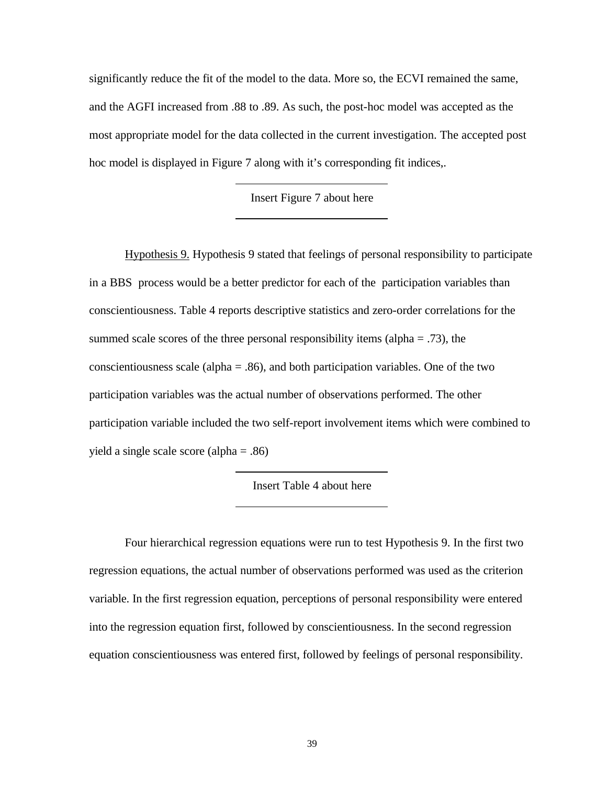significantly reduce the fit of the model to the data. More so, the ECVI remained the same, and the AGFI increased from .88 to .89. As such, the post-hoc model was accepted as the most appropriate model for the data collected in the current investigation. The accepted post hoc model is displayed in Figure 7 along with it's corresponding fit indices,.

Insert Figure 7 about here

Hypothesis 9. Hypothesis 9 stated that feelings of personal responsibility to participate in a BBS process would be a better predictor for each of the participation variables than conscientiousness. Table 4 reports descriptive statistics and zero-order correlations for the summed scale scores of the three personal responsibility items (alpha  $= .73$ ), the conscientiousness scale (alpha  $= 0.86$ ), and both participation variables. One of the two participation variables was the actual number of observations performed. The other participation variable included the two self-report involvement items which were combined to yield a single scale score (alpha = .86)

Insert Table 4 about here

Four hierarchical regression equations were run to test Hypothesis 9. In the first two regression equations, the actual number of observations performed was used as the criterion variable. In the first regression equation, perceptions of personal responsibility were entered into the regression equation first, followed by conscientiousness. In the second regression equation conscientiousness was entered first, followed by feelings of personal responsibility.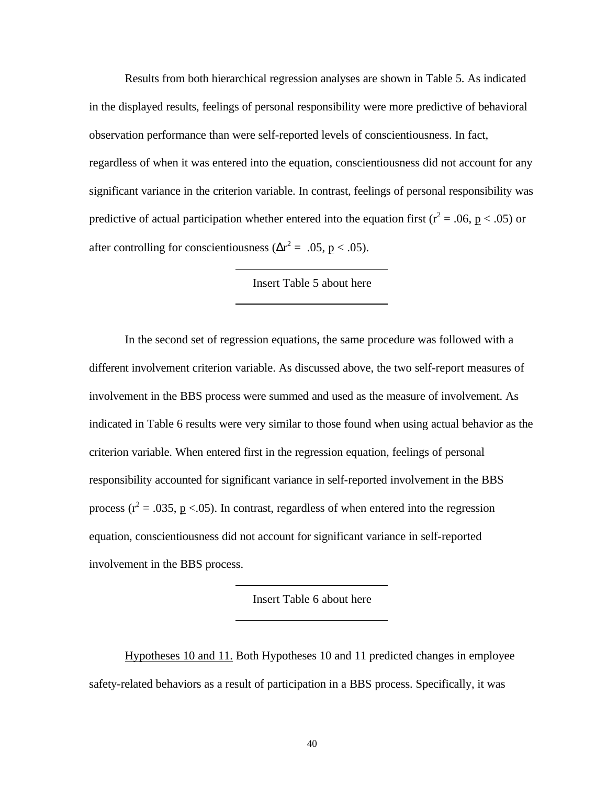Results from both hierarchical regression analyses are shown in Table 5. As indicated in the displayed results, feelings of personal responsibility were more predictive of behavioral observation performance than were self-reported levels of conscientiousness. In fact, regardless of when it was entered into the equation, conscientiousness did not account for any significant variance in the criterion variable. In contrast, feelings of personal responsibility was predictive of actual participation whether entered into the equation first ( $r^2 = .06$ ,  $p < .05$ ) or after controlling for conscientiousness ( $\Delta r^2 = .05$ ,  $p < .05$ ).

# Insert Table 5 about here

In the second set of regression equations, the same procedure was followed with a different involvement criterion variable. As discussed above, the two self-report measures of involvement in the BBS process were summed and used as the measure of involvement. As indicated in Table 6 results were very similar to those found when using actual behavior as the criterion variable. When entered first in the regression equation, feelings of personal responsibility accounted for significant variance in self-reported involvement in the BBS process ( $r^2$  = .035,  $p$  <.05). In contrast, regardless of when entered into the regression equation, conscientiousness did not account for significant variance in self-reported involvement in the BBS process.

Insert Table 6 about here

Hypotheses 10 and 11. Both Hypotheses 10 and 11 predicted changes in employee safety-related behaviors as a result of participation in a BBS process. Specifically, it was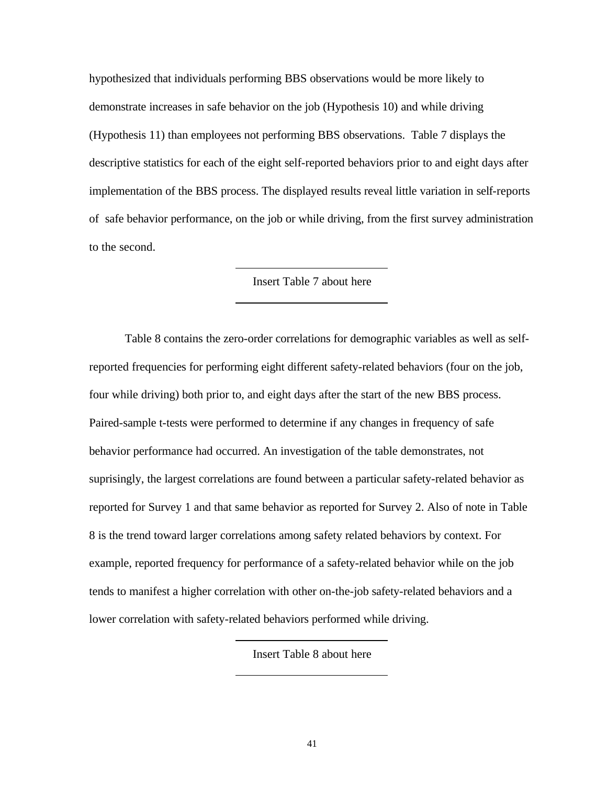hypothesized that individuals performing BBS observations would be more likely to demonstrate increases in safe behavior on the job (Hypothesis 10) and while driving (Hypothesis 11) than employees not performing BBS observations. Table 7 displays the descriptive statistics for each of the eight self-reported behaviors prior to and eight days after implementation of the BBS process. The displayed results reveal little variation in self-reports of safe behavior performance, on the job or while driving, from the first survey administration to the second.

## Insert Table 7 about here

Table 8 contains the zero-order correlations for demographic variables as well as selfreported frequencies for performing eight different safety-related behaviors (four on the job, four while driving) both prior to, and eight days after the start of the new BBS process. Paired-sample t-tests were performed to determine if any changes in frequency of safe behavior performance had occurred. An investigation of the table demonstrates, not suprisingly, the largest correlations are found between a particular safety-related behavior as reported for Survey 1 and that same behavior as reported for Survey 2. Also of note in Table 8 is the trend toward larger correlations among safety related behaviors by context. For example, reported frequency for performance of a safety-related behavior while on the job tends to manifest a higher correlation with other on-the-job safety-related behaviors and a lower correlation with safety-related behaviors performed while driving.

Insert Table 8 about here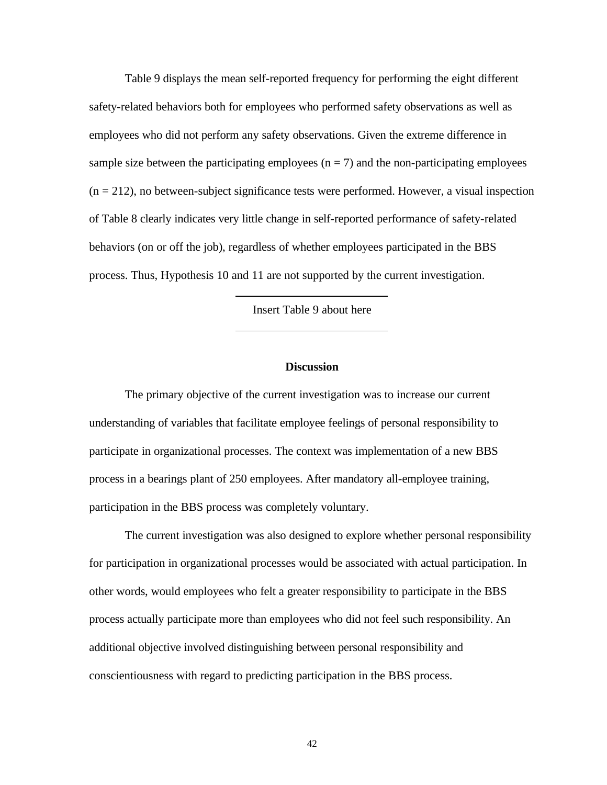Table 9 displays the mean self-reported frequency for performing the eight different safety-related behaviors both for employees who performed safety observations as well as employees who did not perform any safety observations. Given the extreme difference in sample size between the participating employees  $(n = 7)$  and the non-participating employees  $(n = 212)$ , no between-subject significance tests were performed. However, a visual inspection of Table 8 clearly indicates very little change in self-reported performance of safety-related behaviors (on or off the job), regardless of whether employees participated in the BBS process. Thus, Hypothesis 10 and 11 are not supported by the current investigation.

Insert Table 9 about here

### **Discussion**

The primary objective of the current investigation was to increase our current understanding of variables that facilitate employee feelings of personal responsibility to participate in organizational processes. The context was implementation of a new BBS process in a bearings plant of 250 employees. After mandatory all-employee training, participation in the BBS process was completely voluntary.

The current investigation was also designed to explore whether personal responsibility for participation in organizational processes would be associated with actual participation. In other words, would employees who felt a greater responsibility to participate in the BBS process actually participate more than employees who did not feel such responsibility. An additional objective involved distinguishing between personal responsibility and conscientiousness with regard to predicting participation in the BBS process.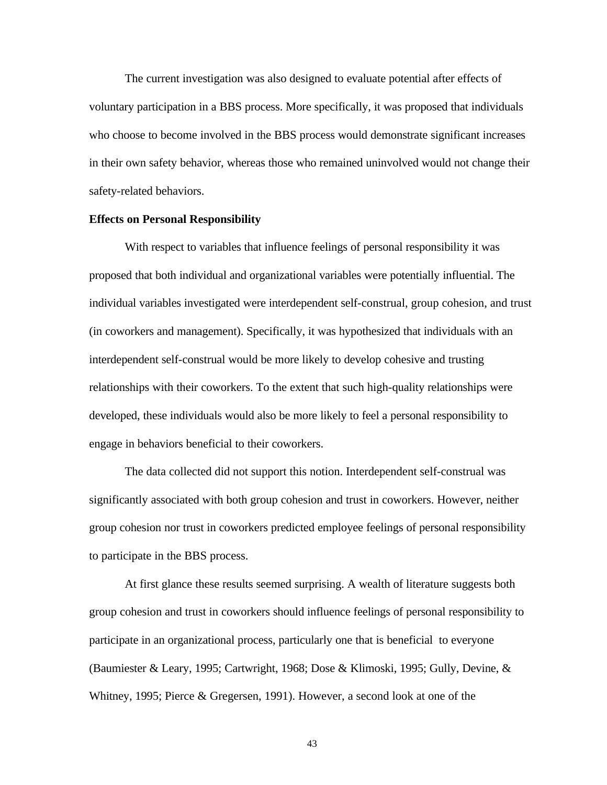The current investigation was also designed to evaluate potential after effects of voluntary participation in a BBS process. More specifically, it was proposed that individuals who choose to become involved in the BBS process would demonstrate significant increases in their own safety behavior, whereas those who remained uninvolved would not change their safety-related behaviors.

#### **Effects on Personal Responsibility**

With respect to variables that influence feelings of personal responsibility it was proposed that both individual and organizational variables were potentially influential. The individual variables investigated were interdependent self-construal, group cohesion, and trust (in coworkers and management). Specifically, it was hypothesized that individuals with an interdependent self-construal would be more likely to develop cohesive and trusting relationships with their coworkers. To the extent that such high-quality relationships were developed, these individuals would also be more likely to feel a personal responsibility to engage in behaviors beneficial to their coworkers.

The data collected did not support this notion. Interdependent self-construal was significantly associated with both group cohesion and trust in coworkers. However, neither group cohesion nor trust in coworkers predicted employee feelings of personal responsibility to participate in the BBS process.

At first glance these results seemed surprising. A wealth of literature suggests both group cohesion and trust in coworkers should influence feelings of personal responsibility to participate in an organizational process, particularly one that is beneficial to everyone (Baumiester & Leary, 1995; Cartwright, 1968; Dose & Klimoski, 1995; Gully, Devine, & Whitney, 1995; Pierce & Gregersen, 1991). However, a second look at one of the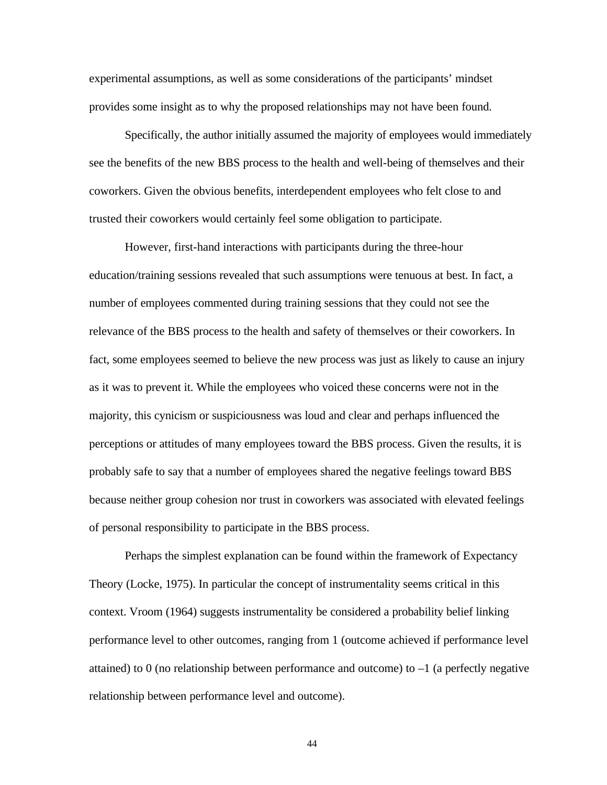experimental assumptions, as well as some considerations of the participants' mindset provides some insight as to why the proposed relationships may not have been found.

Specifically, the author initially assumed the majority of employees would immediately see the benefits of the new BBS process to the health and well-being of themselves and their coworkers. Given the obvious benefits, interdependent employees who felt close to and trusted their coworkers would certainly feel some obligation to participate.

However, first-hand interactions with participants during the three-hour education/training sessions revealed that such assumptions were tenuous at best. In fact, a number of employees commented during training sessions that they could not see the relevance of the BBS process to the health and safety of themselves or their coworkers. In fact, some employees seemed to believe the new process was just as likely to cause an injury as it was to prevent it. While the employees who voiced these concerns were not in the majority, this cynicism or suspiciousness was loud and clear and perhaps influenced the perceptions or attitudes of many employees toward the BBS process. Given the results, it is probably safe to say that a number of employees shared the negative feelings toward BBS because neither group cohesion nor trust in coworkers was associated with elevated feelings of personal responsibility to participate in the BBS process.

Perhaps the simplest explanation can be found within the framework of Expectancy Theory (Locke, 1975). In particular the concept of instrumentality seems critical in this context. Vroom (1964) suggests instrumentality be considered a probability belief linking performance level to other outcomes, ranging from 1 (outcome achieved if performance level attained) to 0 (no relationship between performance and outcome) to  $-1$  (a perfectly negative relationship between performance level and outcome).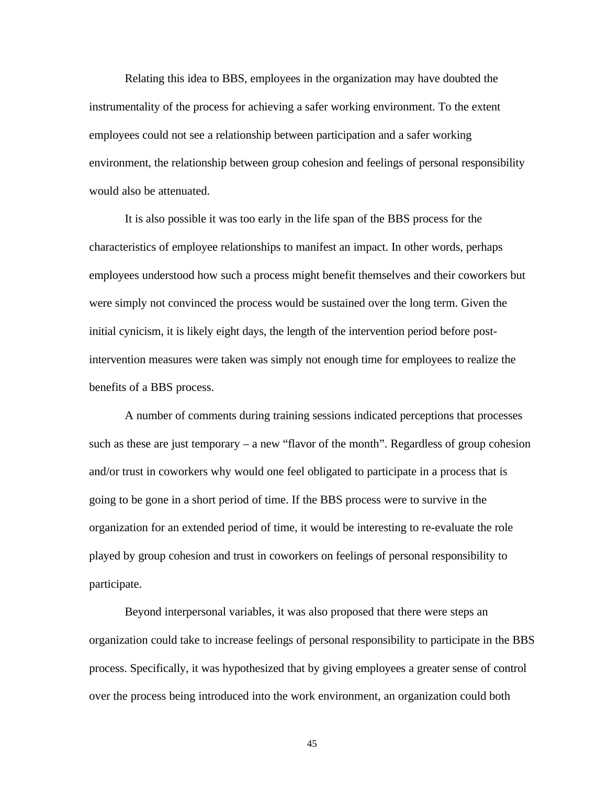Relating this idea to BBS, employees in the organization may have doubted the instrumentality of the process for achieving a safer working environment. To the extent employees could not see a relationship between participation and a safer working environment, the relationship between group cohesion and feelings of personal responsibility would also be attenuated.

It is also possible it was too early in the life span of the BBS process for the characteristics of employee relationships to manifest an impact. In other words, perhaps employees understood how such a process might benefit themselves and their coworkers but were simply not convinced the process would be sustained over the long term. Given the initial cynicism, it is likely eight days, the length of the intervention period before postintervention measures were taken was simply not enough time for employees to realize the benefits of a BBS process.

A number of comments during training sessions indicated perceptions that processes such as these are just temporary – a new "flavor of the month". Regardless of group cohesion and/or trust in coworkers why would one feel obligated to participate in a process that is going to be gone in a short period of time. If the BBS process were to survive in the organization for an extended period of time, it would be interesting to re-evaluate the role played by group cohesion and trust in coworkers on feelings of personal responsibility to participate.

Beyond interpersonal variables, it was also proposed that there were steps an organization could take to increase feelings of personal responsibility to participate in the BBS process. Specifically, it was hypothesized that by giving employees a greater sense of control over the process being introduced into the work environment, an organization could both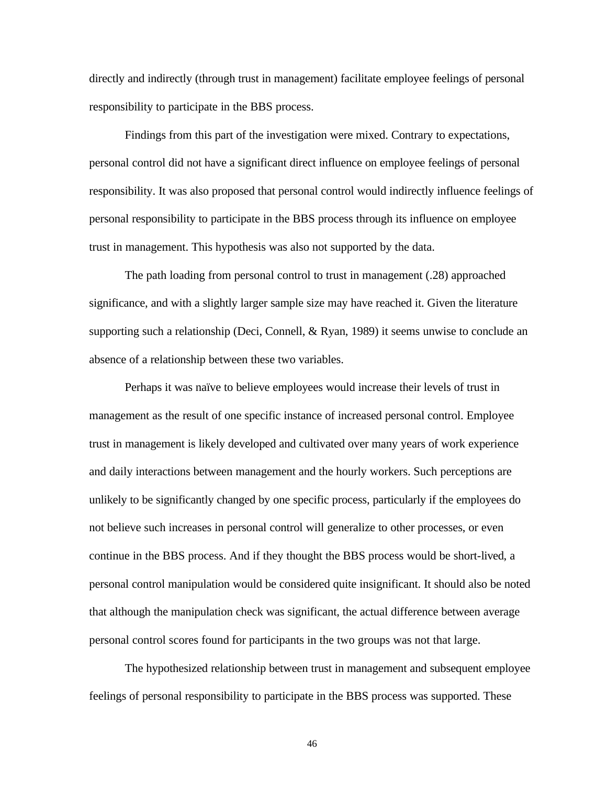directly and indirectly (through trust in management) facilitate employee feelings of personal responsibility to participate in the BBS process.

Findings from this part of the investigation were mixed. Contrary to expectations, personal control did not have a significant direct influence on employee feelings of personal responsibility. It was also proposed that personal control would indirectly influence feelings of personal responsibility to participate in the BBS process through its influence on employee trust in management. This hypothesis was also not supported by the data.

The path loading from personal control to trust in management (.28) approached significance, and with a slightly larger sample size may have reached it. Given the literature supporting such a relationship (Deci, Connell, & Ryan, 1989) it seems unwise to conclude an absence of a relationship between these two variables.

Perhaps it was naïve to believe employees would increase their levels of trust in management as the result of one specific instance of increased personal control. Employee trust in management is likely developed and cultivated over many years of work experience and daily interactions between management and the hourly workers. Such perceptions are unlikely to be significantly changed by one specific process, particularly if the employees do not believe such increases in personal control will generalize to other processes, or even continue in the BBS process. And if they thought the BBS process would be short-lived, a personal control manipulation would be considered quite insignificant. It should also be noted that although the manipulation check was significant, the actual difference between average personal control scores found for participants in the two groups was not that large.

The hypothesized relationship between trust in management and subsequent employee feelings of personal responsibility to participate in the BBS process was supported. These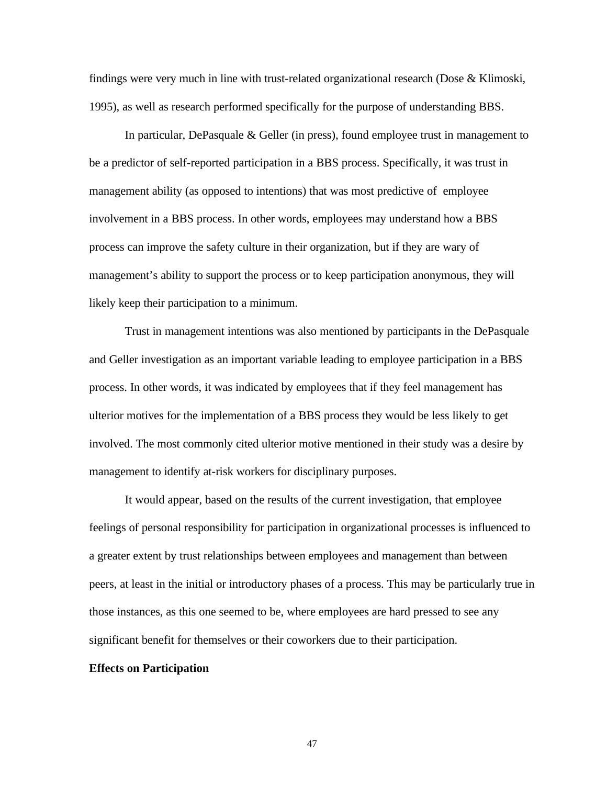findings were very much in line with trust-related organizational research (Dose & Klimoski, 1995), as well as research performed specifically for the purpose of understanding BBS.

In particular, DePasquale & Geller (in press), found employee trust in management to be a predictor of self-reported participation in a BBS process. Specifically, it was trust in management ability (as opposed to intentions) that was most predictive of employee involvement in a BBS process. In other words, employees may understand how a BBS process can improve the safety culture in their organization, but if they are wary of management's ability to support the process or to keep participation anonymous, they will likely keep their participation to a minimum.

Trust in management intentions was also mentioned by participants in the DePasquale and Geller investigation as an important variable leading to employee participation in a BBS process. In other words, it was indicated by employees that if they feel management has ulterior motives for the implementation of a BBS process they would be less likely to get involved. The most commonly cited ulterior motive mentioned in their study was a desire by management to identify at-risk workers for disciplinary purposes.

It would appear, based on the results of the current investigation, that employee feelings of personal responsibility for participation in organizational processes is influenced to a greater extent by trust relationships between employees and management than between peers, at least in the initial or introductory phases of a process. This may be particularly true in those instances, as this one seemed to be, where employees are hard pressed to see any significant benefit for themselves or their coworkers due to their participation.

### **Effects on Participation**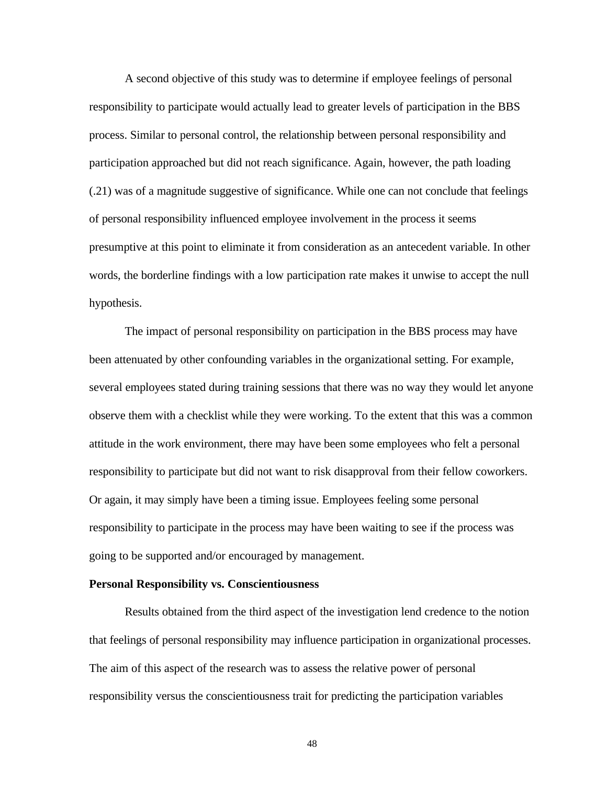A second objective of this study was to determine if employee feelings of personal responsibility to participate would actually lead to greater levels of participation in the BBS process. Similar to personal control, the relationship between personal responsibility and participation approached but did not reach significance. Again, however, the path loading (.21) was of a magnitude suggestive of significance. While one can not conclude that feelings of personal responsibility influenced employee involvement in the process it seems presumptive at this point to eliminate it from consideration as an antecedent variable. In other words, the borderline findings with a low participation rate makes it unwise to accept the null hypothesis.

The impact of personal responsibility on participation in the BBS process may have been attenuated by other confounding variables in the organizational setting. For example, several employees stated during training sessions that there was no way they would let anyone observe them with a checklist while they were working. To the extent that this was a common attitude in the work environment, there may have been some employees who felt a personal responsibility to participate but did not want to risk disapproval from their fellow coworkers. Or again, it may simply have been a timing issue. Employees feeling some personal responsibility to participate in the process may have been waiting to see if the process was going to be supported and/or encouraged by management.

## **Personal Responsibility vs. Conscientiousness**

Results obtained from the third aspect of the investigation lend credence to the notion that feelings of personal responsibility may influence participation in organizational processes. The aim of this aspect of the research was to assess the relative power of personal responsibility versus the conscientiousness trait for predicting the participation variables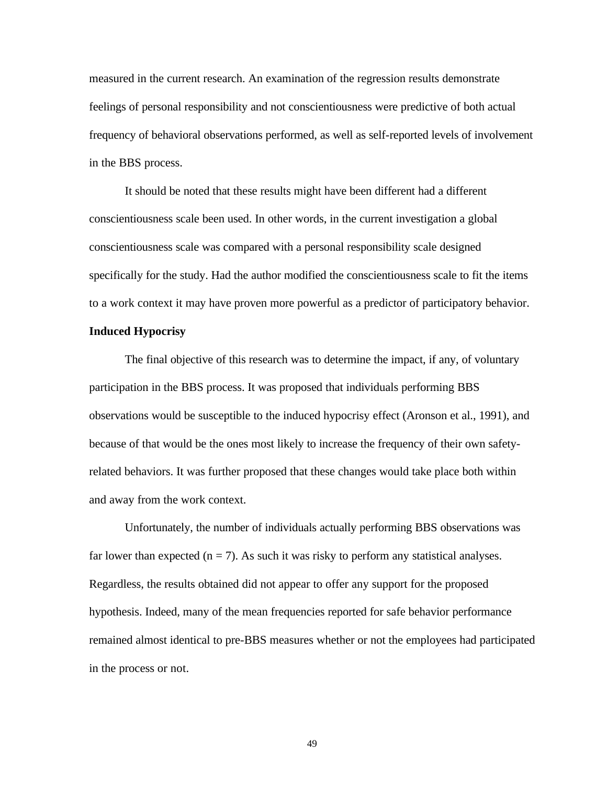measured in the current research. An examination of the regression results demonstrate feelings of personal responsibility and not conscientiousness were predictive of both actual frequency of behavioral observations performed, as well as self-reported levels of involvement in the BBS process.

It should be noted that these results might have been different had a different conscientiousness scale been used. In other words, in the current investigation a global conscientiousness scale was compared with a personal responsibility scale designed specifically for the study. Had the author modified the conscientiousness scale to fit the items to a work context it may have proven more powerful as a predictor of participatory behavior.

## **Induced Hypocrisy**

The final objective of this research was to determine the impact, if any, of voluntary participation in the BBS process. It was proposed that individuals performing BBS observations would be susceptible to the induced hypocrisy effect (Aronson et al., 1991), and because of that would be the ones most likely to increase the frequency of their own safetyrelated behaviors. It was further proposed that these changes would take place both within and away from the work context.

Unfortunately, the number of individuals actually performing BBS observations was far lower than expected  $(n = 7)$ . As such it was risky to perform any statistical analyses. Regardless, the results obtained did not appear to offer any support for the proposed hypothesis. Indeed, many of the mean frequencies reported for safe behavior performance remained almost identical to pre-BBS measures whether or not the employees had participated in the process or not.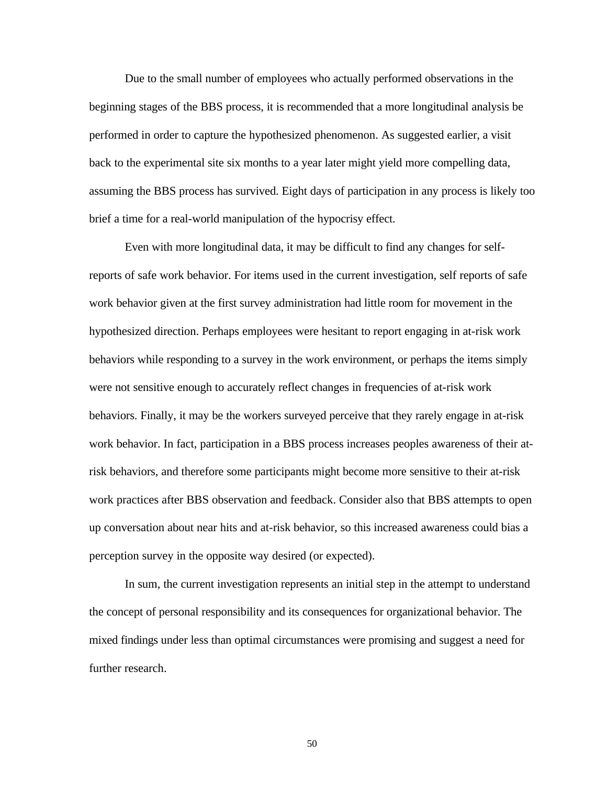Due to the small number of employees who actually performed observations in the beginning stages of the BBS process, it is recommended that a more longitudinal analysis be performed in order to capture the hypothesized phenomenon. As suggested earlier, a visit back to the experimental site six months to a year later might yield more compelling data, assuming the BBS process has survived. Eight days of participation in any process is likely too brief a time for a real-world manipulation of the hypocrisy effect.

Even with more longitudinal data, it may be difficult to find any changes for selfreports of safe work behavior. For items used in the current investigation, self reports of safe work behavior given at the first survey administration had little room for movement in the hypothesized direction. Perhaps employees were hesitant to report engaging in at-risk work behaviors while responding to a survey in the work environment, or perhaps the items simply were not sensitive enough to accurately reflect changes in frequencies of at-risk work behaviors. Finally, it may be the workers surveyed perceive that they rarely engage in at-risk work behavior. In fact, participation in a BBS process increases peoples awareness of their atrisk behaviors, and therefore some participants might become more sensitive to their at-risk work practices after BBS observation and feedback. Consider also that BBS attempts to open up conversation about near hits and at-risk behavior, so this increased awareness could bias a perception survey in the opposite way desired (or expected).

In sum, the current investigation represents an initial step in the attempt to understand the concept of personal responsibility and its consequences for organizational behavior. The mixed findings under less than optimal circumstances were promising and suggest a need for further research.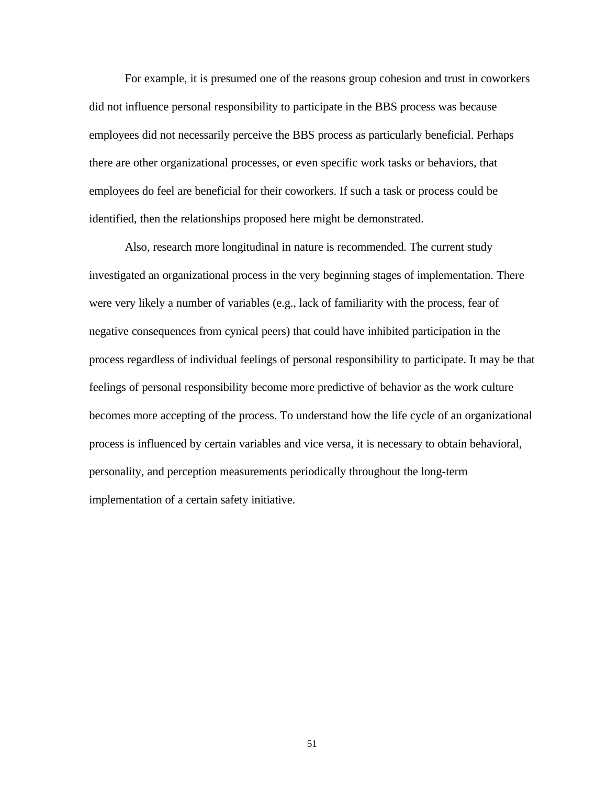For example, it is presumed one of the reasons group cohesion and trust in coworkers did not influence personal responsibility to participate in the BBS process was because employees did not necessarily perceive the BBS process as particularly beneficial. Perhaps there are other organizational processes, or even specific work tasks or behaviors, that employees do feel are beneficial for their coworkers. If such a task or process could be identified, then the relationships proposed here might be demonstrated.

Also, research more longitudinal in nature is recommended. The current study investigated an organizational process in the very beginning stages of implementation. There were very likely a number of variables (e.g., lack of familiarity with the process, fear of negative consequences from cynical peers) that could have inhibited participation in the process regardless of individual feelings of personal responsibility to participate. It may be that feelings of personal responsibility become more predictive of behavior as the work culture becomes more accepting of the process. To understand how the life cycle of an organizational process is influenced by certain variables and vice versa, it is necessary to obtain behavioral, personality, and perception measurements periodically throughout the long-term implementation of a certain safety initiative.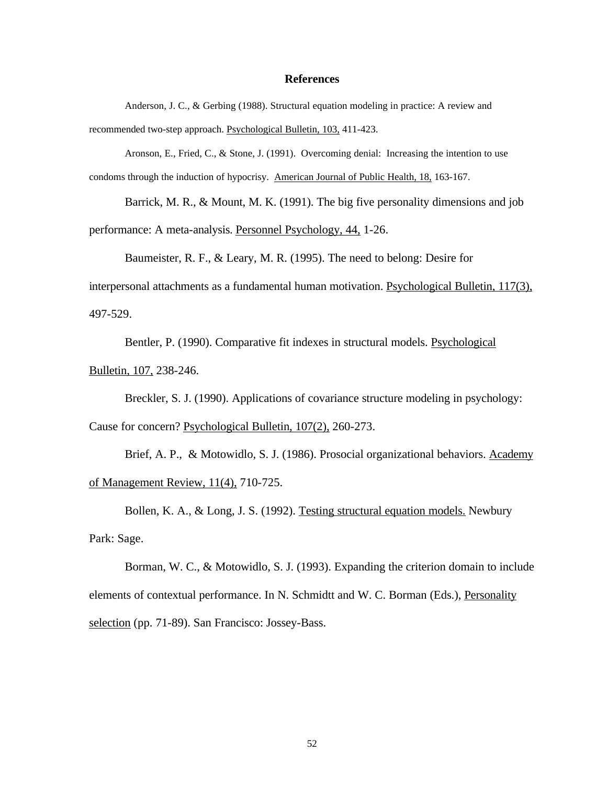#### **References**

Anderson, J. C., & Gerbing (1988). Structural equation modeling in practice: A review and recommended two-step approach. Psychological Bulletin, 103, 411-423.

Aronson, E., Fried, C., & Stone, J. (1991). Overcoming denial: Increasing the intention to use condoms through the induction of hypocrisy. American Journal of Public Health, 18, 163-167.

Barrick, M. R., & Mount, M. K. (1991). The big five personality dimensions and job performance: A meta-analysis. Personnel Psychology, 44, 1-26.

Baumeister, R. F., & Leary, M. R. (1995). The need to belong: Desire for interpersonal attachments as a fundamental human motivation. Psychological Bulletin, 117(3), 497-529.

Bentler, P. (1990). Comparative fit indexes in structural models. Psychological Bulletin, 107, 238-246.

Breckler, S. J. (1990). Applications of covariance structure modeling in psychology: Cause for concern? Psychological Bulletin, 107(2), 260-273.

Brief, A. P., & Motowidlo, S. J. (1986). Prosocial organizational behaviors. Academy of Management Review, 11(4), 710-725.

Bollen, K. A., & Long, J. S. (1992). Testing structural equation models. Newbury Park: Sage.

Borman, W. C., & Motowidlo, S. J. (1993). Expanding the criterion domain to include elements of contextual performance. In N. Schmidtt and W. C. Borman (Eds.), Personality selection (pp. 71-89). San Francisco: Jossey-Bass.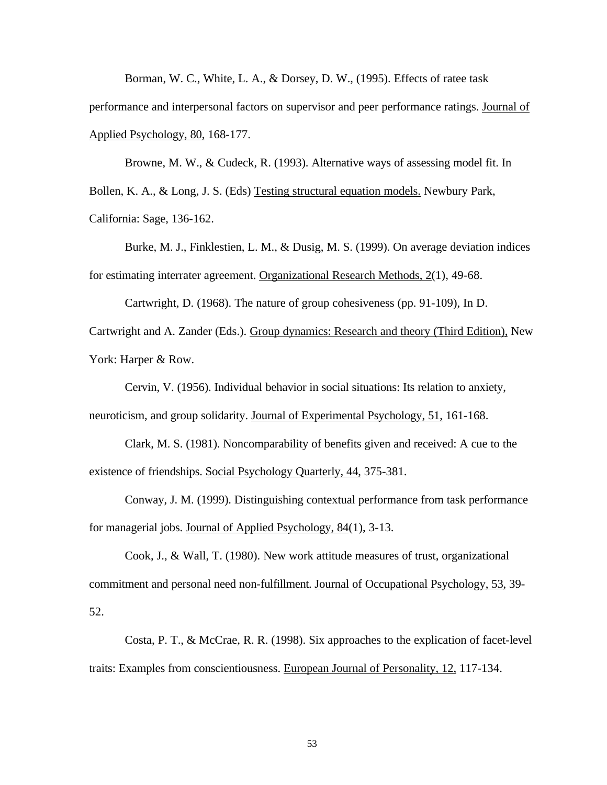Borman, W. C., White, L. A., & Dorsey, D. W., (1995). Effects of ratee task

performance and interpersonal factors on supervisor and peer performance ratings. Journal of Applied Psychology, 80, 168-177.

Browne, M. W., & Cudeck, R. (1993). Alternative ways of assessing model fit. In Bollen, K. A., & Long, J. S. (Eds) Testing structural equation models. Newbury Park, California: Sage, 136-162.

Burke, M. J., Finklestien, L. M., & Dusig, M. S. (1999). On average deviation indices for estimating interrater agreement. Organizational Research Methods, 2(1), 49-68.

Cartwright, D. (1968). The nature of group cohesiveness (pp. 91-109), In D. Cartwright and A. Zander (Eds.). Group dynamics: Research and theory (Third Edition), New York: Harper & Row.

Cervin, V. (1956). Individual behavior in social situations: Its relation to anxiety, neuroticism, and group solidarity. Journal of Experimental Psychology, 51, 161-168.

Clark, M. S. (1981). Noncomparability of benefits given and received: A cue to the existence of friendships. Social Psychology Quarterly, 44, 375-381.

Conway, J. M. (1999). Distinguishing contextual performance from task performance for managerial jobs. Journal of Applied Psychology, 84(1), 3-13.

Cook, J., & Wall, T. (1980). New work attitude measures of trust, organizational commitment and personal need non-fulfillment. Journal of Occupational Psychology, 53, 39- 52.

Costa, P. T., & McCrae, R. R. (1998). Six approaches to the explication of facet-level traits: Examples from conscientiousness. European Journal of Personality, 12, 117-134.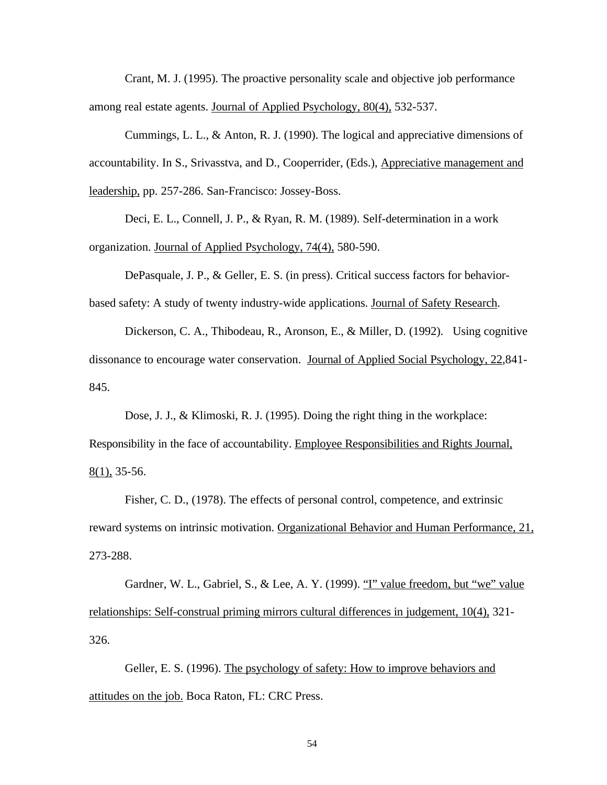Crant, M. J. (1995). The proactive personality scale and objective job performance among real estate agents. Journal of Applied Psychology, 80(4), 532-537.

Cummings, L. L., & Anton, R. J. (1990). The logical and appreciative dimensions of accountability. In S., Srivasstva, and D., Cooperrider, (Eds.), Appreciative management and leadership, pp. 257-286. San-Francisco: Jossey-Boss.

Deci, E. L., Connell, J. P., & Ryan, R. M. (1989). Self-determination in a work organization. Journal of Applied Psychology, 74(4), 580-590.

DePasquale, J. P., & Geller, E. S. (in press). Critical success factors for behaviorbased safety: A study of twenty industry-wide applications. Journal of Safety Research.

Dickerson, C. A., Thibodeau, R., Aronson, E., & Miller, D. (1992). Using cognitive dissonance to encourage water conservation. Journal of Applied Social Psychology, 22,841- 845.

Dose, J. J., & Klimoski, R. J. (1995). Doing the right thing in the workplace: Responsibility in the face of accountability. Employee Responsibilities and Rights Journal,  $8(1)$ , 35-56.

Fisher, C. D., (1978). The effects of personal control, competence, and extrinsic reward systems on intrinsic motivation. Organizational Behavior and Human Performance, 21, 273-288.

Gardner, W. L., Gabriel, S., & Lee, A. Y. (1999). "I" value freedom, but "we" value relationships: Self-construal priming mirrors cultural differences in judgement, 10(4), 321- 326.

Geller, E. S. (1996). The psychology of safety: How to improve behaviors and attitudes on the job. Boca Raton, FL: CRC Press.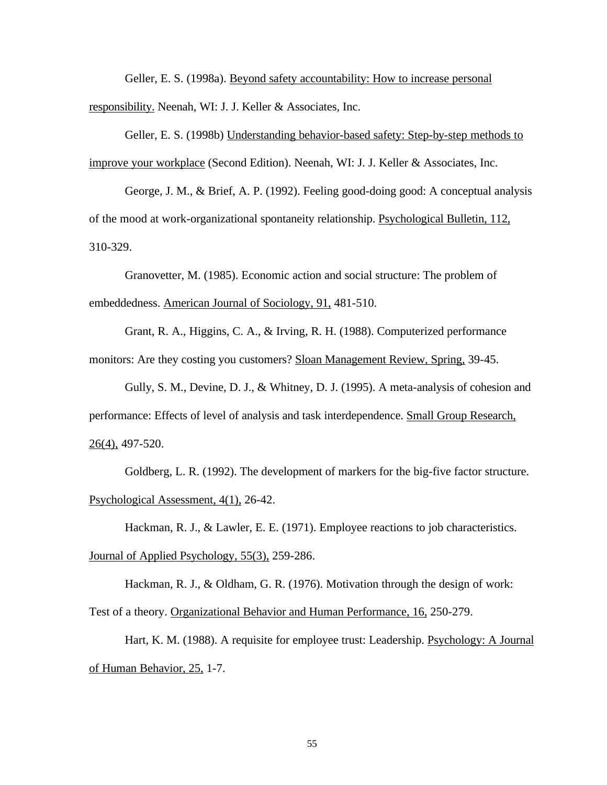Geller, E. S. (1998a). Beyond safety accountability: How to increase personal responsibility. Neenah, WI: J. J. Keller & Associates, Inc.

Geller, E. S. (1998b) Understanding behavior-based safety: Step-by-step methods to improve your workplace (Second Edition). Neenah, WI: J. J. Keller & Associates, Inc.

George, J. M., & Brief, A. P. (1992). Feeling good-doing good: A conceptual analysis of the mood at work-organizational spontaneity relationship. Psychological Bulletin, 112, 310-329.

Granovetter, M. (1985). Economic action and social structure: The problem of embeddedness. American Journal of Sociology, 91, 481-510.

Grant, R. A., Higgins, C. A., & Irving, R. H. (1988). Computerized performance monitors: Are they costing you customers? Sloan Management Review, Spring, 39-45.

Gully, S. M., Devine, D. J., & Whitney, D. J. (1995). A meta-analysis of cohesion and performance: Effects of level of analysis and task interdependence. Small Group Research, 26(4), 497-520.

Goldberg, L. R. (1992). The development of markers for the big-five factor structure. Psychological Assessment, 4(1), 26-42.

Hackman, R. J., & Lawler, E. E. (1971). Employee reactions to job characteristics. Journal of Applied Psychology, 55(3), 259-286.

Hackman, R. J., & Oldham, G. R. (1976). Motivation through the design of work: Test of a theory. Organizational Behavior and Human Performance, 16, 250-279.

Hart, K. M. (1988). A requisite for employee trust: Leadership. Psychology: A Journal of Human Behavior, 25, 1-7.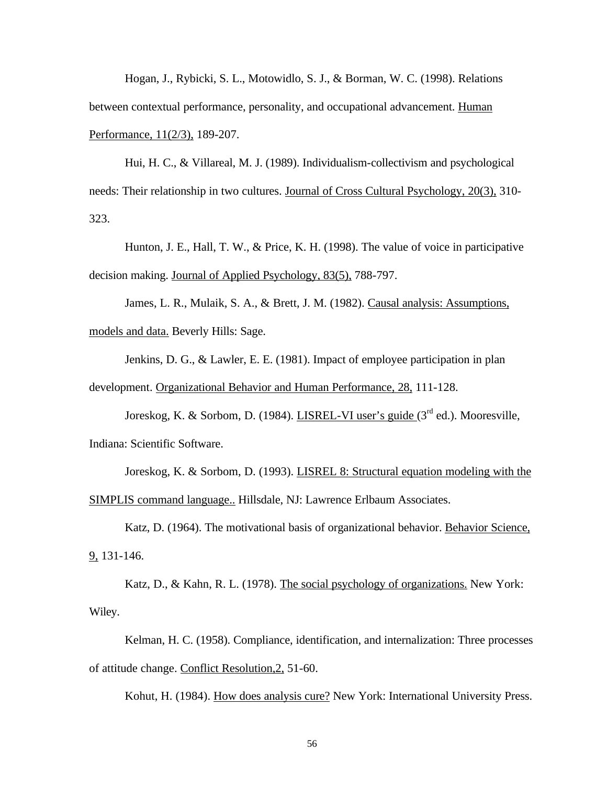Hogan, J., Rybicki, S. L., Motowidlo, S. J., & Borman, W. C. (1998). Relations between contextual performance, personality, and occupational advancement. Human Performance, 11(2/3), 189-207.

Hui, H. C., & Villareal, M. J. (1989). Individualism-collectivism and psychological needs: Their relationship in two cultures. Journal of Cross Cultural Psychology, 20(3), 310- 323.

Hunton, J. E., Hall, T. W., & Price, K. H. (1998). The value of voice in participative decision making. Journal of Applied Psychology, 83(5), 788-797.

James, L. R., Mulaik, S. A., & Brett, J. M. (1982). Causal analysis: Assumptions, models and data. Beverly Hills: Sage.

Jenkins, D. G., & Lawler, E. E. (1981). Impact of employee participation in plan development. Organizational Behavior and Human Performance, 28, 111-128.

Joreskog, K. & Sorbom, D. (1984). LISREL-VI user's guide  $(3<sup>rd</sup>$  ed.). Mooresville, Indiana: Scientific Software.

Joreskog, K. & Sorbom, D. (1993). LISREL 8: Structural equation modeling with the SIMPLIS command language.. Hillsdale, NJ: Lawrence Erlbaum Associates.

Katz, D. (1964). The motivational basis of organizational behavior. Behavior Science, 9, 131-146.

Katz, D., & Kahn, R. L. (1978). The social psychology of organizations. New York: Wiley.

Kelman, H. C. (1958). Compliance, identification, and internalization: Three processes of attitude change. Conflict Resolution,2, 51-60.

Kohut, H. (1984). How does analysis cure? New York: International University Press.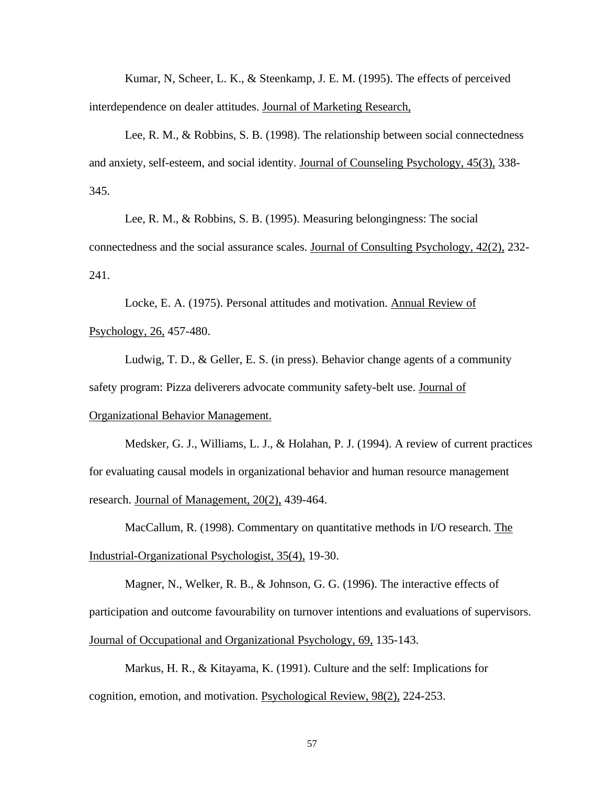Kumar, N, Scheer, L. K., & Steenkamp, J. E. M. (1995). The effects of perceived interdependence on dealer attitudes. Journal of Marketing Research,

Lee, R. M., & Robbins, S. B. (1998). The relationship between social connectedness and anxiety, self-esteem, and social identity. Journal of Counseling Psychology, 45(3), 338- 345.

Lee, R. M., & Robbins, S. B. (1995). Measuring belongingness: The social connectedness and the social assurance scales. Journal of Consulting Psychology, 42(2), 232- 241.

Locke, E. A. (1975). Personal attitudes and motivation. Annual Review of Psychology, 26, 457-480.

Ludwig, T. D., & Geller, E. S. (in press). Behavior change agents of a community safety program: Pizza deliverers advocate community safety-belt use. Journal of Organizational Behavior Management.

Medsker, G. J., Williams, L. J., & Holahan, P. J. (1994). A review of current practices for evaluating causal models in organizational behavior and human resource management research. Journal of Management, 20(2), 439-464.

MacCallum, R. (1998). Commentary on quantitative methods in I/O research. The Industrial-Organizational Psychologist, 35(4), 19-30.

Magner, N., Welker, R. B., & Johnson, G. G. (1996). The interactive effects of participation and outcome favourability on turnover intentions and evaluations of supervisors. Journal of Occupational and Organizational Psychology, 69, 135-143.

Markus, H. R., & Kitayama, K. (1991). Culture and the self: Implications for cognition, emotion, and motivation. Psychological Review, 98(2), 224-253.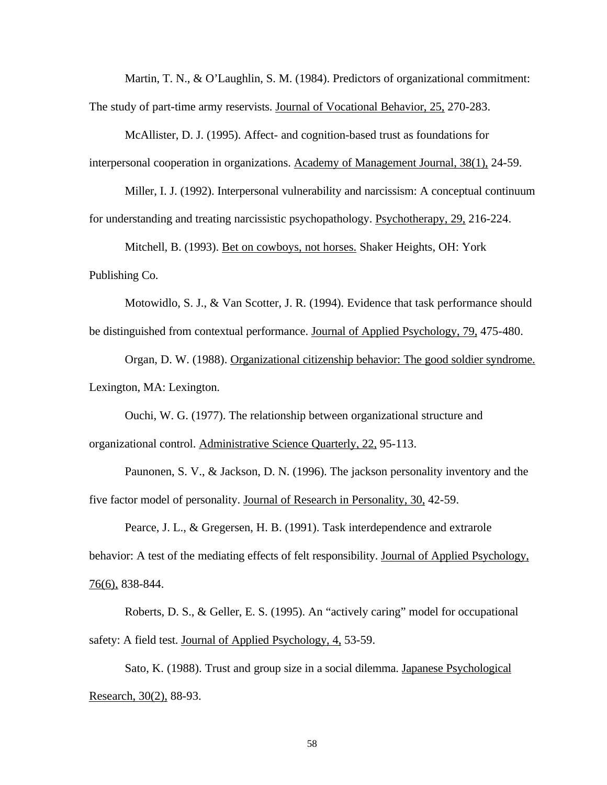Martin, T. N., & O'Laughlin, S. M. (1984). Predictors of organizational commitment: The study of part-time army reservists. Journal of Vocational Behavior, 25, 270-283.

McAllister, D. J. (1995). Affect- and cognition-based trust as foundations for interpersonal cooperation in organizations. Academy of Management Journal, 38(1), 24-59.

Miller, I. J. (1992). Interpersonal vulnerability and narcissism: A conceptual continuum for understanding and treating narcissistic psychopathology. Psychotherapy, 29, 216-224.

Mitchell, B. (1993). Bet on cowboys, not horses. Shaker Heights, OH: York Publishing Co.

Motowidlo, S. J., & Van Scotter, J. R. (1994). Evidence that task performance should be distinguished from contextual performance. Journal of Applied Psychology, 79, 475-480.

Organ, D. W. (1988). Organizational citizenship behavior: The good soldier syndrome. Lexington, MA: Lexington.

Ouchi, W. G. (1977). The relationship between organizational structure and organizational control. Administrative Science Quarterly, 22, 95-113.

Paunonen, S. V., & Jackson, D. N. (1996). The jackson personality inventory and the five factor model of personality. Journal of Research in Personality, 30, 42-59.

Pearce, J. L., & Gregersen, H. B. (1991). Task interdependence and extrarole behavior: A test of the mediating effects of felt responsibility. Journal of Applied Psychology, 76(6), 838-844.

Roberts, D. S., & Geller, E. S. (1995). An "actively caring" model for occupational safety: A field test. Journal of Applied Psychology, 4, 53-59.

Sato, K. (1988). Trust and group size in a social dilemma. Japanese Psychological Research, 30(2), 88-93.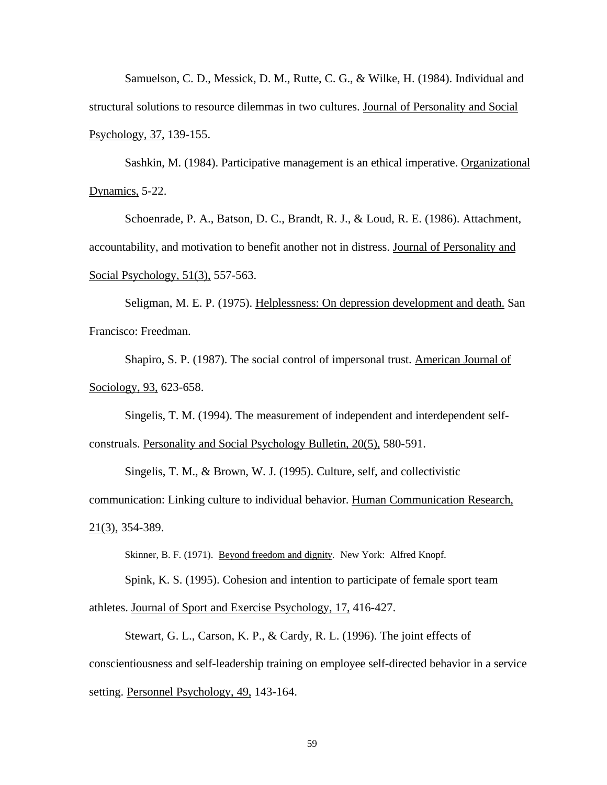Samuelson, C. D., Messick, D. M., Rutte, C. G., & Wilke, H. (1984). Individual and structural solutions to resource dilemmas in two cultures. Journal of Personality and Social Psychology, 37, 139-155.

Sashkin, M. (1984). Participative management is an ethical imperative. Organizational Dynamics, 5-22.

Schoenrade, P. A., Batson, D. C., Brandt, R. J., & Loud, R. E. (1986). Attachment, accountability, and motivation to benefit another not in distress. Journal of Personality and Social Psychology, 51(3), 557-563.

Seligman, M. E. P. (1975). Helplessness: On depression development and death. San Francisco: Freedman.

Shapiro, S. P. (1987). The social control of impersonal trust. American Journal of Sociology, 93, 623-658.

Singelis, T. M. (1994). The measurement of independent and interdependent selfconstruals. Personality and Social Psychology Bulletin, 20(5), 580-591.

Singelis, T. M., & Brown, W. J. (1995). Culture, self, and collectivistic

communication: Linking culture to individual behavior. Human Communication Research,  $21(3)$ , 354-389.

Skinner, B. F. (1971). Beyond freedom and dignity*.* New York: Alfred Knopf.

Spink, K. S. (1995). Cohesion and intention to participate of female sport team athletes. Journal of Sport and Exercise Psychology, 17, 416-427.

Stewart, G. L., Carson, K. P., & Cardy, R. L. (1996). The joint effects of conscientiousness and self-leadership training on employee self-directed behavior in a service setting. Personnel Psychology, 49, 143-164.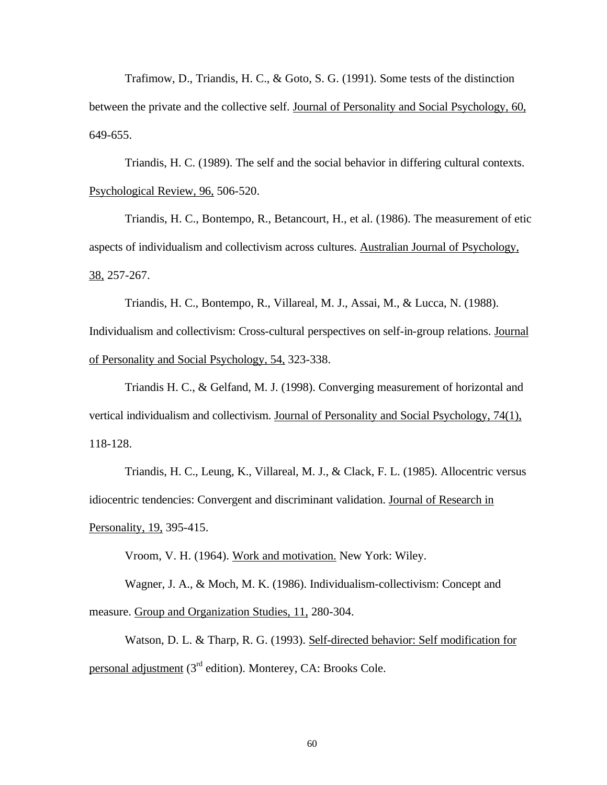Trafimow, D., Triandis, H. C., & Goto, S. G. (1991). Some tests of the distinction between the private and the collective self. Journal of Personality and Social Psychology, 60, 649-655.

Triandis, H. C. (1989). The self and the social behavior in differing cultural contexts. Psychological Review, 96, 506-520.

Triandis, H. C., Bontempo, R., Betancourt, H., et al. (1986). The measurement of etic aspects of individualism and collectivism across cultures. Australian Journal of Psychology, 38, 257-267.

Triandis, H. C., Bontempo, R., Villareal, M. J., Assai, M., & Lucca, N. (1988). Individualism and collectivism: Cross-cultural perspectives on self-in-group relations. Journal of Personality and Social Psychology, 54, 323-338.

Triandis H. C., & Gelfand, M. J. (1998). Converging measurement of horizontal and vertical individualism and collectivism. Journal of Personality and Social Psychology, 74(1), 118-128.

Triandis, H. C., Leung, K., Villareal, M. J., & Clack, F. L. (1985). Allocentric versus idiocentric tendencies: Convergent and discriminant validation. Journal of Research in Personality, 19, 395-415.

Vroom, V. H. (1964). Work and motivation. New York: Wiley.

Wagner, J. A., & Moch, M. K. (1986). Individualism-collectivism: Concept and measure. Group and Organization Studies, 11, 280-304.

Watson, D. L. & Tharp, R. G. (1993). Self-directed behavior: Self modification for personal adjustment (3rd edition). Monterey, CA: Brooks Cole.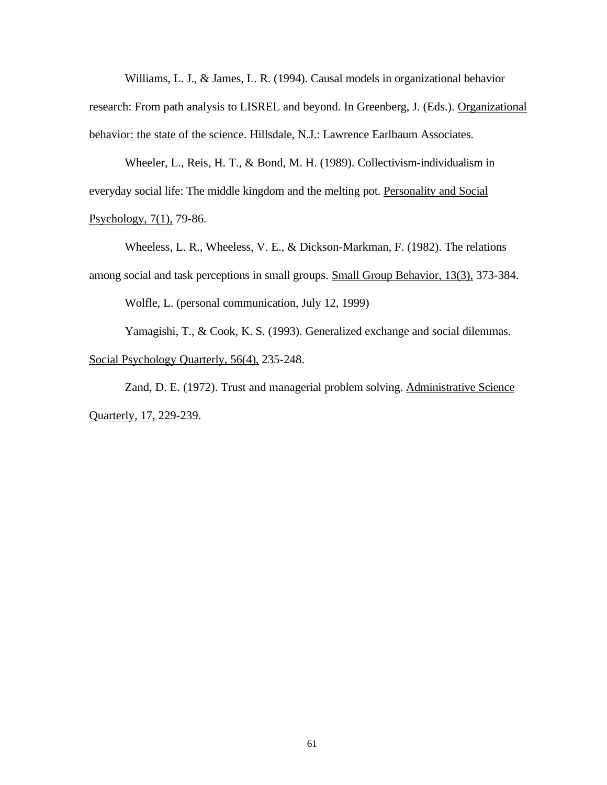Williams, L. J., & James, L. R. (1994). Causal models in organizational behavior research: From path analysis to LISREL and beyond. In Greenberg, J. (Eds.). Organizational behavior: the state of the science. Hillsdale, N.J.: Lawrence Earlbaum Associates.

Wheeler, L., Reis, H. T., & Bond, M. H. (1989). Collectivism-individualism in everyday social life: The middle kingdom and the melting pot. Personality and Social

Psychology, 7(1), 79-86.

Wheeless, L. R., Wheeless, V. E., & Dickson-Markman, F. (1982). The relations among social and task perceptions in small groups. Small Group Behavior, 13(3), 373-384.

Wolfle, L. (personal communication, July 12, 1999)

Yamagishi, T., & Cook, K. S. (1993). Generalized exchange and social dilemmas. Social Psychology Quarterly, 56(4), 235-248.

Zand, D. E. (1972). Trust and managerial problem solving. Administrative Science Quarterly, 17, 229-239.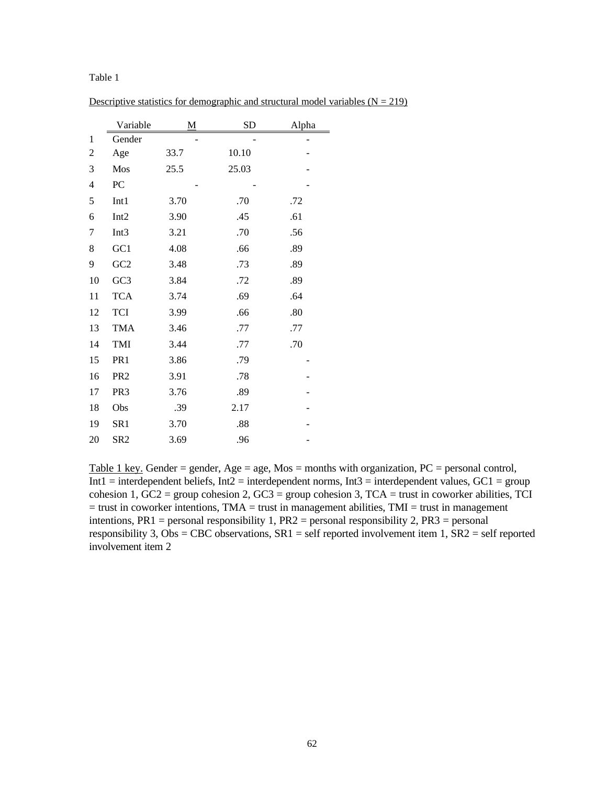|                | Variable         | М    | <b>SD</b> | Alpha |
|----------------|------------------|------|-----------|-------|
| 1              | Gender           |      |           |       |
| 2              | Age              | 33.7 | 10.10     |       |
| 3              | Mos              | 25.5 | 25.03     |       |
| $\overline{4}$ | PC               |      |           |       |
| 5              | Int1             | 3.70 | .70       | .72   |
| 6              | Int <sub>2</sub> | 3.90 | .45       | .61   |
| 7              | Int <sub>3</sub> | 3.21 | .70       | .56   |
| 8              | GC1              | 4.08 | .66       | .89   |
| 9              | GC2              | 3.48 | .73       | .89   |
| 10             | GC <sub>3</sub>  | 3.84 | .72       | .89   |
| 11             | <b>TCA</b>       | 3.74 | .69       | .64   |
| 12             | <b>TCI</b>       | 3.99 | .66       | .80   |
| 13             | <b>TMA</b>       | 3.46 | .77       | .77   |
| 14             | TMI              | 3.44 | .77       | .70   |
| 15             | PR1              | 3.86 | .79       |       |
| 16             | PR <sub>2</sub>  | 3.91 | .78       |       |
| 17             | PR <sub>3</sub>  | 3.76 | .89       |       |
| 18             | Obs              | .39  | 2.17      |       |
| 19             | SR1              | 3.70 | .88       |       |
| 20             | SR <sub>2</sub>  | 3.69 | .96       |       |

Descriptive statistics for demographic and structural model variables  $(N = 219)$ 

Table 1 key. Gender = gender, Age = age, Mos = months with organization,  $PC$  = personal control,  $Int1 = interdependent beliefs, Int2 = interdependent norms, Int3 = interdependent values, GC1 = group$ cohesion 1,  $GC2$  = group cohesion 2,  $GC3$  = group cohesion 3,  $TCA$  = trust in coworker abilities, TCI  $=$  trust in coworker intentions, TMA  $=$  trust in management abilities, TMI  $=$  trust in management intentions,  $PR1 =$  personal responsibility 1,  $PR2 =$  personal responsibility 2,  $PR3 =$  personal responsibility 3, Obs = CBC observations,  $SR1 = self$  reported involvement item 1,  $SR2 = self$  reported involvement item 2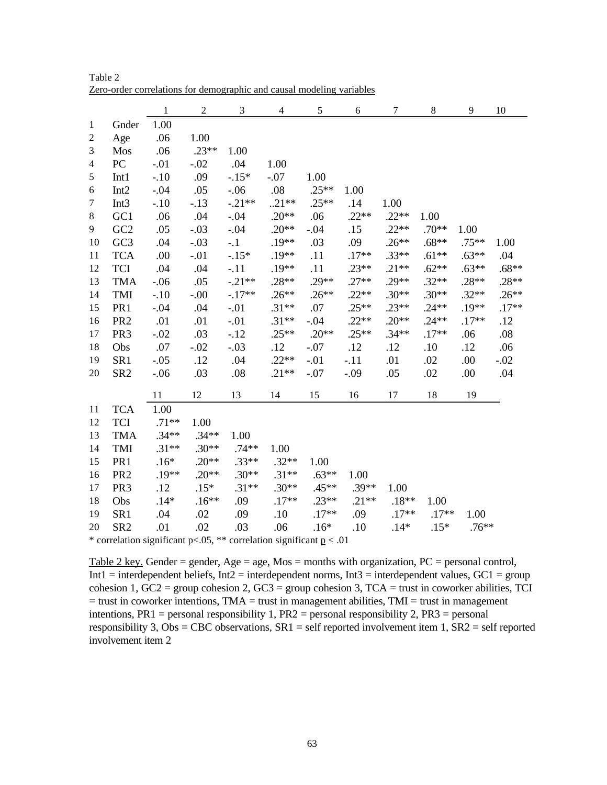|                |                  | $\mathbf{1}$ | $\overline{2}$ | 3        | 4       | 5        | 6        | 7       | $8\,$   | 9        | 10      |
|----------------|------------------|--------------|----------------|----------|---------|----------|----------|---------|---------|----------|---------|
| $\mathbf{1}$   | Gnder            | 1.00         |                |          |         |          |          |         |         |          |         |
| $\overline{c}$ | Age              | .06          | 1.00           |          |         |          |          |         |         |          |         |
| $\mathfrak{Z}$ | Mos              | .06          | $.23**$        | 1.00     |         |          |          |         |         |          |         |
| 4              | PC               | $-.01$       | $-.02$         | .04      | 1.00    |          |          |         |         |          |         |
| $\sqrt{5}$     | Int1             | $-.10$       | .09            | $-.15*$  | $-.07$  | 1.00     |          |         |         |          |         |
| 6              | Int <sub>2</sub> | $-.04$       | .05            | $-.06$   | .08     | $.25**$  | 1.00     |         |         |          |         |
| $\tau$         | Int <sub>3</sub> | $-.10$       | $-.13$         | $-.21**$ | $.21**$ | $.25**$  | .14      | 1.00    |         |          |         |
| $\,8\,$        | GC1              | .06          | .04            | $-.04$   | $.20**$ | .06      | $.22**$  | $.22**$ | 1.00    |          |         |
| 9              | GC2              | .05          | $-.03$         | $-.04$   | $.20**$ | $-.04$   | .15      | $.22**$ | $.70**$ | 1.00     |         |
| 10             | GC <sub>3</sub>  | .04          | $-.03$         | $-.1$    | $.19**$ | .03      | .09      | $.26**$ | $.68**$ | $.75***$ | 1.00    |
| 11             | <b>TCA</b>       | .00          | $-.01$         | $-.15*$  | $.19**$ | .11      | $.17**$  | $.33**$ | $.61**$ | $.63**$  | .04     |
| 12             | <b>TCI</b>       | .04          | .04            | $-.11$   | $.19**$ | .11      | $.23**$  | $.21**$ | $.62**$ | $.63**$  | $.68**$ |
| 13             | <b>TMA</b>       | $-.06$       | .05            | $-.21**$ | $.28**$ | $.29**$  | $.27**$  | $.29**$ | $.32**$ | $.28**$  | $.28**$ |
| 14             | TMI              | $-.10$       | $-.00$         | $-.17**$ | $.26**$ | $.26***$ | $.22**$  | $.30**$ | $.30**$ | $.32**$  | $.26**$ |
| 15             | PR1              | $-.04$       | .04            | $-.01$   | $.31**$ | .07      | $.25**$  | $.23**$ | $.24**$ | $.19**$  | $.17**$ |
| 16             | PR <sub>2</sub>  | .01          | .01            | $-.01$   | $.31**$ | $-.04$   | $.22**$  | $.20**$ | $.24**$ | $.17**$  | .12     |
| 17             | PR <sub>3</sub>  | $-.02$       | .03            | $-.12$   | $.25**$ | $.20**$  | $.25***$ | $.34**$ | $.17**$ | .06      | .08     |
| 18             | Obs              | .07          | $-.02$         | $-.03$   | .12     | $-.07$   | .12      | .12     | .10     | .12      | .06     |
| 19             | SR <sub>1</sub>  | $-.05$       | .12            | .04      | $.22**$ | $-.01$   | $-.11$   | .01     | .02     | .00      | $-.02$  |
| 20             | SR <sub>2</sub>  | $-.06$       | .03            | .08      | $.21**$ | $-.07$   | $-.09$   | .05     | .02     | .00      | .04     |
|                |                  | 11           | 12             | 13       | 14      | 15       | 16       | 17      | 18      | 19       |         |
| 11             | <b>TCA</b>       | 1.00         |                |          |         |          |          |         |         |          |         |
| 12             | <b>TCI</b>       | $.71**$      | 1.00           |          |         |          |          |         |         |          |         |
| 13             | <b>TMA</b>       | $.34**$      | $.34**$        | 1.00     |         |          |          |         |         |          |         |
| 14             | TMI              | $.31**$      | $.30**$        | $.74**$  | 1.00    |          |          |         |         |          |         |
| 15             | PR1              | $.16*$       | $.20**$        | $.33**$  | $.32**$ | 1.00     |          |         |         |          |         |
| 16             | PR <sub>2</sub>  | $.19**$      | $.20**$        | $.30**$  | $.31**$ | $.63**$  | 1.00     |         |         |          |         |
| 17             | PR <sub>3</sub>  | .12          | $.15*$         | $.31**$  | $.30**$ | $.45**$  | $.39**$  | 1.00    |         |          |         |
| 18             | Obs              | $.14*$       | $.16**$        | .09      | $.17**$ | $.23**$  | $.21**$  | $.18**$ | 1.00    |          |         |
| 19             | SR <sub>1</sub>  | .04          | .02            | .09      | .10     | $.17**$  | .09      | $.17**$ | $.17**$ | 1.00     |         |
| 20             | SR <sub>2</sub>  | .01          | .02            | .03      | .06     | $.16*$   | .10      | $.14*$  | $.15*$  | $.76***$ |         |

Table 2 Zero-order correlations for demographic and causal modeling variables

\* correlation significant p<.05, \*\* correlation significant  $p < .01$ 

Table 2 key. Gender = gender, Age = age, Mos = months with organization, PC = personal control, Int1 = interdependent beliefs, Int2 = interdependent norms, Int3 = interdependent values,  $GC1 =$  group cohesion 1,  $GC2$  = group cohesion 2,  $GC3$  = group cohesion 3,  $TCA$  = trust in coworker abilities, TCI  $=$  trust in coworker intentions, TMA  $=$  trust in management abilities, TMI  $=$  trust in management intentions, PR1 = personal responsibility 1, PR2 = personal responsibility 2, PR3 = personal responsibility 3, Obs = CBC observations,  $SR1 = self$  reported involvement item 1,  $SR2 = self$  reported involvement item 2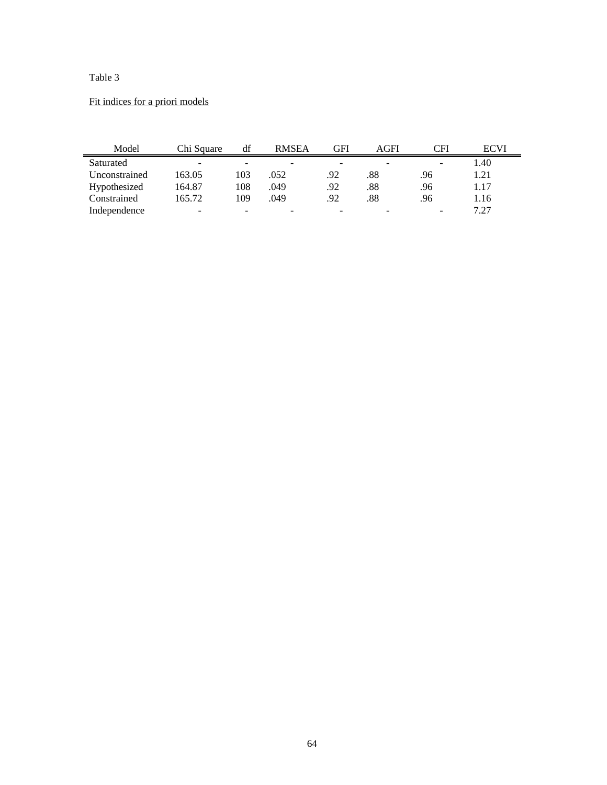# Fit indices for a priori models

| Model         | Chi Square               | df                       | <b>RMSEA</b>             | GFI | AGFI | CFI | <b>ECVI</b> |
|---------------|--------------------------|--------------------------|--------------------------|-----|------|-----|-------------|
| Saturated     | $\overline{\phantom{0}}$ | -                        | $\overline{\phantom{0}}$ |     |      | -   | 1.40        |
| Unconstrained | 163.05                   | 103                      | .052                     | .92 | .88  | .96 | 1.21        |
| Hypothesized  | 164.87                   | 108                      | .049                     | .92 | .88  | .96 | 1.17        |
| Constrained   | 165.72                   | 109                      | .049                     | .92 | .88  | .96 | 1.16        |
| Independence  | ۰                        | $\overline{\phantom{0}}$ | -                        |     |      |     | 7.27        |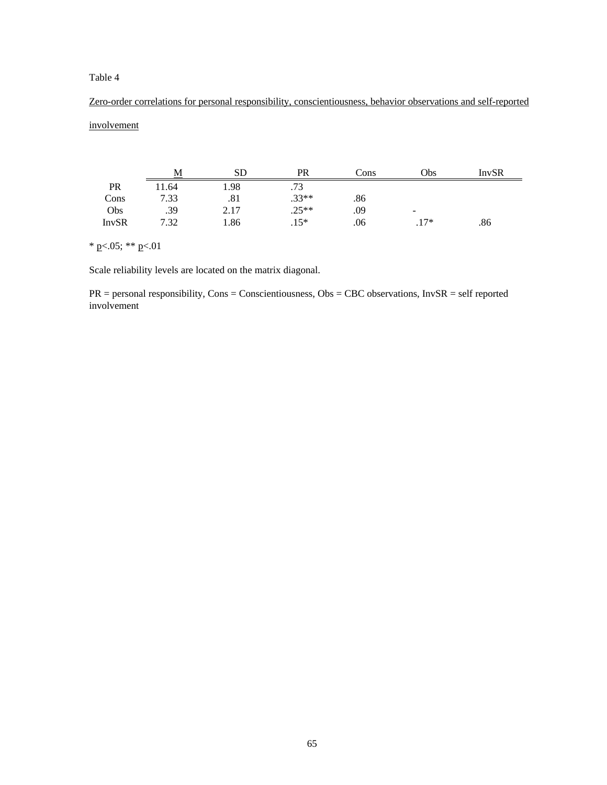Zero-order correlations for personal responsibility, conscientiousness, behavior observations and self-reported involvement

|              | М     | <b>SD</b> | PR      | Cons | Obs                      | <b>InvSR</b> |
|--------------|-------|-----------|---------|------|--------------------------|--------------|
| PR           | 11.64 | 1.98      | .73     |      |                          |              |
| Cons         | 7.33  | .81       | $.33**$ | .86  |                          |              |
| Obs          | .39   | 2.17      | $.25**$ | .09  | $\overline{\phantom{a}}$ |              |
| <b>InvSR</b> | 7.32  | 1.86      | $.15*$  | .06  | $.17*$                   | .86          |

\* p<.05; \*\* p<.01

Scale reliability levels are located on the matrix diagonal.

PR = personal responsibility, Cons = Conscientiousness, Obs = CBC observations, InvSR = self reported involvement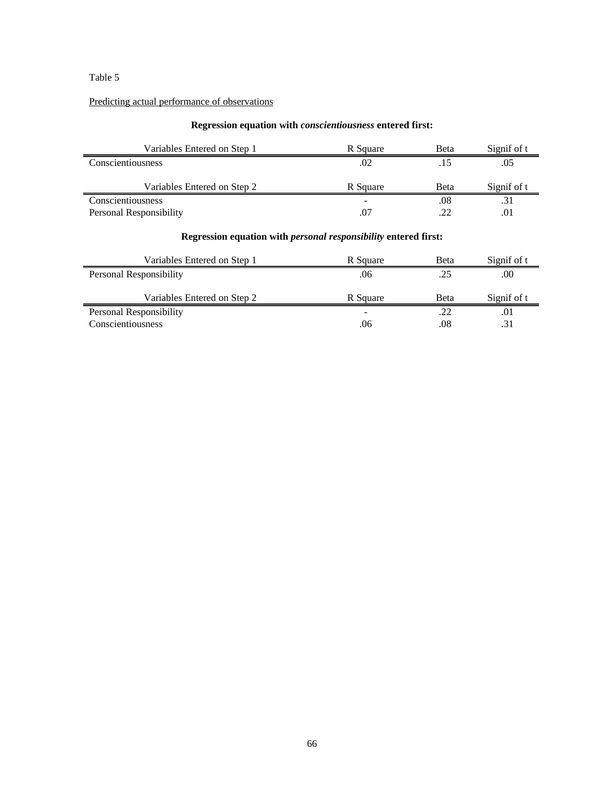# Predicting actual performance of observations

## **Regression equation with** *conscientiousness* **entered first:**

| Variables Entered on Step 1 | R Square | Beta | Signif of t |
|-----------------------------|----------|------|-------------|
| Conscientiousness           | .02      |      | .05         |
|                             |          |      |             |
| Variables Entered on Step 2 | R Square | Beta | Signif of t |
| Conscientiousness           | -        | .08  |             |

#### **Regression equation with** *personal responsibility* **entered first:**

| Variables Entered on Step 1 | R Square | Beta        | Signif of t |
|-----------------------------|----------|-------------|-------------|
| Personal Responsibility     | .06      | .25         | .00         |
|                             |          |             |             |
| Variables Entered on Step 2 | R Square | <b>Beta</b> | Signif of t |
| Personal Responsibility     |          | .22         | .01         |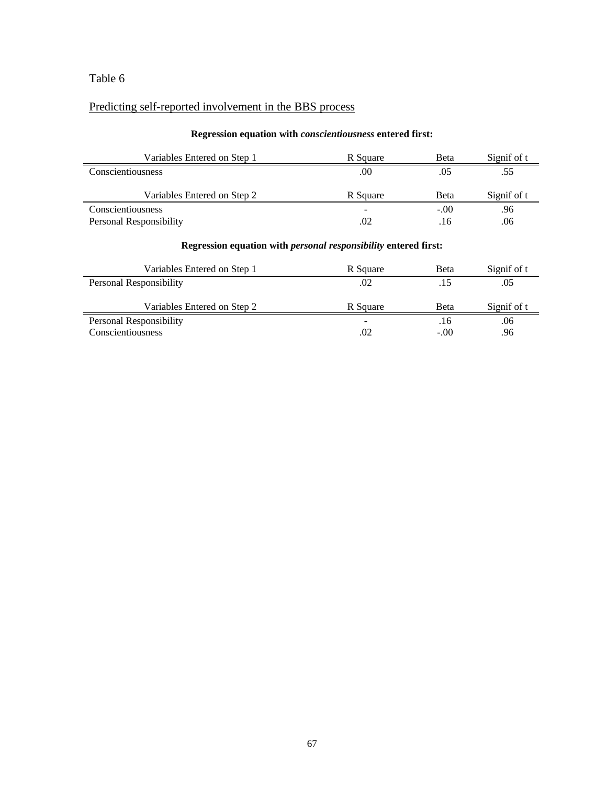# Predicting self-reported involvement in the BBS process

#### **Regression equation with** *conscientiousness* **entered first:**

| Variables Entered on Step 1 | R Square | Beta   | Signif of t |
|-----------------------------|----------|--------|-------------|
| Conscientiousness           | .00      | .05    | .55         |
| Variables Entered on Step 2 | R Square | Beta   | Signif of t |
| Conscientiousness           |          | $-.00$ | .96         |
| Personal Responsibility     | .02      | .16    | .06         |

#### **Regression equation with** *personal responsibility* **entered first:**

| Variables Entered on Step 1 | R Square | <b>B</b> eta | Signif of t |
|-----------------------------|----------|--------------|-------------|
| Personal Responsibility     | .02      |              | .05         |
|                             |          |              |             |
| Variables Entered on Step 2 | R Square | <b>Beta</b>  | Signif of t |
| Personal Responsibility     | -        | .16          | .06         |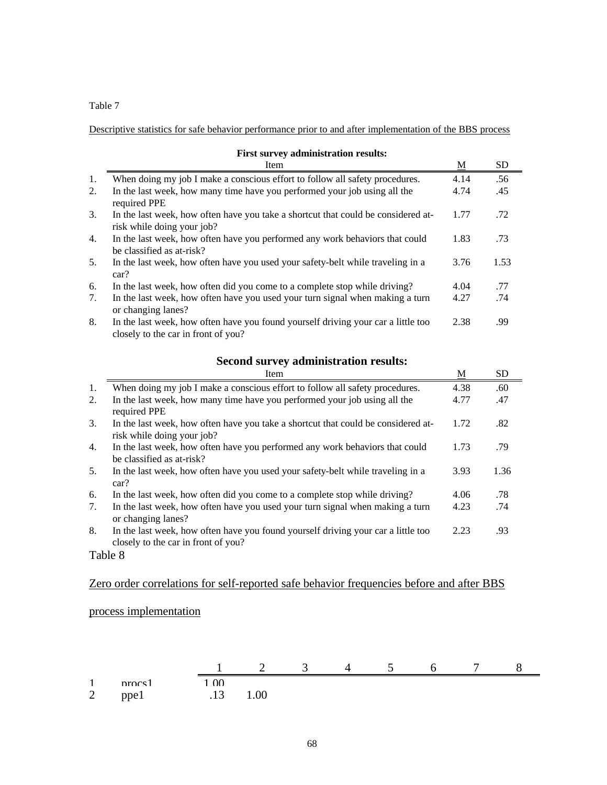Descriptive statistics for safe behavior performance prior to and after implementation of the BBS process

|    | 1 not our vey auminion attion results.                                                                                   |      |           |
|----|--------------------------------------------------------------------------------------------------------------------------|------|-----------|
|    | Item                                                                                                                     | М    | <b>SD</b> |
| 1. | When doing my job I make a conscious effort to follow all safety procedures.                                             | 4.14 | .56       |
| 2. | In the last week, how many time have you performed your job using all the<br>required PPE                                | 4.74 | .45       |
| 3. | In the last week, how often have you take a shortcut that could be considered at-<br>risk while doing your job?          | 1.77 | .72       |
| 4. | In the last week, how often have you performed any work behaviors that could<br>be classified as at-risk?                | 1.83 | .73       |
| 5. | In the last week, how often have you used your safety-belt while traveling in a<br>car?                                  | 3.76 | 1.53      |
| 6. | In the last week, how often did you come to a complete stop while driving?                                               | 4.04 | .77       |
| 7. | In the last week, how often have you used your turn signal when making a turn<br>or changing lanes?                      | 4.27 | .74       |
| 8. | In the last week, how often have you found yourself driving your car a little too<br>closely to the car in front of you? | 2.38 | .99       |

## **First survey administration results:**

# **Second survey administration results:**

|    | Item                                                                                                                     | <u>M</u> | <b>SD</b> |
|----|--------------------------------------------------------------------------------------------------------------------------|----------|-----------|
| 1. | When doing my job I make a conscious effort to follow all safety procedures.                                             | 4.38     | .60       |
| 2. | In the last week, how many time have you performed your job using all the<br>required PPE                                | 4.77     | .47       |
| 3. | In the last week, how often have you take a shortcut that could be considered at-<br>risk while doing your job?          | 1.72     | .82       |
| 4. | In the last week, how often have you performed any work behaviors that could<br>be classified as at-risk?                | 1.73     | .79       |
| 5. | In the last week, how often have you used your safety-belt while traveling in a<br>car?                                  | 3.93     | 1.36      |
| 6. | In the last week, how often did you come to a complete stop while driving?                                               | 4.06     | .78       |
| 7. | In the last week, how often have you used your turn signal when making a turn<br>or changing lanes?                      | 4.23     | .74       |
| 8. | In the last week, how often have you found yourself driving your car a little too<br>closely to the car in front of you? | 2.23     | .93       |

Table 8

# Zero order correlations for self-reported safe behavior frequencies before and after BBS

# process implementation

|                                 |             |                  | ∸    | . . | . . | ∽ |  |
|---------------------------------|-------------|------------------|------|-----|-----|---|--|
|                                 | nrocs       | 0 <sub>0</sub>   |      |     |     |   |  |
| $\mathcal{D}$<br>$\overline{ }$ | ppel<br>. . | $\cdot$ . $\sim$ | 1.00 |     |     |   |  |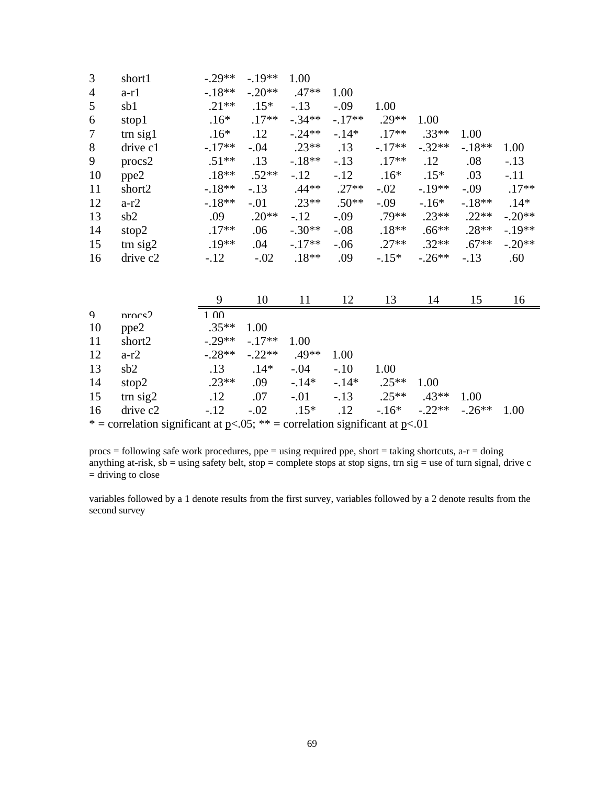| 3              | short1            | $-.29**$ | $-.19**$ | 1.00     |         |          |          |          |          |
|----------------|-------------------|----------|----------|----------|---------|----------|----------|----------|----------|
| $\overline{4}$ | $a-r1$            | $-.18**$ | $-.20**$ | $.47**$  | 1.00    |          |          |          |          |
| 5              | sb1               | $.21**$  | $.15*$   | $-.13$   | $-.09$  | 1.00     |          |          |          |
| 6              | stop1             | $.16*$   | $.17**$  | $-.34**$ | $-17**$ | $.29**$  | 1.00     |          |          |
| $\tau$         | $\text{trn}$ sig1 | $.16*$   | .12      | $-.24**$ | $-14*$  | $.17**$  | $.33**$  | 1.00     |          |
| 8              | drive c1          | $-.17**$ | $-.04$   | $.23**$  | .13     | $-.17**$ | $-.32**$ | $-.18**$ | 1.00     |
| 9              | $\text{process2}$ | $.51**$  | .13      | $-.18**$ | $-.13$  | $.17**$  | .12      | .08      | $-.13$   |
| 10             | ppe2              | $.18**$  | $.52**$  | $-.12$   | $-.12$  | $.16*$   | $.15*$   | .03      | $-.11$   |
| 11             | short2            | $-.18**$ | $-.13$   | $.44**$  | $.27**$ | $-.02$   | $-.19**$ | $-.09$   | $.17**$  |
| 12             | $a-r2$            | $-.18**$ | $-.01$   | $.23**$  | $.50**$ | $-.09$   | $-16*$   | $-.18**$ | $.14*$   |
| 13             | sb2               | .09      | $.20**$  | $-.12$   | $-.09$  | $.79**$  | $.23**$  | $.22**$  | $-.20**$ |
| 14             | stop2             | $.17**$  | .06      | $-.30**$ | $-.08$  | $.18**$  | $.66***$ | $.28**$  | $-.19**$ |
| 15             | $\text{trn sig2}$ | $.19**$  | .04      | $-.17**$ | $-.06$  | $.27**$  | $.32**$  | $.67**$  | $-.20**$ |
| 16             | drive c2          | $-.12$   | $-.02$   | $.18**$  | .09     | $-.15*$  | $-.26**$ | $-.13$   | .60      |

|                                                                                  |                   | q                 | 10       |         | 12     | 13      | 14       | 15        | 16   |
|----------------------------------------------------------------------------------|-------------------|-------------------|----------|---------|--------|---------|----------|-----------|------|
| $\mathbf Q$                                                                      | nrocs2            | 1.00 <sub>l</sub> |          |         |        |         |          |           |      |
| 10                                                                               | ppe2              | $.35**$           | 1.00     |         |        |         |          |           |      |
| 11                                                                               | short2            | $-29**$           | $-17**$  | 1.00    |        |         |          |           |      |
| 12                                                                               | $a-r2$            | $-.28**$          | $-.22**$ | $.49**$ | 1.00   |         |          |           |      |
| 13                                                                               | sb2               | .13               | $.14*$   | $-.04$  | $-.10$ | 1.00    |          |           |      |
| 14                                                                               | stop2             | $.23**$           | .09      | $-14*$  | $-14*$ | $.25**$ | 1.00     |           |      |
| 15                                                                               | $\text{trn sig2}$ | .12               | .07      | $-.01$  | $-.13$ | $.25**$ | $.43**$  | 1.00      |      |
| 16                                                                               | drive c2          | $-.12$            | $-.02$   | $.15*$  | .12    | $-16*$  | $-.22**$ | $-0.26**$ | 1.00 |
| * = correlation significant at $p<.05$ ; ** = correlation significant at $p<.01$ |                   |                   |          |         |        |         |          |           |      |

procs = following safe work procedures, ppe = using required ppe, short = taking shortcuts, a-r = doing anything at-risk,  $sb =$  using safety belt,  $stop =$  complete stops at stop signs, trn sig = use of turn signal, drive c  $=$  driving to close

variables followed by a 1 denote results from the first survey, variables followed by a 2 denote results from the second survey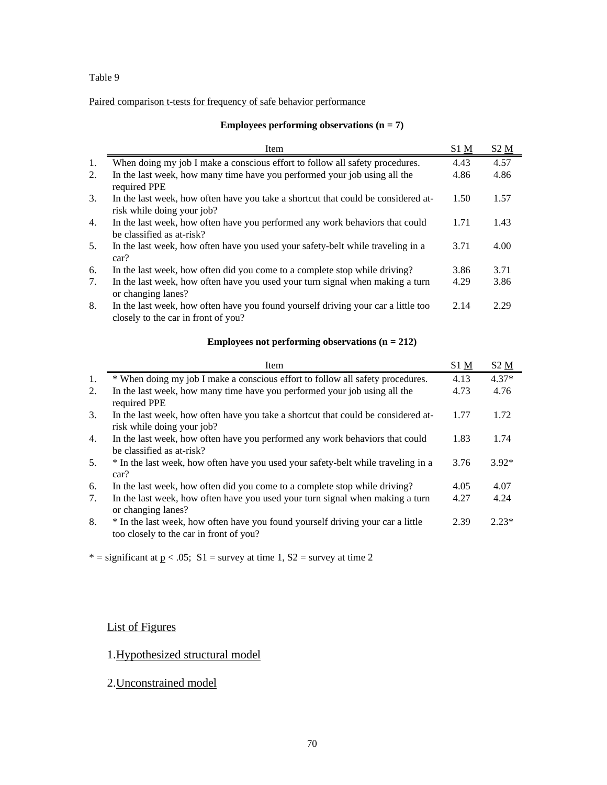## Paired comparison t-tests for frequency of safe behavior performance

#### **Employees performing observations (n = 7)**

|    | Item                                                                                                                     | $S1$ $\underline{M}$ | $S2 \underline{M}$ |
|----|--------------------------------------------------------------------------------------------------------------------------|----------------------|--------------------|
| 1. | When doing my job I make a conscious effort to follow all safety procedures.                                             | 4.43                 | 4.57               |
| 2. | In the last week, how many time have you performed your job using all the<br>required PPE                                | 4.86                 | 4.86               |
| 3. | In the last week, how often have you take a shortcut that could be considered at-<br>risk while doing your job?          | 1.50                 | 1.57               |
| 4. | In the last week, how often have you performed any work behaviors that could<br>be classified as at-risk?                | 1.71                 | 1.43               |
| 5. | In the last week, how often have you used your safety-belt while traveling in a<br>car?                                  | 3.71                 | 4.00               |
| 6. | In the last week, how often did you come to a complete stop while driving?                                               | 3.86                 | 3.71               |
| 7. | In the last week, how often have you used your turn signal when making a turn<br>or changing lanes?                      | 4.29                 | 3.86               |
| 8. | In the last week, how often have you found yourself driving your car a little too<br>closely to the car in front of you? | 2.14                 | 2.29               |

#### **Employees not performing observations (n = 212)**

|    | Item                                                                                                                       | S1 M | S <sub>2</sub> M |
|----|----------------------------------------------------------------------------------------------------------------------------|------|------------------|
| 1. | * When doing my job I make a conscious effort to follow all safety procedures.                                             | 4.13 | $4.37*$          |
| 2. | In the last week, how many time have you performed your job using all the<br>required PPE                                  | 4.73 | 4.76             |
| 3. | In the last week, how often have you take a shortcut that could be considered at-<br>risk while doing your job?            | 1.77 | 1.72             |
| 4. | In the last week, how often have you performed any work behaviors that could<br>be classified as at-risk?                  | 1.83 | 1.74             |
| 5. | * In the last week, how often have you used your safety-belt while traveling in a<br>car?                                  | 3.76 | $3.92*$          |
| 6. | In the last week, how often did you come to a complete stop while driving?                                                 | 4.05 | 4.07             |
| 7. | In the last week, how often have you used your turn signal when making a turn<br>or changing lanes?                        | 4.27 | 4.24             |
| 8. | * In the last week, how often have you found yourself driving your car a little<br>too closely to the car in front of you? | 2.39 | $2.23*$          |

\* = significant at  $p < .05$ ; S1 = survey at time 1, S2 = survey at time 2

# List of Figures

# 1.Hypothesized structural model

2.Unconstrained model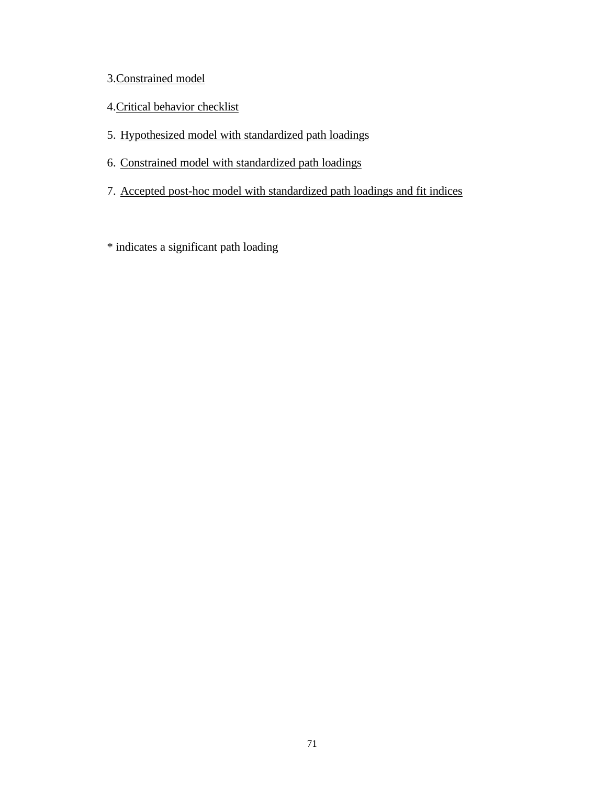# 3.Constrained model

- 4.Critical behavior checklist
- 5. Hypothesized model with standardized path loadings
- 6. Constrained model with standardized path loadings
- 7. Accepted post-hoc model with standardized path loadings and fit indices
- \* indicates a significant path loading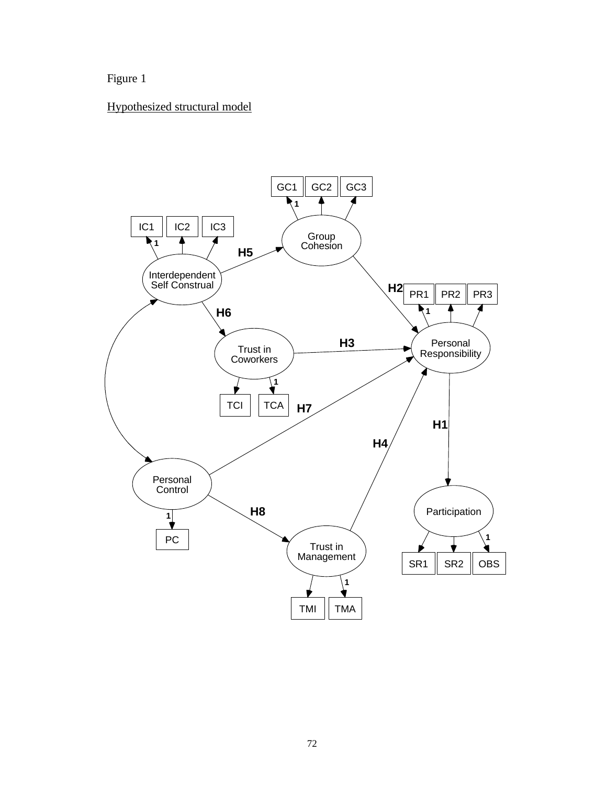Figure 1

# Hypothesized structural model

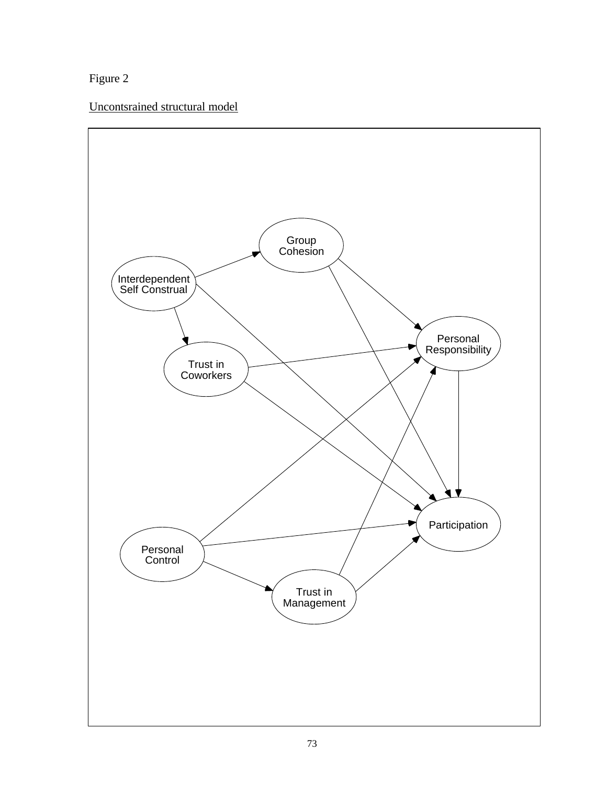Figure 2

Uncontsrained structural model

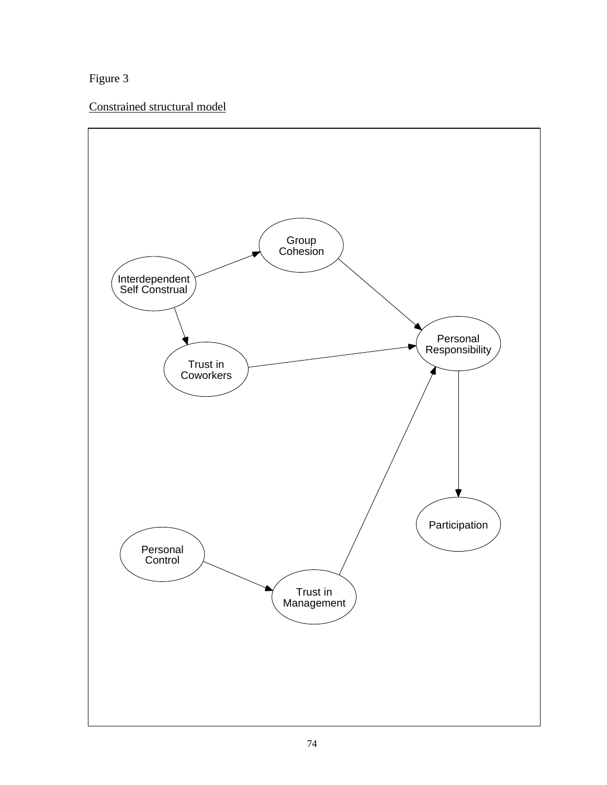Figure 3

Constrained structural model

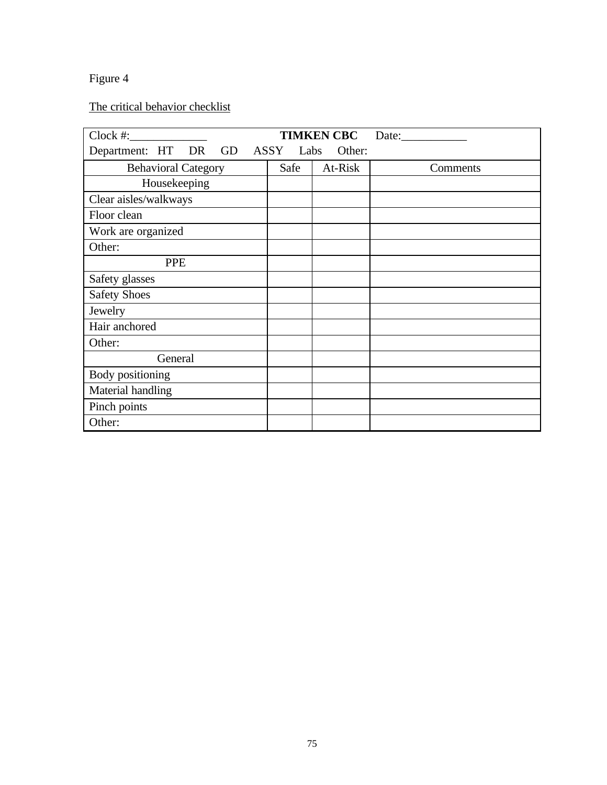# Figure 4

# The critical behavior checklist

| $Clock \#:$                |  |  |              | <b>TIMKEN CBC</b> | Date: $\_\_$ |
|----------------------------|--|--|--------------|-------------------|--------------|
| Department: HT<br>DR       |  |  | GD ASSY Labs | Other:            |              |
| <b>Behavioral Category</b> |  |  | Safe         | At-Risk           | Comments     |
| Housekeeping               |  |  |              |                   |              |
| Clear aisles/walkways      |  |  |              |                   |              |
| Floor clean                |  |  |              |                   |              |
| Work are organized         |  |  |              |                   |              |
| Other:                     |  |  |              |                   |              |
| <b>PPE</b>                 |  |  |              |                   |              |
| Safety glasses             |  |  |              |                   |              |
| <b>Safety Shoes</b>        |  |  |              |                   |              |
| Jewelry                    |  |  |              |                   |              |
| Hair anchored              |  |  |              |                   |              |
| Other:                     |  |  |              |                   |              |
| General                    |  |  |              |                   |              |
| Body positioning           |  |  |              |                   |              |
| Material handling          |  |  |              |                   |              |
| Pinch points               |  |  |              |                   |              |
| Other:                     |  |  |              |                   |              |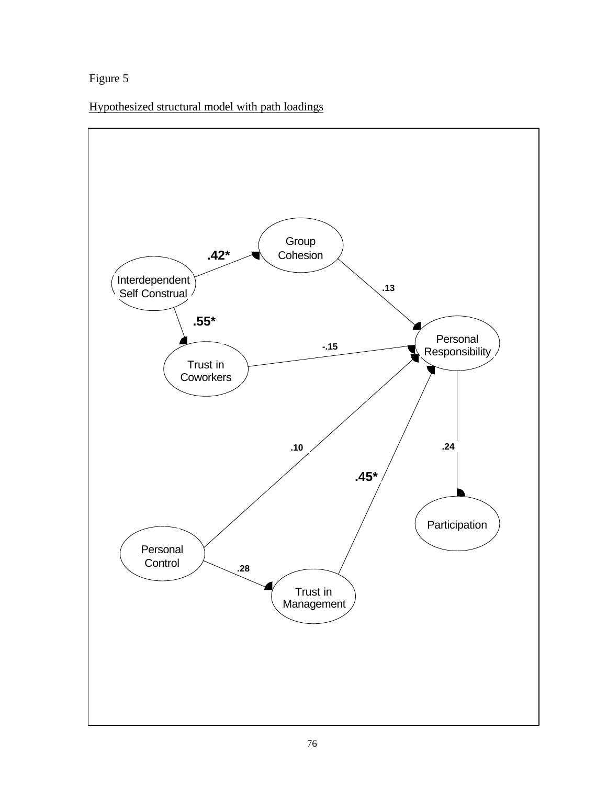Figure 5

Hypothesized structural model with path loadings

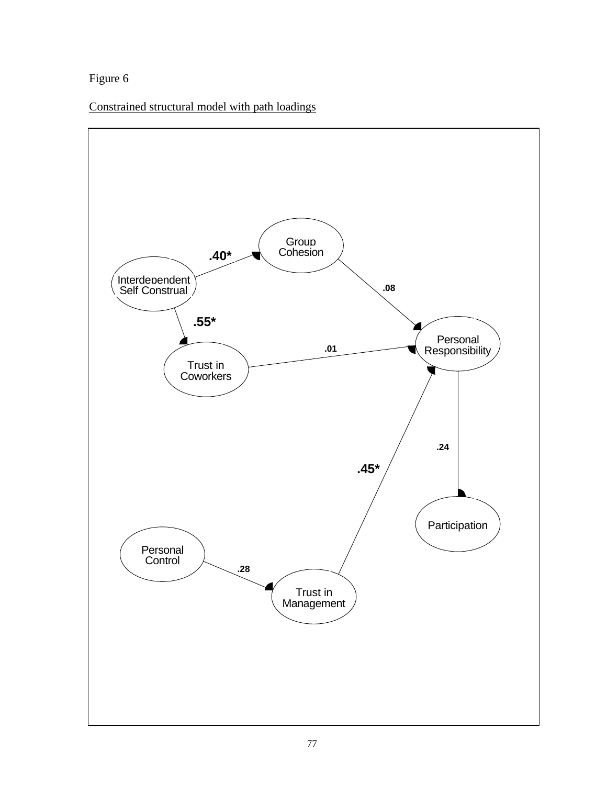# Figure 6

Constrained structural model with path loadings

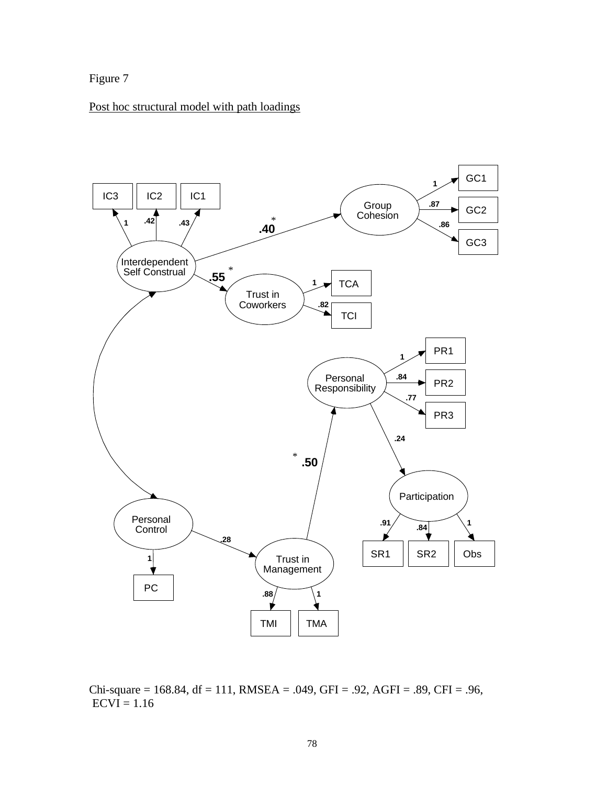

# Post hoc structural model with path loadings



Chi-square = 168.84, df = 111, RMSEA = .049, GFI = .92, AGFI = .89, CFI = .96,  $ECVI = 1.16$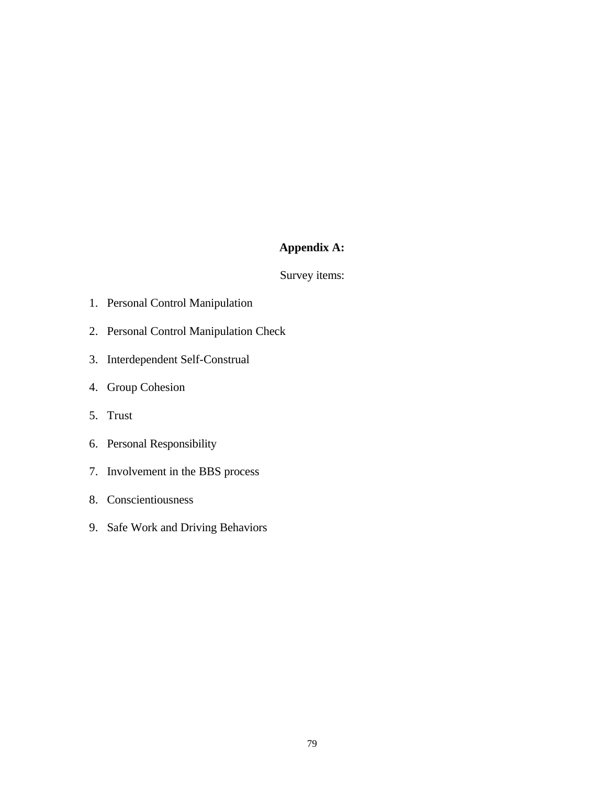# **Appendix A:**

# Survey items:

- 1. Personal Control Manipulation
- 2. Personal Control Manipulation Check
- 3. Interdependent Self-Construal
- 4. Group Cohesion
- 5. Trust
- 6. Personal Responsibility
- 7. Involvement in the BBS process
- 8. Conscientiousness
- 9. Safe Work and Driving Behaviors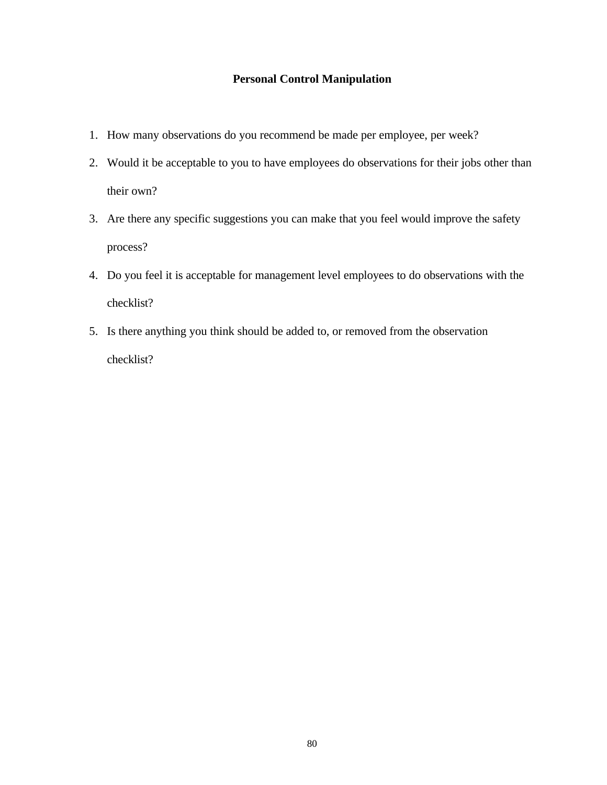# **Personal Control Manipulation**

- 1. How many observations do you recommend be made per employee, per week?
- 2. Would it be acceptable to you to have employees do observations for their jobs other than their own?
- 3. Are there any specific suggestions you can make that you feel would improve the safety process?
- 4. Do you feel it is acceptable for management level employees to do observations with the checklist?
- 5. Is there anything you think should be added to, or removed from the observation checklist?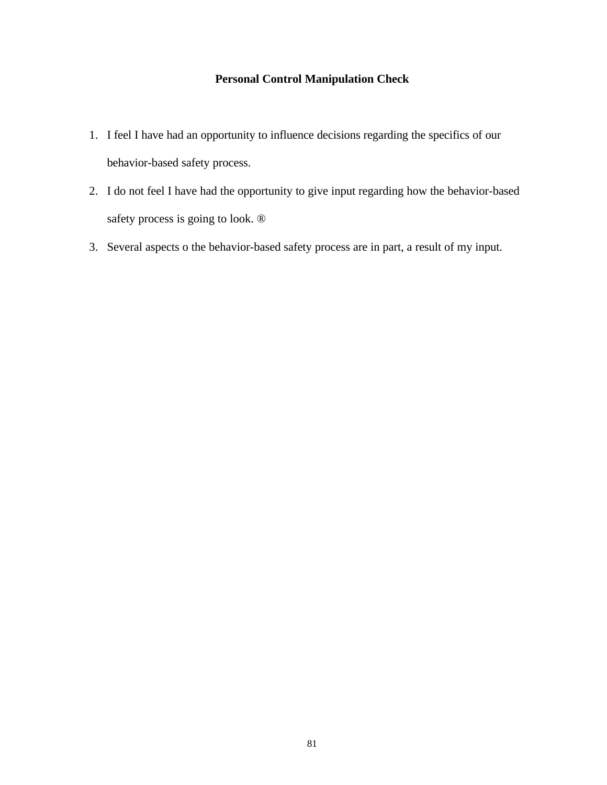# **Personal Control Manipulation Check**

- 1. I feel I have had an opportunity to influence decisions regarding the specifics of our behavior-based safety process.
- 2. I do not feel I have had the opportunity to give input regarding how the behavior-based safety process is going to look. ®
- 3. Several aspects o the behavior-based safety process are in part, a result of my input.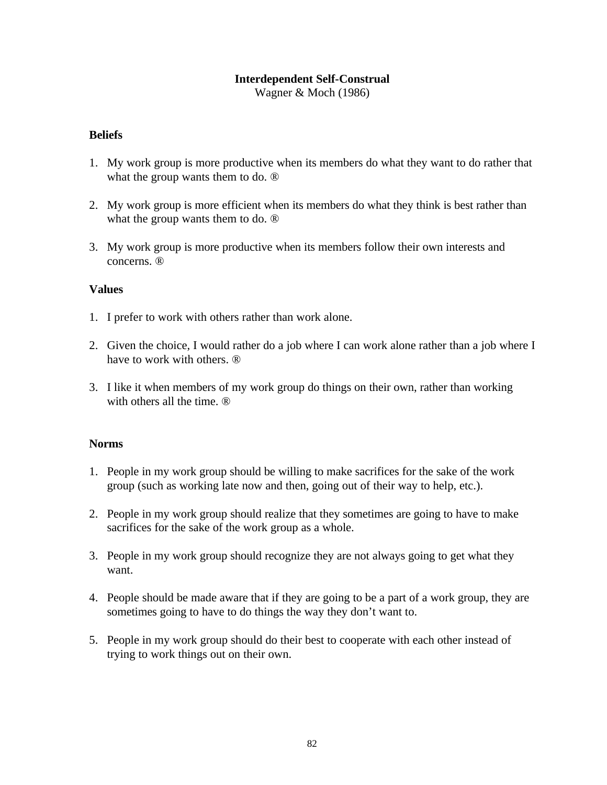# **Interdependent Self-Construal**

Wagner & Moch (1986)

# **Beliefs**

- 1. My work group is more productive when its members do what they want to do rather that what the group wants them to do. ®
- 2. My work group is more efficient when its members do what they think is best rather than what the group wants them to do. ®
- 3. My work group is more productive when its members follow their own interests and concerns. ®

# **Values**

- 1. I prefer to work with others rather than work alone.
- 2. Given the choice, I would rather do a job where I can work alone rather than a job where I have to work with others. ®
- 3. I like it when members of my work group do things on their own, rather than working with others all the time.  $<sup>®</sup>$ </sup>

# **Norms**

- 1. People in my work group should be willing to make sacrifices for the sake of the work group (such as working late now and then, going out of their way to help, etc.).
- 2. People in my work group should realize that they sometimes are going to have to make sacrifices for the sake of the work group as a whole.
- 3. People in my work group should recognize they are not always going to get what they want.
- 4. People should be made aware that if they are going to be a part of a work group, they are sometimes going to have to do things the way they don't want to.
- 5. People in my work group should do their best to cooperate with each other instead of trying to work things out on their own.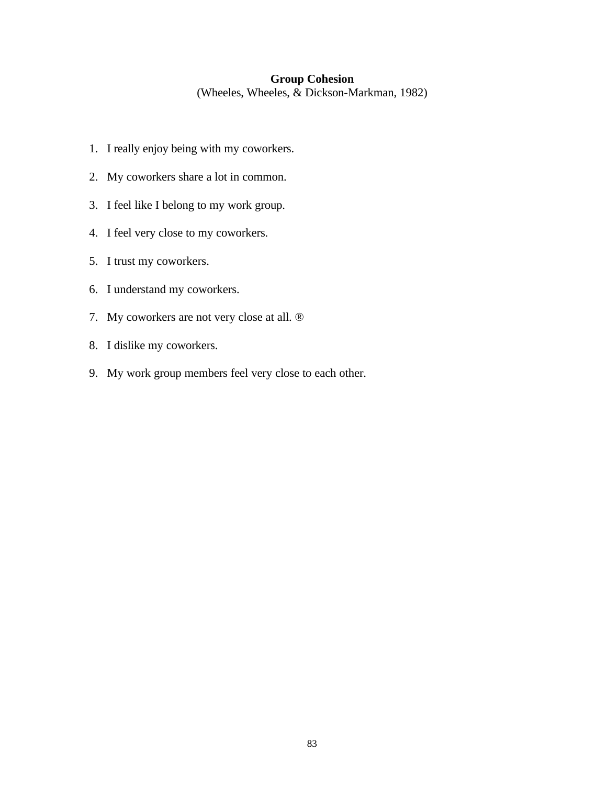#### **Group Cohesion**

(Wheeles, Wheeles, & Dickson-Markman, 1982)

- 1. I really enjoy being with my coworkers.
- 2. My coworkers share a lot in common.
- 3. I feel like I belong to my work group.
- 4. I feel very close to my coworkers.
- 5. I trust my coworkers.
- 6. I understand my coworkers.
- 7. My coworkers are not very close at all. ®
- 8. I dislike my coworkers.
- 9. My work group members feel very close to each other.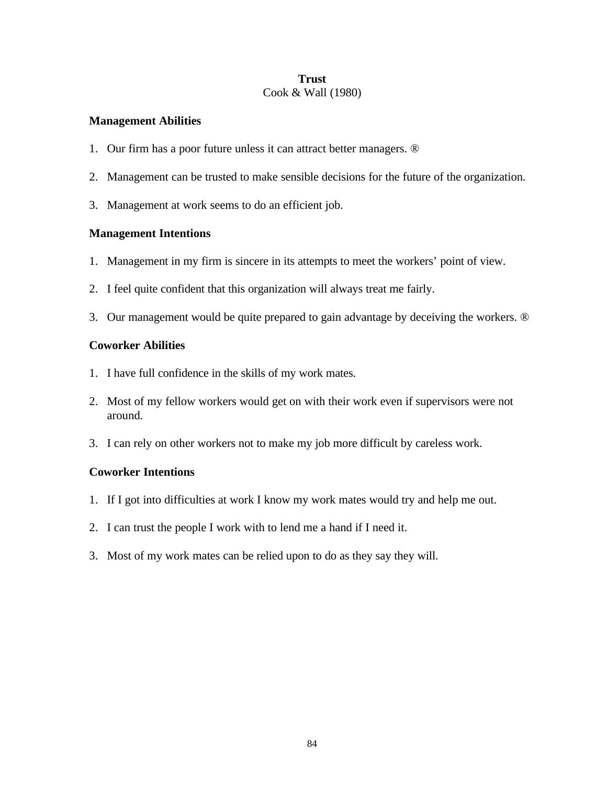# **Trust** Cook & Wall (1980)

# **Management Abilities**

- 1. Our firm has a poor future unless it can attract better managers. ®
- 2. Management can be trusted to make sensible decisions for the future of the organization.
- 3. Management at work seems to do an efficient job.

# **Management Intentions**

- 1. Management in my firm is sincere in its attempts to meet the workers' point of view.
- 2. I feel quite confident that this organization will always treat me fairly.
- 3. Our management would be quite prepared to gain advantage by deceiving the workers. ®

# **Coworker Abilities**

- 1. I have full confidence in the skills of my work mates.
- 2. Most of my fellow workers would get on with their work even if supervisors were not around.
- 3. I can rely on other workers not to make my job more difficult by careless work.

# **Coworker Intentions**

- 1. If I got into difficulties at work I know my work mates would try and help me out.
- 2. I can trust the people I work with to lend me a hand if I need it.
- 3. Most of my work mates can be relied upon to do as they say they will.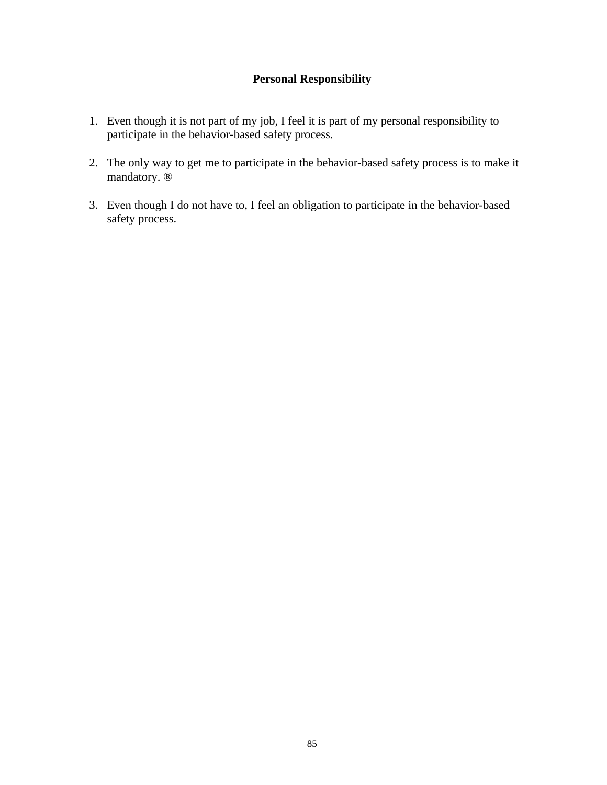# **Personal Responsibility**

- 1. Even though it is not part of my job, I feel it is part of my personal responsibility to participate in the behavior-based safety process.
- 2. The only way to get me to participate in the behavior-based safety process is to make it mandatory. ®
- 3. Even though I do not have to, I feel an obligation to participate in the behavior-based safety process.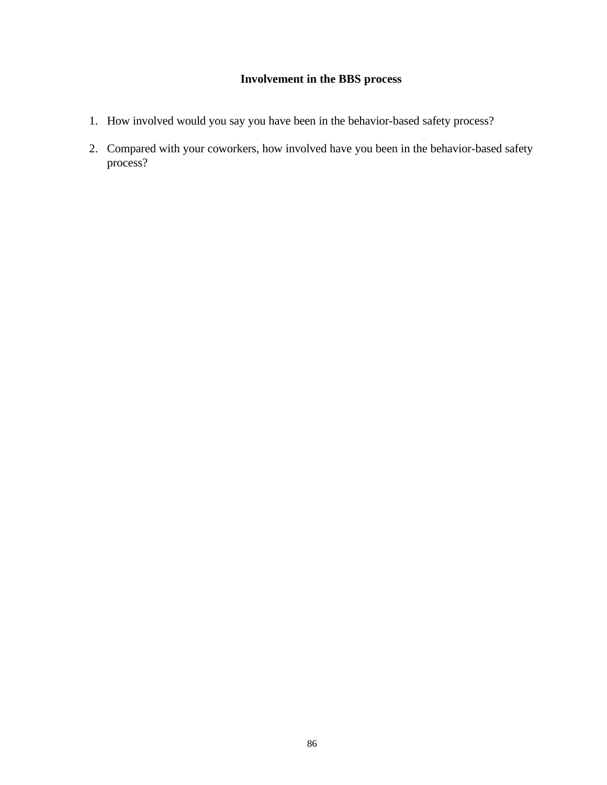# **Involvement in the BBS process**

- 1. How involved would you say you have been in the behavior-based safety process?
- 2. Compared with your coworkers, how involved have you been in the behavior-based safety process?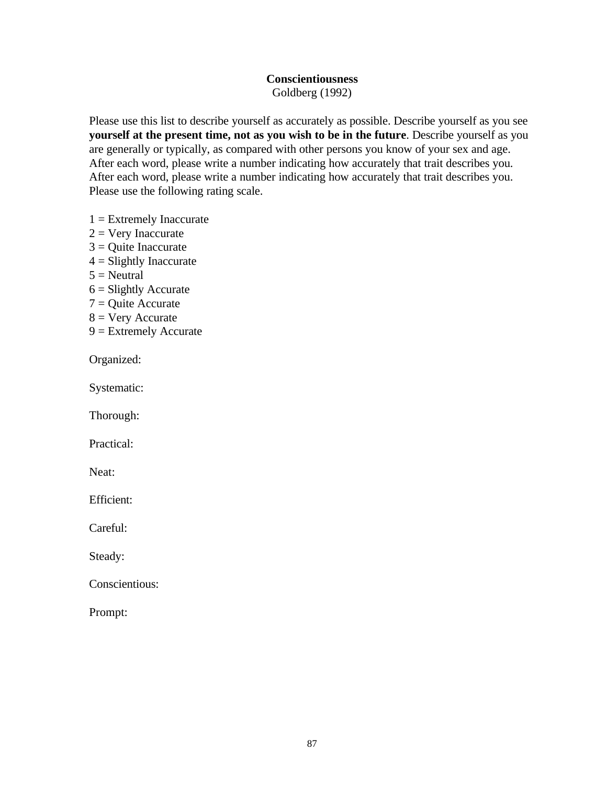# **Conscientiousness**

Goldberg (1992)

Please use this list to describe yourself as accurately as possible. Describe yourself as you see **yourself at the present time, not as you wish to be in the future**. Describe yourself as you are generally or typically, as compared with other persons you know of your sex and age. After each word, please write a number indicating how accurately that trait describes you. After each word, please write a number indicating how accurately that trait describes you. Please use the following rating scale.

- $1 =$  Extremely Inaccurate
- $2 =$  Very Inaccurate
- $3$  = Quite Inaccurate
- $4 =$  Slightly Inaccurate
- $5 =$  Neutral
- $6 =$  Slightly Accurate
- $7 =$ Quite Accurate
- $8 =$  Very Accurate
- 9 = Extremely Accurate

Organized:

Systematic:

Thorough:

Practical:

Neat:

Efficient:

Careful:

Steady:

Conscientious:

Prompt: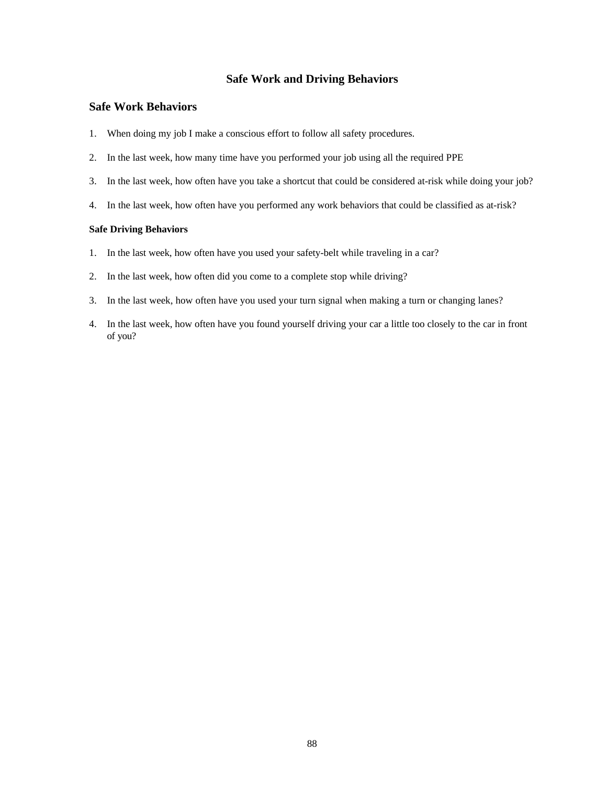## **Safe Work and Driving Behaviors**

#### **Safe Work Behaviors**

- 1. When doing my job I make a conscious effort to follow all safety procedures.
- 2. In the last week, how many time have you performed your job using all the required PPE
- 3. In the last week, how often have you take a shortcut that could be considered at-risk while doing your job?
- 4. In the last week, how often have you performed any work behaviors that could be classified as at-risk?

#### **Safe Driving Behaviors**

- 1. In the last week, how often have you used your safety-belt while traveling in a car?
- 2. In the last week, how often did you come to a complete stop while driving?
- 3. In the last week, how often have you used your turn signal when making a turn or changing lanes?
- 4. In the last week, how often have you found yourself driving your car a little too closely to the car in front of you?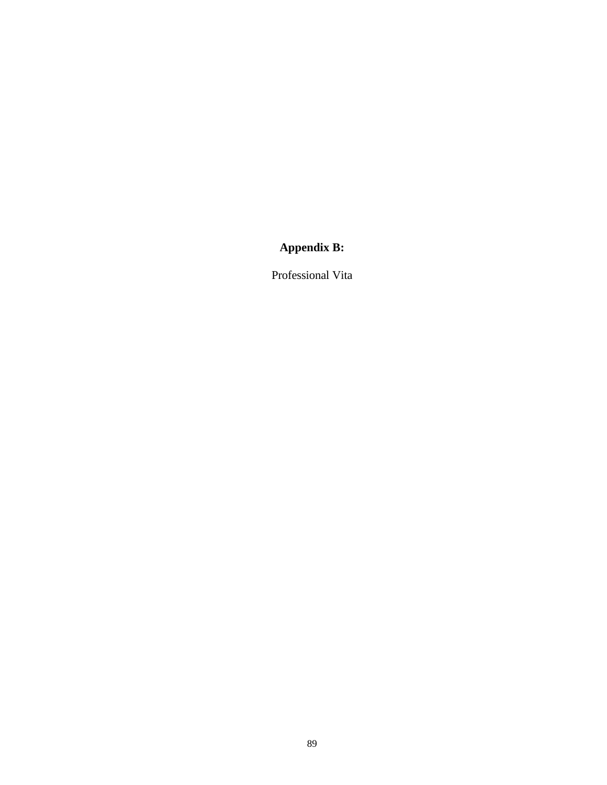# **Appendix B:**

Professional Vita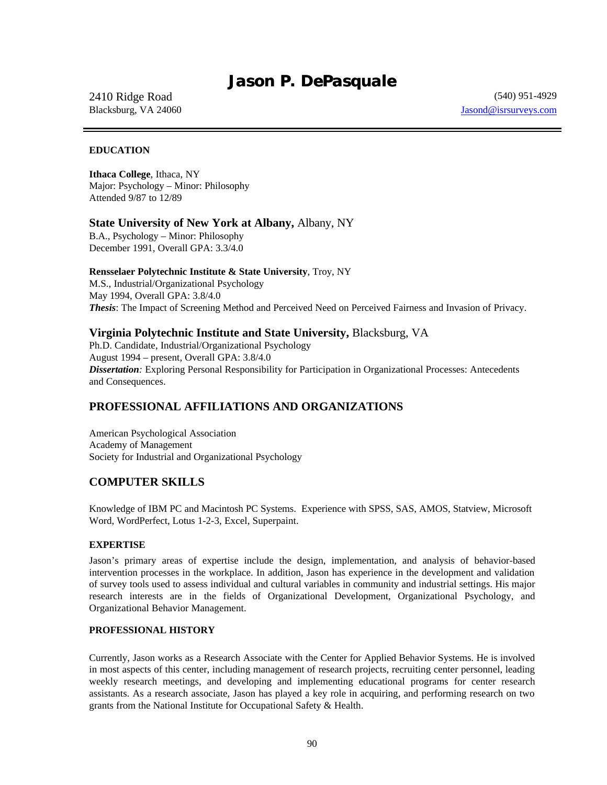# *Jason P. DePasquale*

#### 2410 Ridge Road (540) 951-4929 Blacksburg, VA 24060 **Jasond** External Section 1 and 2008 *Jasond* **Jasond** External Section 1 and 2011 1 and 2012 1 and 2013 1 and 2013 1 and 2013 1 and 2013 1 and 2013 1 and 2013 1 and 2013 1 and 2013 1 and 2013 1 and 20

#### **EDUCATION**

**Ithaca College**, Ithaca, NY Major: Psychology – Minor: Philosophy Attended 9/87 to 12/89

#### **State University of New York at Albany,** Albany, NY

B.A., Psychology – Minor: Philosophy December 1991, Overall GPA: 3.3/4.0

#### **Rensselaer Polytechnic Institute & State University**, Troy, NY

M.S., Industrial/Organizational Psychology May 1994, Overall GPA: 3.8/4.0 *Thesis*: The Impact of Screening Method and Perceived Need on Perceived Fairness and Invasion of Privacy.

#### **Virginia Polytechnic Institute and State University,** Blacksburg, VA

Ph.D. Candidate, Industrial/Organizational Psychology August 1994 – present, Overall GPA: 3.8/4.0 *Dissertation:* Exploring Personal Responsibility for Participation in Organizational Processes: Antecedents and Consequences.

# **PROFESSIONAL AFFILIATIONS AND ORGANIZATIONS**

American Psychological Association Academy of Management Society for Industrial and Organizational Psychology

# **COMPUTER SKILLS**

Knowledge of IBM PC and Macintosh PC Systems. Experience with SPSS, SAS, AMOS, Statview, Microsoft Word, WordPerfect, Lotus 1-2-3, Excel, Superpaint.

#### **EXPERTISE**

Jason's primary areas of expertise include the design, implementation, and analysis of behavior-based intervention processes in the workplace. In addition, Jason has experience in the development and validation of survey tools used to assess individual and cultural variables in community and industrial settings. His major research interests are in the fields of Organizational Development, Organizational Psychology, and Organizational Behavior Management.

#### **PROFESSIONAL HISTORY**

Currently, Jason works as a Research Associate with the Center for Applied Behavior Systems. He is involved in most aspects of this center, including management of research projects, recruiting center personnel, leading weekly research meetings, and developing and implementing educational programs for center research assistants. As a research associate, Jason has played a key role in acquiring, and performing research on two grants from the National Institute for Occupational Safety & Health.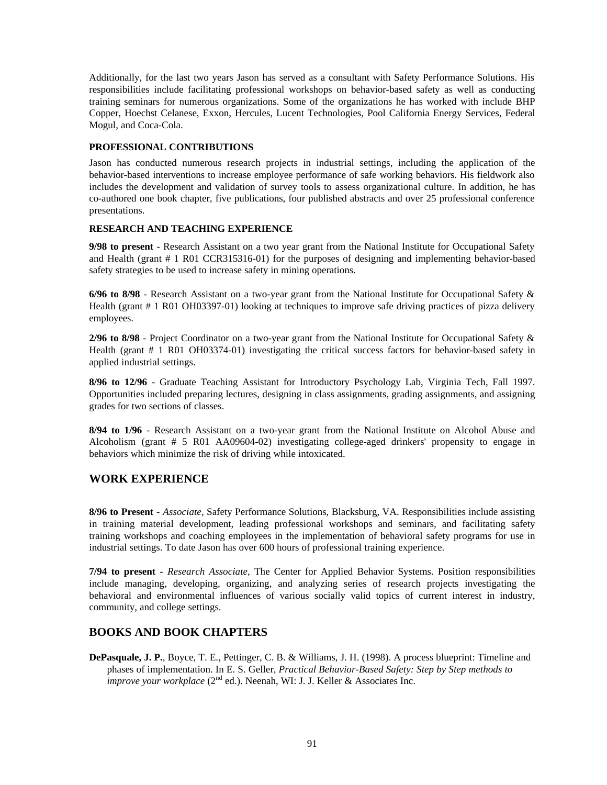Additionally, for the last two years Jason has served as a consultant with Safety Performance Solutions. His responsibilities include facilitating professional workshops on behavior-based safety as well as conducting training seminars for numerous organizations. Some of the organizations he has worked with include BHP Copper, Hoechst Celanese, Exxon, Hercules, Lucent Technologies, Pool California Energy Services, Federal Mogul, and Coca-Cola.

#### **PROFESSIONAL CONTRIBUTIONS**

Jason has conducted numerous research projects in industrial settings, including the application of the behavior-based interventions to increase employee performance of safe working behaviors. His fieldwork also includes the development and validation of survey tools to assess organizational culture. In addition, he has co-authored one book chapter, five publications, four published abstracts and over 25 professional conference presentations.

#### **RESEARCH AND TEACHING EXPERIENCE**

**9/98 to present** - Research Assistant on a two year grant from the National Institute for Occupational Safety and Health (grant # 1 R01 CCR315316-01) for the purposes of designing and implementing behavior-based safety strategies to be used to increase safety in mining operations.

**6/96 to 8/98** - Research Assistant on a two-year grant from the National Institute for Occupational Safety & Health (grant # 1 R01 OH03397-01) looking at techniques to improve safe driving practices of pizza delivery employees.

**2/96 to 8/98** - Project Coordinator on a two-year grant from the National Institute for Occupational Safety & Health (grant # 1 R01 OH03374-01) investigating the critical success factors for behavior-based safety in applied industrial settings.

**8/96 to 12/96** - Graduate Teaching Assistant for Introductory Psychology Lab, Virginia Tech, Fall 1997. Opportunities included preparing lectures, designing in class assignments, grading assignments, and assigning grades for two sections of classes.

**8/94 to 1/96** - Research Assistant on a two-year grant from the National Institute on Alcohol Abuse and Alcoholism (grant # 5 R01 AA09604-02) investigating college-aged drinkers' propensity to engage in behaviors which minimize the risk of driving while intoxicated.

#### **WORK EXPERIENCE**

**8/96 to Present** - *Associate*, Safety Performance Solutions, Blacksburg, VA. Responsibilities include assisting in training material development, leading professional workshops and seminars, and facilitating safety training workshops and coaching employees in the implementation of behavioral safety programs for use in industrial settings. To date Jason has over 600 hours of professional training experience.

**7/94 to present** - *Research Associate*, The Center for Applied Behavior Systems. Position responsibilities include managing, developing, organizing, and analyzing series of research projects investigating the behavioral and environmental influences of various socially valid topics of current interest in industry, community, and college settings.

#### **BOOKS AND BOOK CHAPTERS**

**DePasquale, J. P.**, Boyce, T. E., Pettinger, C. B. & Williams, J. H. (1998). A process blueprint: Timeline and phases of implementation. In E. S. Geller, *Practical Behavior-Based Safety: Step by Step methods to improve your workplace* (2<sup>nd</sup> ed.). Neenah, WI: J. J. Keller & Associates Inc.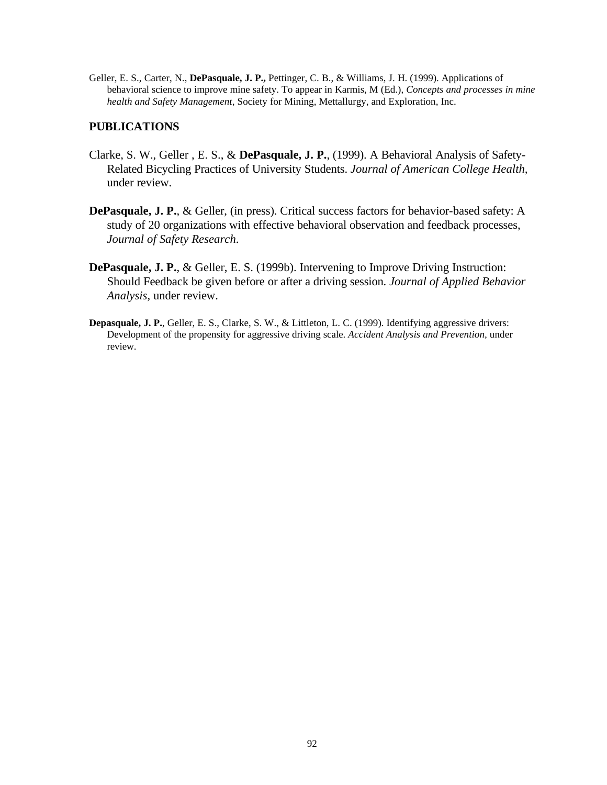Geller, E. S., Carter, N., **DePasquale, J. P.,** Pettinger, C. B., & Williams, J. H. (1999). Applications of behavioral science to improve mine safety. To appear in Karmis, M (Ed.), *Concepts and processes in mine health and Safety Management,* Society for Mining, Mettallurgy, and Exploration, Inc.

# **PUBLICATIONS**

- Clarke, S. W., Geller , E. S., & **DePasquale, J. P.**, (1999). A Behavioral Analysis of Safety-Related Bicycling Practices of University Students. *Journal of American College Health,*  under review.
- **DePasquale, J. P.**, & Geller, (in press). Critical success factors for behavior-based safety: A study of 20 organizations with effective behavioral observation and feedback processes, *Journal of Safety Research*.
- **DePasquale, J. P.**, & Geller, E. S. (1999b). Intervening to Improve Driving Instruction: Should Feedback be given before or after a driving session. *Journal of Applied Behavior Analysis,* under review.
- **Depasquale, J. P.**, Geller, E. S., Clarke, S. W., & Littleton, L. C. (1999). Identifying aggressive drivers: Development of the propensity for aggressive driving scale. *Accident Analysis and Prevention,* under review.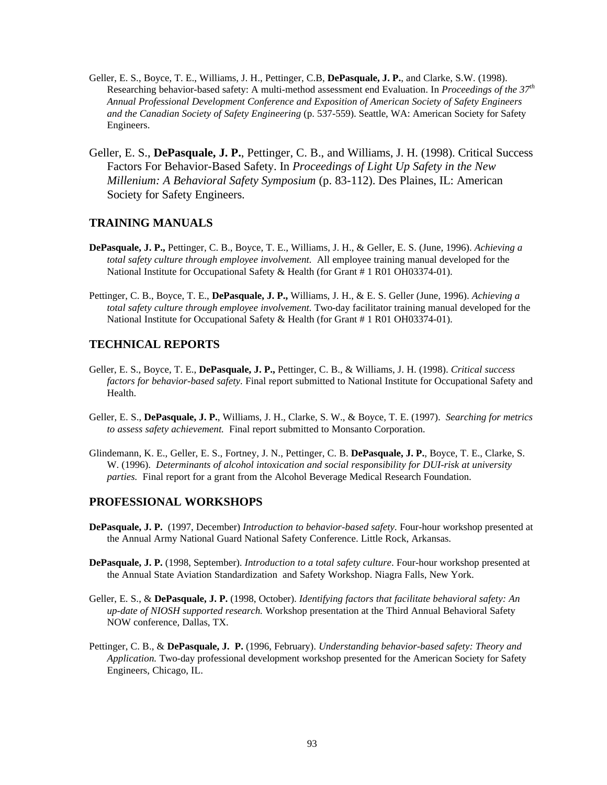- Geller, E. S., Boyce, T. E., Williams, J. H., Pettinger, C.B, **DePasquale, J. P.**, and Clarke, S.W. (1998). Researching behavior-based safety: A multi-method assessment end Evaluation. In *Proceedings of the 37th Annual Professional Development Conference and Exposition of American Society of Safety Engineers and the Canadian Society of Safety Engineering* (p. 537-559). Seattle, WA: American Society for Safety Engineers.
- Geller, E. S., **DePasquale, J. P.**, Pettinger, C. B., and Williams, J. H. (1998). Critical Success Factors For Behavior-Based Safety. In *Proceedings of Light Up Safety in the New Millenium: A Behavioral Safety Symposium* (p. 83-112). Des Plaines, IL: American Society for Safety Engineers.

#### **TRAINING MANUALS**

- **DePasquale, J. P.,** Pettinger, C. B., Boyce, T. E., Williams, J. H., & Geller, E. S. (June, 1996). *Achieving a total safety culture through employee involvement.* All employee training manual developed for the National Institute for Occupational Safety & Health (for Grant # 1 R01 OH03374-01).
- Pettinger, C. B., Boyce, T. E., **DePasquale, J. P.,** Williams, J. H., & E. S. Geller (June, 1996). *Achieving a total safety culture through employee involvement.* Two-day facilitator training manual developed for the National Institute for Occupational Safety & Health (for Grant # 1 R01 OH03374-01).

## **TECHNICAL REPORTS**

- Geller, E. S., Boyce, T. E., **DePasquale, J. P.,** Pettinger, C. B., & Williams, J. H. (1998). *Critical success factors for behavior-based safety.* Final report submitted to National Institute for Occupational Safety and Health.
- Geller, E. S., **DePasquale, J. P.**, Williams, J. H., Clarke, S. W., & Boyce, T. E. (1997). *Searching for metrics to assess safety achievement.* Final report submitted to Monsanto Corporation.
- Glindemann, K. E., Geller, E. S., Fortney, J. N., Pettinger, C. B. **DePasquale, J. P.**, Boyce, T. E., Clarke, S. W. (1996). *Determinants of alcohol intoxication and social responsibility for DUI-risk at university parties.* Final report for a grant from the Alcohol Beverage Medical Research Foundation.

#### **PROFESSIONAL WORKSHOPS**

- **DePasquale, J. P.** (1997, December) *Introduction to behavior-based safety.* Four-hour workshop presented at the Annual Army National Guard National Safety Conference. Little Rock, Arkansas.
- **DePasquale, J. P.** (1998, September). *Introduction to a total safety culture*. Four-hour workshop presented at the Annual State Aviation Standardization and Safety Workshop. Niagra Falls, New York.
- Geller, E. S., & **DePasquale, J. P.** (1998, October). *Identifying factors that facilitate behavioral safety: An up-date of NIOSH supported research.* Workshop presentation at the Third Annual Behavioral Safety NOW conference, Dallas, TX.
- Pettinger, C. B., & **DePasquale, J. P.** (1996, February). *Understanding behavior-based safety: Theory and Application.* Two-day professional development workshop presented for the American Society for Safety Engineers, Chicago, IL.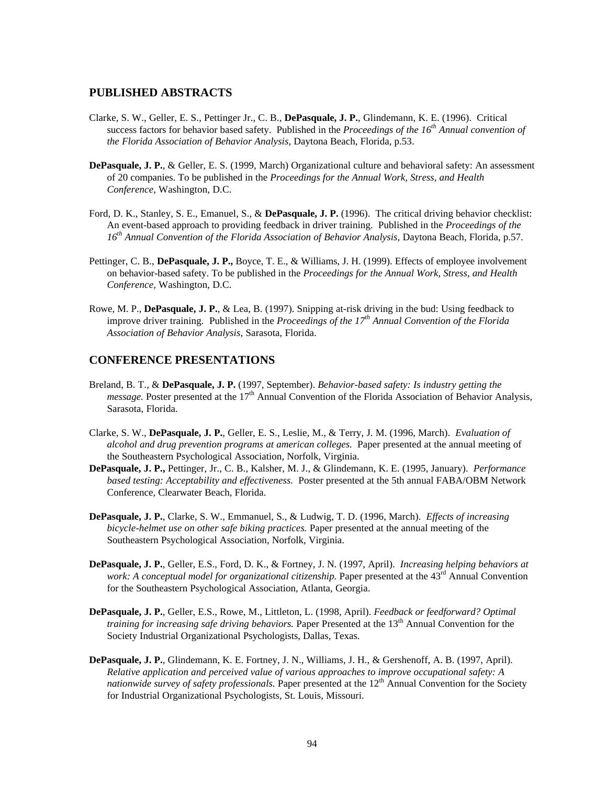#### **PUBLISHED ABSTRACTS**

- Clarke, S. W., Geller, E. S., Pettinger Jr., C. B., **DePasquale, J. P.**, Glindemann, K. E. (1996). Critical success factors for behavior based safety. Published in the *Proceedings of the 16th Annual convention of the Florida Association of Behavior Analysis,* Daytona Beach, Florida, p.53.
- **DePasquale, J. P.**, & Geller, E. S. (1999, March) Organizational culture and behavioral safety: An assessment of 20 companies. To be published in the *Proceedings for the Annual Work, Stress, and Health Conference,* Washington, D.C.
- Ford, D. K., Stanley, S. E., Emanuel, S., & **DePasquale, J. P.** (1996). The critical driving behavior checklist: An event-based approach to providing feedback in driver training. Published in the *Proceedings of the*  16<sup>th</sup> Annual Convention of the Florida Association of Behavior Analysis, Daytona Beach, Florida, p.57.
- Pettinger, C. B., **DePasquale, J. P.,** Boyce, T. E., & Williams, J. H. (1999). Effects of employee involvement on behavior-based safety. To be published in the *Proceedings for the Annual Work, Stress, and Health Conference,* Washington, D.C.
- Rowe, M. P., **DePasquale, J. P.**, & Lea, B. (1997). Snipping at-risk driving in the bud: Using feedback to improve driver training*.* Published in the *Proceedings of the 17th Annual Convention of the Florida Association of Behavior Analysis*, Sarasota, Florida.

#### **CONFERENCE PRESENTATIONS**

- Breland, B. T., & **DePasquale, J. P.** (1997, September). *Behavior-based safety: Is industry getting the message.* Poster presented at the 17<sup>th</sup> Annual Convention of the Florida Association of Behavior Analysis, Sarasota, Florida.
- Clarke, S. W., **DePasquale, J. P.**, Geller, E. S., Leslie, M., & Terry, J. M. (1996, March). *Evaluation of alcohol and drug prevention programs at american colleges.* Paper presented at the annual meeting of the Southeastern Psychological Association, Norfolk, Virginia.
- **DePasquale, J. P.,** Pettinger, Jr., C. B., Kalsher, M. J., & Glindemann, K. E. (1995, January). *Performance based testing: Acceptability and effectiveness.* Poster presented at the 5th annual FABA/OBM Network Conference, Clearwater Beach, Florida.
- **DePasquale, J. P.**, Clarke, S. W., Emmanuel, S., & Ludwig, T. D. (1996, March). *Effects of increasing bicycle-helmet use on other safe biking practices.* Paper presented at the annual meeting of the Southeastern Psychological Association, Norfolk, Virginia.
- **DePasquale, J. P.**, Geller, E.S., Ford, D. K., & Fortney, J. N. (1997, April). *Increasing helping behaviors at work: A conceptual model for organizational citizenship.* Paper presented at the 43<sup>rd</sup> Annual Convention for the Southeastern Psychological Association, Atlanta, Georgia.
- **DePasquale, J. P.**, Geller, E.S., Rowe, M., Littleton, L. (1998, April). *Feedback or feedforward? Optimal training for increasing safe driving behaviors.* Paper Presented at the 13<sup>th</sup> Annual Convention for the Society Industrial Organizational Psychologists, Dallas, Texas.
- **DePasquale, J. P.**, Glindemann, K. E. Fortney, J. N., Williams, J. H., & Gershenoff, A. B. (1997, April). *Relative application and perceived value of various approaches to improve occupational safety: A nationwide survey of safety professionals.* Paper presented at the 12<sup>th</sup> Annual Convention for the Society for Industrial Organizational Psychologists, St. Louis, Missouri.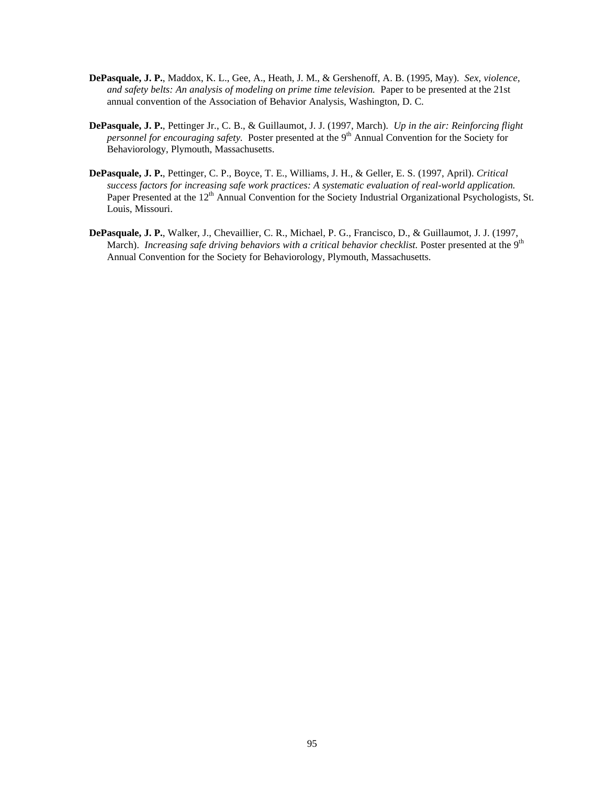- **DePasquale, J. P.**, Maddox, K. L., Gee, A., Heath, J. M., & Gershenoff, A. B. (1995, May). *Sex, violence, and safety belts: An analysis of modeling on prime time television.* Paper to be presented at the 21st annual convention of the Association of Behavior Analysis, Washington, D. C.
- **DePasquale, J. P.**, Pettinger Jr., C. B., & Guillaumot, J. J. (1997, March). *Up in the air: Reinforcing flight personnel for encouraging safety.* Poster presented at the 9<sup>th</sup> Annual Convention for the Society for Behaviorology, Plymouth, Massachusetts.
- **DePasquale, J. P.**, Pettinger, C. P., Boyce, T. E., Williams, J. H., & Geller, E. S. (1997, April). *Critical success factors for increasing safe work practices: A systematic evaluation of real-world application.*  Paper Presented at the 12<sup>th</sup> Annual Convention for the Society Industrial Organizational Psychologists, St. Louis, Missouri.
- **DePasquale, J. P.**, Walker, J., Chevaillier, C. R., Michael, P. G., Francisco, D., & Guillaumot, J. J. (1997, March). *Increasing safe driving behaviors with a critical behavior checklist*. Poster presented at the 9<sup>th</sup> Annual Convention for the Society for Behaviorology, Plymouth, Massachusetts.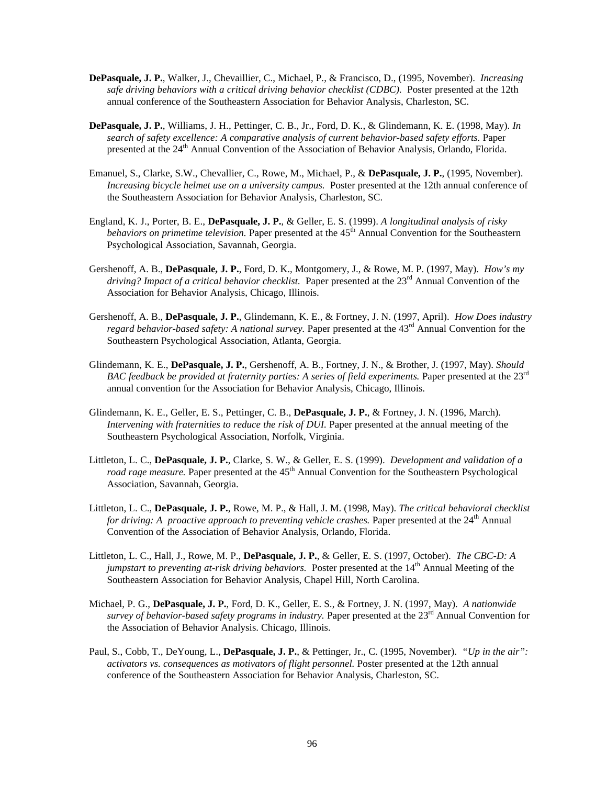- **DePasquale, J. P.**, Walker, J., Chevaillier, C., Michael, P., & Francisco, D., (1995, November). *Increasing safe driving behaviors with a critical driving behavior checklist (CDBC).* Poster presented at the 12th annual conference of the Southeastern Association for Behavior Analysis, Charleston, SC.
- **DePasquale, J. P.**, Williams, J. H., Pettinger, C. B., Jr., Ford, D. K., & Glindemann, K. E. (1998, May). *In search of safety excellence: A comparative analysis of current behavior-based safety efforts.* Paper presented at the 24<sup>th</sup> Annual Convention of the Association of Behavior Analysis, Orlando, Florida.
- Emanuel, S., Clarke, S.W., Chevallier, C., Rowe, M., Michael, P., & **DePasquale, J. P.**, (1995, November). *Increasing bicycle helmet use on a university campus.* Poster presented at the 12th annual conference of the Southeastern Association for Behavior Analysis, Charleston, SC.
- England, K. J., Porter, B. E., **DePasquale, J. P.**, & Geller, E. S. (1999). *A longitudinal analysis of risky behaviors on primetime television.* Paper presented at the 45<sup>th</sup> Annual Convention for the Southeastern Psychological Association, Savannah, Georgia.
- Gershenoff, A. B., **DePasquale, J. P.**, Ford, D. K., Montgomery, J., & Rowe, M. P. (1997, May). *How's my driving? Impact of a critical behavior checklist.* Paper presented at the 23<sup>rd</sup> Annual Convention of the Association for Behavior Analysis, Chicago, Illinois.
- Gershenoff, A. B., **DePasquale, J. P.**, Glindemann, K. E., & Fortney, J. N. (1997, April). *How Does industry regard behavior-based safety: A national survey.* Paper presented at the 43<sup>rd</sup> Annual Convention for the Southeastern Psychological Association, Atlanta, Georgia.
- Glindemann, K. E., **DePasquale, J. P.**, Gershenoff, A. B., Fortney, J. N., & Brother, J. (1997, May). *Should BAC feedback be provided at fraternity parties: A series of field experiments.* Paper presented at the 23rd annual convention for the Association for Behavior Analysis, Chicago, Illinois.
- Glindemann, K. E., Geller, E. S., Pettinger, C. B., **DePasquale, J. P.**, & Fortney, J. N. (1996, March). *Intervening with fraternities to reduce the risk of DUI.* Paper presented at the annual meeting of the Southeastern Psychological Association, Norfolk, Virginia.
- Littleton, L. C., **DePasquale, J. P.**, Clarke, S. W., & Geller, E. S. (1999). *Development and validation of a road rage measure*. Paper presented at the 45<sup>th</sup> Annual Convention for the Southeastern Psychological Association, Savannah, Georgia.
- Littleton, L. C., **DePasquale, J. P.**, Rowe, M. P., & Hall, J. M. (1998, May). *The critical behavioral checklist for driving: A proactive approach to preventing vehicle crashes.* Paper presented at the 24<sup>th</sup> Annual Convention of the Association of Behavior Analysis, Orlando, Florida.
- Littleton, L. C., Hall, J., Rowe, M. P., **DePasquale, J. P.**, & Geller, E. S. (1997, October). *The CBC-D: A jumpstart to preventing at-risk driving behaviors.* Poster presented at the 14<sup>th</sup> Annual Meeting of the Southeastern Association for Behavior Analysis, Chapel Hill, North Carolina.
- Michael, P. G., **DePasquale, J. P.**, Ford, D. K., Geller, E. S., & Fortney, J. N. (1997, May). *A nationwide survey of behavior-based safety programs in industry*. Paper presented at the 23<sup>rd</sup> Annual Convention for the Association of Behavior Analysis. Chicago, Illinois.
- Paul, S., Cobb, T., DeYoung, L., **DePasquale, J. P.**, & Pettinger, Jr., C. (1995, November). *"Up in the air": activators vs. consequences as motivators of flight personnel.* Poster presented at the 12th annual conference of the Southeastern Association for Behavior Analysis, Charleston, SC.